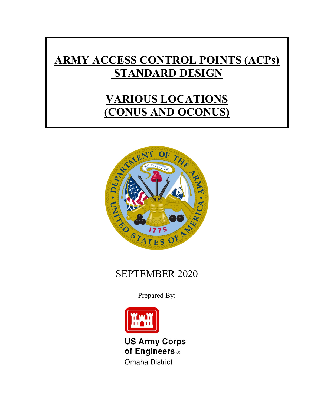# **ARMY ACCESS CONTROL POINTS (ACPs) STANDARD DESIGN**

## **VARIOUS LOCATIONS (CONUS AND OCONUS)**



## <span id="page-0-0"></span>SEPTEMBER 2020

Prepared By:



**US Army Corps** of Engineers ® **Omaha District**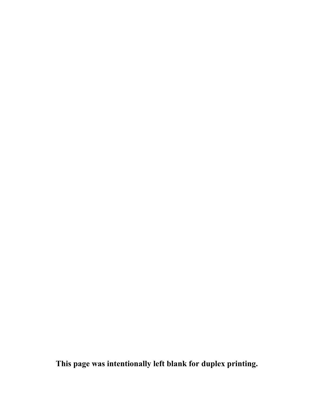**This page was intentionally left blank for duplex printing.**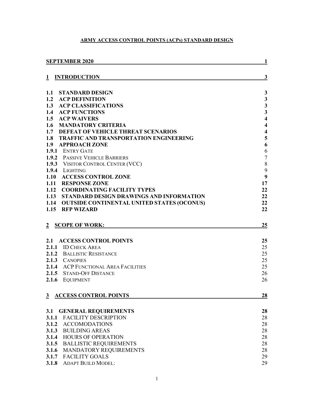## **ARMY ACCESS CONTROL POINTS (ACPs) STANDARD DESIGN**

| <b>SEPTEMBER 2020</b><br>1 |                                                      |                         |
|----------------------------|------------------------------------------------------|-------------------------|
| 1                          | <b>INTRODUCTION</b>                                  | $\overline{\mathbf{3}}$ |
|                            |                                                      |                         |
| 1.1                        | <b>STANDARD DESIGN</b>                               | $\mathbf{3}$            |
| 1.2                        | <b>ACP DEFINITION</b>                                | $\mathbf{3}$            |
| 1.3                        | <b>ACP CLASSIFICATIONS</b>                           | $\frac{3}{3}$           |
| 1.4                        | <b>ACP FUNCTIONS</b>                                 |                         |
|                            | 1.5 ACP WAIVERS                                      | $\overline{\mathbf{4}}$ |
|                            | <b>1.6 MANDATORY CRITERIA</b>                        | $\overline{\mathbf{4}}$ |
|                            | 1.7 DEFEAT OF VEHICLE THREAT SCENARIOS               | $\overline{\mathbf{4}}$ |
|                            | 1.8 TRAFFIC AND TRANSPORTATION ENGINEERING           | $\overline{\mathbf{5}}$ |
|                            | 1.9 APPROACH ZONE                                    | 6                       |
|                            | 1.9.1 ENTRY GATE                                     | 6                       |
|                            | <b>1.9.2 PASSIVE VEHICLE BARRIERS</b>                | $\overline{7}$          |
|                            | 1.9.3 VISITOR CONTROL CENTER (VCC)<br>1.9.4 LIGHTING | $8\,$<br>9              |
|                            | 1.10 ACCESS CONTROL ZONE                             | $\boldsymbol{9}$        |
|                            | 1.11 RESPONSE ZONE                                   | 17                      |
|                            | 1.12 COORDINATING FACILITY TYPES                     | 22                      |
|                            | 1.13 STANDARD DESIGN DRAWINGS AND INFORMATION        | 22                      |
|                            | 1.14 OUTSIDE CONTINENTAL UNITED STATES (OCONUS)      | 22                      |
|                            | 1.15 RFP WIZARD                                      | 22                      |
|                            |                                                      |                         |
| 2                          | <b>SCOPE OF WORK:</b>                                | 25                      |
|                            |                                                      |                         |
| 2.1                        | <b>ACCESS CONTROL POINTS</b>                         | 25                      |
|                            | 2.1.1 ID CHECK AREA                                  | 25                      |
|                            | 2.1.2 BALLISTIC RESISTANCE                           | 25                      |
|                            | 2.1.3 CANOPIES                                       | 25                      |
|                            | 2.1.4 ACP FUNCTIONAL AREA FACILITIES                 | 25                      |
|                            | 2.1.5 STAND-OFF DISTANCE                             | 26                      |
| 2.1.6                      | <b>EQUIPMENT</b>                                     | 26                      |
|                            |                                                      |                         |
| $3^{\circ}$                | <b>ACCESS CONTROL POINTS</b>                         | 28                      |
|                            |                                                      |                         |
| 3.1                        | <b>GENERAL REQUIREMENTS</b>                          | 28                      |
|                            | 3.1.1 FACILITY DESCRIPTION                           | 28                      |
| 3.1.2                      | <b>ACCOMODATIONS</b>                                 | 28                      |
|                            | 3.1.3 BUILDING AREAS                                 | 28                      |
|                            | 3.1.4 HOURS OF OPERATION                             | 28                      |
|                            | 3.1.5 BALLISTIC REQUIREMENTS                         | 28                      |
|                            | 3.1.6 MANDATORY REQUIREMENTS                         | 28                      |
|                            | 3.1.7 FACILITY GOALS                                 | 29                      |
| 3.1.8                      | <b>ADAPT BUILD MODEL:</b>                            | 29                      |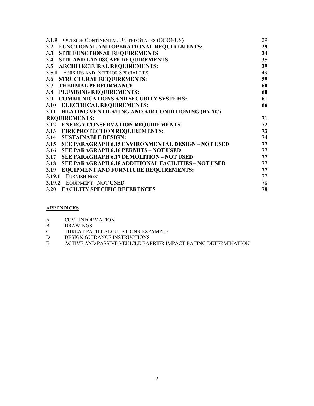|                      | 3.1.9 OUTSIDE CONTINENTAL UNITED STATES (OCONUS)         | 29              |
|----------------------|----------------------------------------------------------|-----------------|
|                      | 3.2 FUNCTIONAL AND OPERATIONAL REQUIREMENTS:             | 29              |
| 3.3                  | <b>SITE FUNCTIONAL REQUIREMENTS</b>                      | 34              |
| 3.4                  | SITE AND LANDSCAPE REQUIREMENTS                          | 35 <sub>5</sub> |
|                      | 3.5 ARCHITECTURAL REQUIREMENTS:                          | 39              |
|                      | <b>3.5.1 FINISHES AND INTERIOR SPECIALTIES:</b>          | 49              |
|                      | 3.6 STRUCTURAL REQUIREMENTS:                             | 59              |
| 3.7                  | <b>THERMAL PERFORMANCE</b>                               | 60              |
| 3.8                  | PLUMBING REQUIREMENTS:                                   | 60              |
|                      | 3.9 COMMUNICATIONS AND SECURITY SYSTEMS:                 | 61              |
|                      | 3.10 ELECTRICAL REQUIREMENTS:                            | 66              |
|                      | 3.11 HEATING VENTILATING AND AIR CONDITIONING (HVAC)     |                 |
| <b>REQUIREMENTS:</b> |                                                          |                 |
|                      | 3.12 ENERGY CONSERVATION REQUIREMENTS                    | 72              |
|                      | 3.13 FIRE PROTECTION REQUIREMENTS:                       | 73              |
|                      | 3.14 SUSTAINABLE DESIGN:                                 | 74              |
|                      | 3.15 SEE PARAGRAPH 6.15 ENVIRONMENTAL DESIGN-NOT USED    | 77              |
|                      | 3.16 SEE PARAGRAPH 6.16 PERMITS - NOT USED               | 77              |
|                      | 3.17 SEE PARAGRAPH 6.17 DEMOLITION - NOT USED            | 77              |
|                      | 3.18 SEE PARAGRAPH 6.18 ADDITIONAL FACILITIES - NOT USED | 77              |
|                      | 3.19 EQUIPMENT AND FURNITURE REQUIREMENTS:               | 77              |
|                      | 3.19.1 FURNISHINGS:                                      | 77              |
|                      | 3.19.2 EQUIPMENT: NOT USED                               | 78              |
| 3.20                 | <b>FACILITY SPECIFIC REFERENCES</b>                      | 78              |

## **APPENDICES**

- A COST INFORMATION<br>B DRAWINGS
- B DRAWINGS<br>C THREAT PAT
- C THREAT PATH CALCULATIONS EXPAMPLE<br>D DESIGN GUIDANCE INSTRUCTIONS
- D DESIGN GUIDANCE INSTRUCTIONS<br>E ACTIVE AND PASSIVE VEHICLE BAF
- ACTIVE AND PASSIVE VEHICLE BARRIER IMPACT RATING DETERMINATION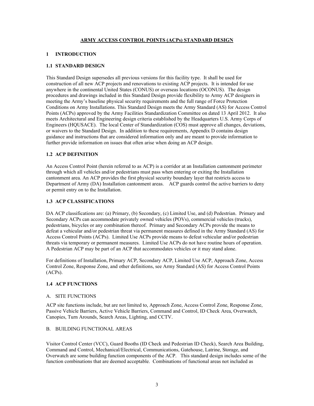## **ARMY ACCESS CONTROL POINTS (ACPs) STANDARD DESIGN**

## <span id="page-4-0"></span>**1 INTRODUCTION**

## <span id="page-4-1"></span>**1.1 STANDARD DESIGN**

This Standard Design supersedes all previous versions for this facility type. It shall be used for construction of all new ACP projects and renovations to existing ACP projects. It is intended for use anywhere in the continental United States (CONUS) or overseas locations (OCONUS). The design procedures and drawings included in this Standard Design provide flexibility to Army ACP designers in meeting the Army's baseline physical security requirements and the full range of Force Protection Conditions on Army Installations. This Standard Design meets the Army Standard (AS) for Access Control Points (ACPs) approved by the Army Facilities Standardization Committee on dated 13 April 2012. It also meets Architectural and Engineering design criteria established by the Headquarters U.S. Army Corps of Engineers (HQUSACE). The local Center of Standardization (COS) must approve all changes, deviations, or waivers to the Standard Design. In addition to these requirements, Appendix D contains design guidance and instructions that are considered information only and are meant to provide information to further provide information on issues that often arise when doing an ACP design.

## <span id="page-4-2"></span>**1.2 ACP DEFINITION**

An Access Control Point (herein referred to as ACP) is a corridor at an Installation cantonment perimeter through which all vehicles and/or pedestrians must pass when entering or exiting the Installation cantonment area. An ACP provides the first physical security boundary layer that restricts access to Department of Army (DA) Installation cantonment areas. ACP guards control the active barriers to deny or permit entry on to the Installation.

## <span id="page-4-3"></span>**1.3 ACP CLASSIFICATIONS**

DA ACP classifications are: (a) Primary, (b) Secondary, (c) Limited Use, and (d) Pedestrian. Primary and Secondary ACPs can accommodate privately owned vehicles (POVs), commercial vehicles (trucks), pedestrians, bicycles or any combination thereof. Primary and Secondary ACPs provide the means to defeat a vehicular and/or pedestrian threat via permanent measures defined in the Army Standard (AS) for Access Control Points (ACPs). Limited Use ACPs provide means to defeat vehicular and/or pedestrian threats via temporary or permanent measures. Limited Use ACPs do not have routine hours of operation. A Pedestrian ACP may be part of an ACP that accommodates vehicles or it may stand alone.

For definitions of Installation, Primary ACP, Secondary ACP, Limited Use ACP, Approach Zone, Access Control Zone, Response Zone, and other definitions, see Army Standard (AS) for Access Control Points (ACPs).

## <span id="page-4-4"></span>**1.4 ACP FUNCTIONS**

## A. SITE FUNCTIONS

ACP site functions include, but are not limited to, Approach Zone, Access Control Zone, Response Zone, Passive Vehicle Barriers, Active Vehicle Barriers, Command and Control, ID Check Area, Overwatch, Canopies, Turn Arounds, Search Areas, Lighting, and CCTV.

## B. BUILDING FUNCTIONAL AREAS

Visitor Control Center (VCC), Guard Booths (ID Check and Pedestrian ID Check), Search Area Building, Command and Control, Mechanical/Electrical, Communications, Gatehouse, Latrine, Storage, and Overwatch are some building function components of the ACP. This standard design includes some of the function combinations that are deemed acceptable. Combinations of functional areas not included as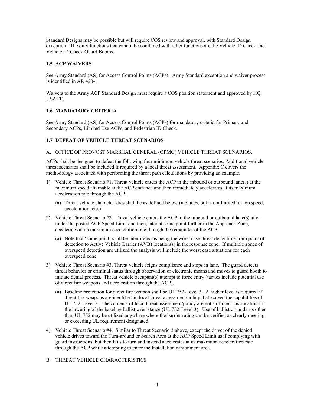Standard Designs may be possible but will require COS review and approval, with Standard Design exception. The only functions that cannot be combined with other functions are the Vehicle ID Check and Vehicle ID Check Guard Booths.

## <span id="page-5-0"></span>**1.5 ACP WAIVERS**

See Army Standard (AS) for Access Control Points (ACPs). Army Standard exception and waiver process is identified in AR 420-1.

Waivers to the Army ACP Standard Design must require a COS position statement and approved by HQ USACE.

## <span id="page-5-1"></span>**1.6 MANDATORY CRITERIA**

See Army Standard (AS) for Access Control Points (ACPs) for mandatory criteria for Primary and Secondary ACPs, Limited Use ACPs, and Pedestrian ID Check.

## <span id="page-5-2"></span>**1.7 DEFEAT OF VEHICLE THREAT SCENARIOS**

#### A. OFFICE OF PROVOST MARSHAL GENERAL (OPMG) VEHICLE THREAT SCENARIOS.

ACPs shall be designed to defeat the following four minimum vehicle threat scenarios. Additional vehicle threat scenarios shall be included if required by a local threat assessment. Appendix C covers the methodology associated with performing the threat path calculations by providing an example.

- 1) Vehicle Threat Scenario #1. Threat vehicle enters the ACP in the inbound or outbound lane(s) at the maximum speed attainable at the ACP entrance and then immediately accelerates at its maximum acceleration rate through the ACP.
	- (a) Threat vehicle characteristics shall be as defined below (includes, but is not limited to: top speed, acceleration, etc.)
- 2) Vehicle Threat Scenario #2. Threat vehicle enters the ACP in the inbound or outbound lane(s) at or under the posted ACP Speed Limit and then, later at some point further in the Approach Zone, accelerates at its maximum acceleration rate through the remainder of the ACP.
	- (a) Note that 'some point' shall be interpreted as being the worst case threat delay time from point of detection to Active Vehicle Barrier (AVB) location(s) in the response zone. If multiple zones of overspeed detection are utilized the analysis will include the worst case situations for each overspeed zone.
- 3) Vehicle Threat Scenario #3. Threat vehicle feigns compliance and stops in lane. The guard detects threat behavior or criminal status through observation or electronic means and moves to guard booth to initiate denial process. Threat vehicle occupant(s) attempt to force entry (tactics include potential use of direct fire weapons and acceleration through the ACP).
	- (a) Baseline protection for direct fire weapon shall be UL 752-Level 3. A higher level is required if direct fire weapons are identified in local threat assessment/policy that exceed the capabilities of UL 752-Level 3. The contents of local threat assessment/policy are not sufficient justification for the lowering of the baseline ballistic resistance (UL 752-Level 3). Use of ballistic standards other than UL 752 may be utilized anywhere where the barrier rating can be verified as clearly meeting or exceeding UL requirement designated.
- 4) Vehicle Threat Scenario #4. Similar to Threat Scenario 3 above, except the driver of the denied vehicle drives toward the Turn-around or Search Area at the ACP Speed Limit as if complying with guard instructions, but then fails to turn and instead accelerates at its maximum acceleration rate through the ACP while attempting to enter the Installation cantonment area.

#### B. THREAT VEHICLE CHARACTERISTICS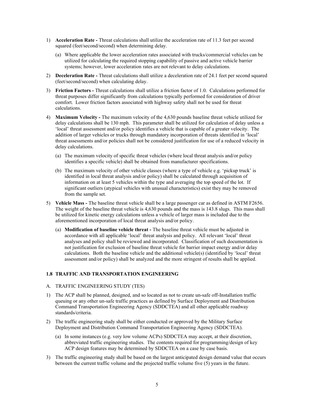- 1) **Acceleration Rate -** Threat calculations shall utilize the acceleration rate of 11.3 feet per second squared (feet/second/second) when determining delay.
	- (a) Where applicable the lower acceleration rates associated with trucks/commercial vehicles can be utilized for calculating the required stopping capability of passive and active vehicle barrier systems; however, lower acceleration rates are not relevant to delay calculations.
- 2) **Deceleration Rate -** Threat calculations shall utilize a deceleration rate of 24.1 feet per second squared (feet/second/second) when calculating delay.
- 3) **Friction Factors -** Threat calculations shall utilize a friction factor of 1.0. Calculations performed for threat purposes differ significantly from calculations typically performed for consideration of driver comfort. Lower friction factors associated with highway safety shall not be used for threat calculations.
- 4) **Maximum Velocity -** The maximum velocity of the 4,630 pounds baseline threat vehicle utilized for delay calculations shall be 130 mph. This parameter shall be utilized for calculation of delay unless a 'local' threat assessment and/or policy identifies a vehicle that is capable of a greater velocity. The addition of larger vehicles or trucks through mandatory incorporation of threats identified in 'local' threat assessments and/or policies shall not be considered justification for use of a reduced velocity in delay calculations.
	- (a) The maximum velocity of specific threat vehicles (where local threat analysis and/or policy identifies a specific vehicle) shall be obtained from manufacturer specifications.
	- (b) The maximum velocity of other vehicle classes (where a type of vehicle e.g. 'pickup truck' is identified in local threat analysis and/or policy) shall be calculated through acquisition of information on at least 5 vehicles within the type and averaging the top speed of the lot. If significant outliers (atypical vehicles with unusual characteristics) exist they may be removed from the sample set.
- 5) **Vehicle Mass -** The baseline threat vehicle shall be a large passenger car as defined in ASTM F2656. The weight of the baseline threat vehicle is 4,630 pounds and the mass is 143.8 slugs. This mass shall be utilized for kinetic energy calculations unless a vehicle of larger mass is included due to the aforementioned incorporation of local threat analysis and/or policy.
	- (a) **Modification of baseline vehicle threat -** The baseline threat vehicle must be adjusted in accordance with all applicable 'local' threat analysis and policy. All relevant 'local' threat analyses and policy shall be reviewed and incorporated. Classification of such documentation is not justification for exclusion of baseline threat vehicle for barrier impact energy and/or delay calculations. Both the baseline vehicle and the additional vehicle(s) (identified by 'local' threat assessment and/or policy) shall be analyzed and the more stringent of results shall be applied.

#### <span id="page-6-0"></span>**1.8 TRAFFIC AND TRANSPORTATION ENGINEERING**

#### A. TRAFFIC ENGINEERING STUDY (TES)

- 1) The ACP shall be planned, designed, and so located as not to create un-safe off-Installation traffic queuing or any other un-safe traffic practices as defined by Surface Deployment and Distribution Command Transportation Engineering Agency (SDDCTEA) and all other applicable roadway standards/criteria.
- 2) The traffic engineering study shall be either conducted or approved by the Military Surface Deployment and Distribution Command Transportation Engineering Agency (SDDCTEA).
	- (a) In some instances (e.g. very low volume ACPs) SDDCTEA may accept, at their discretion, abbreviated traffic engineering studies. The contents required for programming/design of key ACP design features may be determined by SDDCTEA on a case by case basis.
- 3) The traffic engineering study shall be based on the largest anticipated design demand value that occurs between the current traffic volume and the projected traffic volume five (5) years in the future.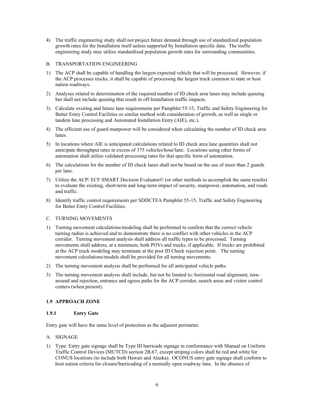4) The traffic engineering study shall not project future demand through use of standardized population growth rates for the Installation itself unless supported by Installation specific data. The traffic engineering study may utilize standardized population growth rates for surrounding communities.

## B. TRANSPORTATION ENGINEERING

- 1) The ACP shall be capable of handling the largest expected vehicle that will be processed. However, if the ACP processes trucks, it shall be capable of processing the largest truck common to state or host nation roadways.
- 2) Analyses related to determination of the required number of ID check area lanes may include queuing but shall not include queuing that result in off-Installation traffic impacts.
- 3) Calculate existing and future lane requirements per Pamphlet 55-15, Traffic and Safety Engineering for Better Entry Control Facilities or similar method with consideration of growth, as well as single or tandem lane processing and Automated Installation Entry (AIE), etc.).
- 4) The efficient use of guard manpower will be considered when calculating the number of ID check area lanes.
- 5) In locations where AIE is anticipated calculations related to ID check area lane quantities shall not anticipate throughput rates in excess of 375 vehicles/hour/lane. Locations using other forms of automation shall utilize validated processing rates for that specific form of automation.
- 6) The calculations for the number of ID check lanes shall not be based on the use of more than 2 guards per lane.
- 7) Utilize the ACP/ ECF SMART Decision Evaluator© (or other methods to accomplish the same results) to evaluate the existing, short-term and long-term impact of security, manpower, automation, and roads and traffic.
- 8) Identify traffic control requirements per SDDCTEA Pamphlet 55-15, Traffic and Safety Engineering for Better Entry Control Facilities.

## C. TURNING MOVEMENTS

- 1) Turning movement calculations/modeling shall be performed to confirm that the correct vehicle turning radius is achieved and to demonstrate there is no conflict with other vehicles in the ACP corridor. Turning movement analysis shall address all traffic types to be processed. Turning movements shall address, at a minimum, both POVs and trucks, if applicable. If trucks are prohibited at the ACP truck modeling may terminate at the post ID Check rejection point. The turning movement calculations/models shall be provided for all turning movements.
- 2) The turning movement analysis shall be performed for all anticipated vehicle paths.
- 3) The turning movement analysis shall include, but not be limited to: horizontal road alignment, turnaround and rejection, entrance and egress paths for the ACP corridor, search areas and visitor control centers (when present).

## <span id="page-7-0"></span>**1.9 APPROACH ZONE**

## <span id="page-7-1"></span>**1.9.1 Entry Gate**

Entry gate will have the same level of protection as the adjacent perimeter.

## A. SIGNAGE

1) Type: Entry gate signage shall be Type III barricade signage in conformance with Manual on Uniform Traffic Control Devices (MUTCD) section 2B.67, except striping colors shall be red and white for CONUS locations (to include both Hawaii and Alaska). OCONUS entry gate signage shall conform to host nation criteria for closure/barricading of a normally open roadway lane. In the absence of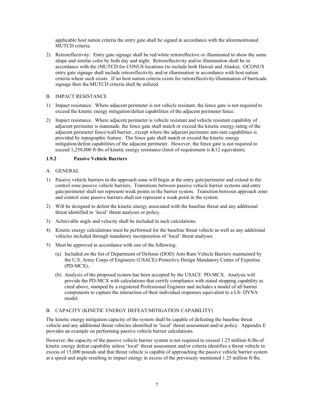applicable host nation criteria the entry gate shall be signed in accordance with the aforementioned MUTCD criteria.

2) Retroreflectivity: Entry gate signage shall be red/white retroreflective or illuminated to show the same shape and similar color by both day and night. Retroreflectivity and/or illumination shall be in accordance with the (MUTCD for CONUS locations (to include both Hawaii and Alaska). OCONUS entry gate signage shall include retroreflectivity and/or illumination in accordance with host nation criteria where such exists. If no host nation criteria exists for retroreflectivity/illumination of barricade signage then the MUTCD criteria shall be utilized.

## B. IMPACT RESISTANCE

- 1) Impact resistance. Where adjacent perimeter is not vehicle resistant, the fence gate is not required to exceed the kinetic energy mitigation/defeat capabilities of the adjacent perimeter fence.
- 2) Impact resistance. Where adjacent perimeter is vehicle resistant and vehicle resistant capability of adjacent perimeter is manmade, the fence gate shall match or exceed the kinetic energy rating of the adjacent perimeter fence/wall/barrier., except where the adjacent perimeter anti-ram capabilities is provided by topographic feature. The fence gate shall match or exceed the kinetic energy mitigation/defeat capabilities of the adjacent perimeter. However, the fence gate is not required to exceed 1,250,000 ft-lbs of kinetic energy resistance (limit of requirement is K12 equivalent).

## <span id="page-8-0"></span>**1.9.2 Passive Vehicle Barriers**

#### A. GENERAL

- 1) Passive vehicle barriers in the approach zone will begin at the entry gate/perimeter and extend to the control zone passive vehicle barriers. Transitions between passive vehicle barrier systems and entry gate/perimeter shall not represent weak points in the barrier system. Transition between approach zone and control zone passive barriers shall not represent a weak point in the system.
- 2) Will be designed to defeat the kinetic energy associated with the baseline threat and any additional threat identified in 'local' threat analyses or policy.
- 3) Achievable angle and velocity shall be included in such calculations.
- 4) Kinetic energy calculations must be performed for the baseline threat vehicle as well as any additional vehicles included through mandatory incorporation of 'local' threat analyses.
- 5) Must be approved in accordance with one of the following:
	- (a) Included on the list of Department of Defense (DOD) Anti-Ram Vehicle Barriers maintained by the U.S. Army Corps of Engineers (USACE)-Protective Design Mandatory Center of Expertise (PD-MCX),
	- (b) Analysis of the proposed system has been accepted by the USACE PD-MCX. Analysis will provide the PD-MCX with calculations that certify compliance with stated stopping capability as cited above, stamped by a registered Professional Engineer and includes a model of all barrier components to capture the interaction of their individual responses equivalent to a LS- DYNA model.

## B. CAPACITY (KINETIC ENERGY DEFEAT/MITIGATION CAPABILITY)

The kinetic energy mitigation capacity of the system shall be capable of defeating the baseline threat vehicle and any additional threat vehicles identified in 'local' threat assessment and/or policy. Appendix E provides an example on performing passive vehicle barrier calculations.

However, the capacity of the passive vehicle barrier system is not required to exceed 1.25 million ft-lbs of kinetic energy defeat capability unless 'local' threat assessment and/or criteria identifies a threat vehicle in excess of 15,000 pounds and that threat vehicle is capable of approaching the passive vehicle barrier system at a speed and angle resulting in impact energy in excess of the previously mentioned 1.25 million ft-lbs.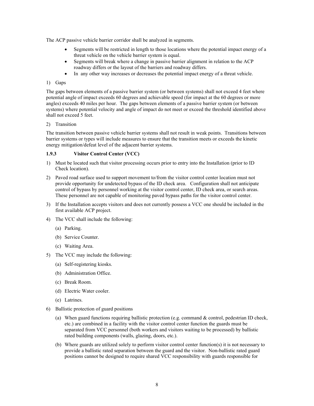The ACP passive vehicle barrier corridor shall be analyzed in segments.

- Segments will be restricted in length to those locations where the potential impact energy of a threat vehicle on the vehicle barrier system is equal.
- Segments will break where a change in passive barrier alignment in relation to the ACP roadway differs or the layout of the barriers and roadway differs.
- In any other way increases or decreases the potential impact energy of a threat vehicle.

#### 1) Gaps

The gaps between elements of a passive barrier system (or between systems) shall not exceed 4 feet where potential angle of impact exceeds 60 degrees and achievable speed (for impact at the 60 degrees or more angles) exceeds 40 miles per hour. The gaps between elements of a passive barrier system (or between systems) where potential velocity and angle of impact do not meet or exceed the threshold identified above shall not exceed 5 feet.

2) Transition

The transition between passive vehicle barrier systems shall not result in weak points. Transitions between barrier systems or types will include measures to ensure that the transition meets or exceeds the kinetic energy mitigation/defeat level of the adjacent barrier systems.

#### <span id="page-9-0"></span>**1.9.3 Visitor Control Center (VCC)**

- 1) Must be located such that visitor processing occurs prior to entry into the Installation (prior to ID Check location).
- 2) Paved road surface used to support movement to/from the visitor control center location must not provide opportunity for undetected bypass of the ID check area. Configuration shall not anticipate control of bypass by personnel working at the visitor control center, ID check area, or search areas. These personnel are not capable of monitoring paved bypass paths for the visitor control center.
- 3) If the Installation accepts visitors and does not currently possess a VCC one should be included in the first available ACP project.
- 4) The VCC shall include the following:
	- (a) Parking.
	- (b) Service Counter.
	- (c) Waiting Area.
- 5) The VCC may include the following:
	- (a) Self-registering kiosks.
	- (b) Administration Office.
	- (c) Break Room.
	- (d) Electric Water cooler.
	- (e) Latrines.
- 6) Ballistic protection of guard positions
	- (a) When guard functions requiring ballistic protection (e.g. command & control, pedestrian ID check, etc.) are combined in a facility with the visitor control center function the guards must be separated from VCC personnel (both workers and visitors waiting to be processed) by ballistic rated building components (walls, glazing, doors, etc.).
	- (b) Where guards are utilized solely to perform visitor control center function(s) it is not necessary to provide a ballistic rated separation between the guard and the visitor. Non-ballistic rated guard positions cannot be designed to require shared VCC responsibility with guards responsible for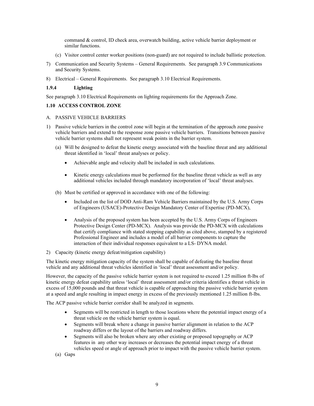command & control, ID check area, overwatch building, active vehicle barrier deployment or similar functions.

- (c) Visitor control center worker positions (non-guard) are not required to include ballistic protection.
- 7) Communication and Security Systems General Requirements. See paragraph 3.9 Communications and Security Systems.
- 8) Electrical General Requirements. See paragraph 3.10 Electrical Requirements.

## <span id="page-10-0"></span>**1.9.4 Lighting**

See paragraph 3.10 Electrical Requirements on lighting requirements for the Approach Zone.

#### <span id="page-10-1"></span>**1.10 ACCESS CONTROL ZONE**

#### A. PASSIVE VEHICLE BARRIERS

- 1) Passive vehicle barriers in the control zone will begin at the termination of the approach zone passive vehicle barriers and extend to the response zone passive vehicle barriers. Transitions between passive vehicle barrier systems shall not represent weak points in the barrier system.
	- (a) Will be designed to defeat the kinetic energy associated with the baseline threat and any additional threat identified in 'local' threat analyses or policy.
		- Achievable angle and velocity shall be included in such calculations.
		- Kinetic energy calculations must be performed for the baseline threat vehicle as well as any additional vehicles included through mandatory incorporation of 'local' threat analyses.
	- (b) Must be certified or approved in accordance with one of the following:
		- Included on the list of DOD Anti-Ram Vehicle Barriers maintained by the U.S. Army Corps of Engineers (USACE)-Protective Design Mandatory Center of Expertise (PD-MCX),
		- Analysis of the proposed system has been accepted by the U.S. Army Corps of Engineers Protective Design Center (PD-MCX). Analysis was provide the PD-MCX with calculations that certify compliance with stated stopping capability as cited above, stamped by a registered Professional Engineer and includes a model of all barrier components to capture the interaction of their individual responses equivalent to a LS- DYNA model.
- 2) Capacity (kinetic energy defeat/mitigation capability)

The kinetic energy mitigation capacity of the system shall be capable of defeating the baseline threat vehicle and any additional threat vehicles identified in 'local' threat assessment and/or policy.

However, the capacity of the passive vehicle barrier system is not required to exceed 1.25 million ft-lbs of kinetic energy defeat capability unless 'local' threat assessment and/or criteria identifies a threat vehicle in excess of 15,000 pounds and that threat vehicle is capable of approaching the passive vehicle barrier system at a speed and angle resulting in impact energy in excess of the previously mentioned 1.25 million ft-lbs.

The ACP passive vehicle barrier corridor shall be analyzed in segments.

- Segments will be restricted in length to those locations where the potential impact energy of a threat vehicle on the vehicle barrier system is equal.
- Segments will break where a change in passive barrier alignment in relation to the ACP roadway differs or the layout of the barriers and roadway differs.
- Segments will also be broken where any other existing or proposed topography or ACP features in any other way increases or decreases the potential impact energy of a threat vehicles speed or angle of approach prior to impact with the passive vehicle barrier system.
- (a) Gaps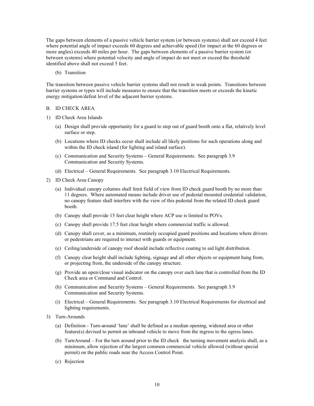The gaps between elements of a passive vehicle barrier system (or between systems) shall not exceed 4 feet where potential angle of impact exceeds 60 degrees and achievable speed (for impact at the 60 degrees or more angles) exceeds 40 miles per hour. The gaps between elements of a passive barrier system (or between systems) where potential velocity and angle of impact do not meet or exceed the threshold identified above shall not exceed 5 feet.

(b) Transition

The transition between passive vehicle barrier systems shall not result in weak points. Transitions between barrier systems or types will include measures to ensure that the transition meets or exceeds the kinetic energy mitigation/defeat level of the adjacent barrier systems.

#### B. ID CHECK AREA

- 1) ID Check Area Islands
	- (a) Design shall provide opportunity for a guard to step out of guard booth onto a flat, relatively level surface or step.
	- (b) Locations where ID checks occur shall include all likely positions for such operations along and within the ID check island (for lighting and island surface).
	- (c) Communication and Security Systems General Requirements. See paragraph 3.9 Communication and Security Systems.
	- (d) Electrical General Requirements. See paragraph 3.10 Electrical Requirements.
- 2) ID Check Area Canopy
	- (a) Individual canopy columns shall limit field of view from ID check guard booth by no more than 11 degrees. Where automated means include driver use of pedestal mounted credential validation, no canopy feature shall interfere with the view of this pedestal from the related ID check guard booth.
	- (b) Canopy shall provide 15 feet clear height where ACP use is limited to POVs.
	- (c) Canopy shall provide 17.5 feet clear height where commercial traffic is allowed.
	- (d) Canopy shall cover, as a minimum, routinely occupied guard positions and locations where drivers or pedestrians are required to interact with guards or equipment.
	- (e) Ceiling/underside of canopy roof should include reflective coating to aid light distribution.
	- (f) Canopy clear height shall include lighting, signage and all other objects or equipment hung from, or projecting from, the underside of the canopy structure.
	- (g) Provide an open/close visual indicator on the canopy over each lane that is controlled from the ID Check area or Command and Control.
	- (h) Communication and Security Systems General Requirements. See paragraph 3.9 Communication and Security Systems.
	- (i) Electrical General Requirements. See paragraph 3.10 Electrical Requirements for electrical and lighting requirements.
- 3) Turn-Arounds
	- (a) Definition Turn-around 'lane' shall be defined as a median opening, widened area or other feature(s) devised to permit an inbound vehicle to move from the ingress to the egress lanes.
	- (b) TurnAround For the turn around prior to the ID check the turning movement analysis shall, as a minimum, allow rejection of the largest common commercial vehicle allowed (without special permit) on the public roads near the Access Control Point.
	- (c) Rejection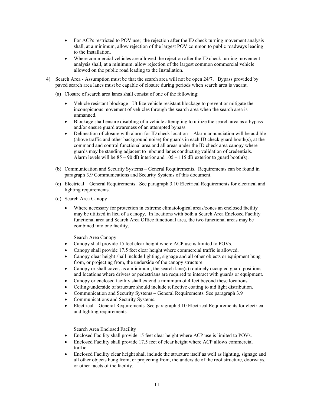- For ACPs restricted to POV use; the rejection after the ID check turning movement analysis shall, at a minimum, allow rejection of the largest POV common to public roadways leading to the Installation.
- Where commercial vehicles are allowed the rejection after the ID check turning movement analysis shall, at a minimum, allow rejection of the largest common commercial vehicle allowed on the public road leading to the Installation.
- 4) Search Area Assumption must be that the search area will not be open 24/7. Bypass provided by paved search area lanes must be capable of closure during periods when search area is vacant.
	- (a) Closure of search area lanes shall consist of one of the following:
		- Vehicle resistant blockage Utilize vehicle resistant blockage to prevent or mitigate the inconspicuous movement of vehicles through the search area when the search area is unmanned.
		- Blockage shall ensure disabling of a vehicle attempting to utilize the search area as a bypass and/or ensure guard awareness of an attempted bypass.
		- Delineation of closure with alarm for ID check location Alarm annunciation will be audible (above traffic and other background noise) for guards in each ID check guard booth(s), at the command and control functional area and all areas under the ID check area canopy where guards may be standing adjacent to inbound lanes conducting validation of credentials. Alarm levels will be  $85 - 90$  dB interior and  $105 - 115$  dB exterior to guard booth(s).
	- (b) Communication and Security Systems General Requirements. Requirements can be found in paragraph 3.9 Communications and Security Systems of this document.
	- (c) Electrical General Requirements. See paragraph 3.10 Electrical Requirements for electrical and lighting requirements.
	- (d) Search Area Canopy
		- Where necessary for protection in extreme climatological areas/zones an enclosed facility may be utilized in lieu of a canopy. In locations with both a Search Area Enclosed Facility functional area and Search Area Office functional area, the two functional areas may be combined into one facility.

Search Area Canopy

- Canopy shall provide 15 feet clear height where ACP use is limited to POVs.
- Canopy shall provide 17.5 feet clear height where commercial traffic is allowed.
- Canopy clear height shall include lighting, signage and all other objects or equipment hung from, or projecting from, the underside of the canopy structure.
- Canopy or shall cover, as a minimum, the search lane(s) routinely occupied guard positions and locations where drivers or pedestrians are required to interact with guards or equipment.
- Canopy or enclosed facility shall extend a minimum of 4 feet beyond these locations.
- Ceiling/underside of structure should include reflective coating to aid light distribution.
- Communication and Security Systems General Requirements. See paragraph 3.9
- Communications and Security Systems.
- Electrical General Requirements. See paragraph 3.10 Electrical Requirements for electrical and lighting requirements.

Search Area Enclosed Facility

- Enclosed Facility shall provide 15 feet clear height where ACP use is limited to POVs.
- Enclosed Facility shall provide 17.5 feet of clear height where ACP allows commercial traffic.
- Enclosed Facility clear height shall include the structure itself as well as lighting, signage and all other objects hung from, or projecting from, the underside of the roof structure, doorways, or other facets of the facility.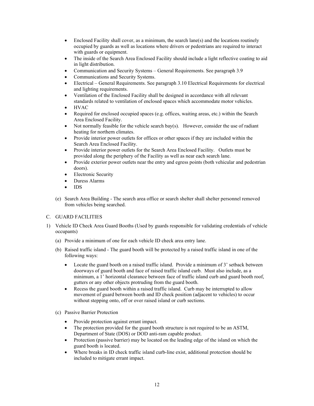- Enclosed Facility shall cover, as a minimum, the search lane(s) and the locations routinely occupied by guards as well as locations where drivers or pedestrians are required to interact with guards or equipment.
- The inside of the Search Area Enclosed Facility should include a light reflective coating to aid in light distribution.
- Communication and Security Systems General Requirements. See paragraph 3.9
- Communications and Security Systems.
- Electrical General Requirements. See paragraph 3.10 Electrical Requirements for electrical and lighting requirements.
- Ventilation of the Enclosed Facility shall be designed in accordance with all relevant standards related to ventilation of enclosed spaces which accommodate motor vehicles.
- HVAC
- Required for enclosed occupied spaces (e.g. offices, waiting areas, etc.) within the Search Area Enclosed Facility.
- Not normally feasible for the vehicle search bay(s). However, consider the use of radiant heating for northern climates.
- Provide interior power outlets for offices or other spaces if they are included within the Search Area Enclosed Facility.
- Provide interior power outlets for the Search Area Enclosed Facility. Outlets must be provided along the periphery of the Facility as well as near each search lane.
- Provide exterior power outlets near the entry and egress points (both vehicular and pedestrian doors).
- Electronic Security
- Duress Alarms
- IDS
- (e) Search Area Building The search area office or search shelter shall shelter personnel removed from vehicles being searched.

## C. GUARD FACILITIES

- 1) Vehicle ID Check Area Guard Booths (Used by guards responsible for validating credentials of vehicle occupants)
	- (a) Provide a minimum of one for each vehicle ID check area entry lane.
	- (b) Raised traffic island The guard booth will be protected by a raised traffic island in one of the following ways:
		- Locate the guard booth on a raised traffic island. Provide a minimum of 3' setback between doorways of guard booth and face of raised traffic island curb. Must also include, as a minimum, a 1' horizontal clearance between face of traffic island curb and guard booth roof, gutters or any other objects protruding from the guard booth.
		- Recess the guard booth within a raised traffic island. Curb may be interrupted to allow movement of guard between booth and ID check position (adjacent to vehicles) to occur without stepping onto, off or over raised island or curb sections.
	- (c) Passive Barrier Protection
		- Provide protection against errant impact.
		- The protection provided for the guard booth structure is not required to be an ASTM, Department of State (DOS) or DOD anti-ram capable product.
		- Protection (passive barrier) may be located on the leading edge of the island on which the guard booth is located.
		- Where breaks in ID check traffic island curb-line exist, additional protection should be included to mitigate errant impact.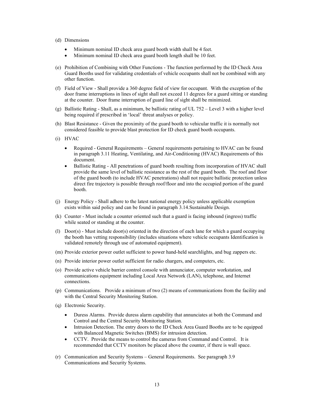#### (d) Dimensions

- Minimum nominal ID check area guard booth width shall be 4 feet.
- Minimum nominal ID check area guard booth length shall be 10 feet.
- (e) Prohibition of Combining with Other Functions The function performed by the ID Check Area Guard Booths used for validating credentials of vehicle occupants shall not be combined with any other function.
- (f) Field of View Shall provide a 360 degree field of view for occupant. With the exception of the door frame interruptions in lines of sight shall not exceed 11 degrees for a guard sitting or standing at the counter. Door frame interruption of guard line of sight shall be minimized.
- (g) Ballistic Rating Shall, as a minimum, be ballistic rating of UL 752 Level 3 with a higher level being required if prescribed in 'local' threat analyses or policy.
- (h) Blast Resistance Given the proximity of the guard booth to vehicular traffic it is normally not considered feasible to provide blast protection for ID check guard booth occupants.
- (i) HVAC
	- Required General Requirements General requirements pertaining to HVAC can be found in paragraph 3.11 Heating, Ventilating, and Air-Conditioning (HVAC) Requirements of this document.
	- Ballistic Rating All penetrations of guard booth resulting from incorporation of HVAC shall provide the same level of ballistic resistance as the rest of the guard booth. The roof and floor of the guard booth (to include HVAC penetrations) shall not require ballistic protection unless direct fire trajectory is possible through roof/floor and into the occupied portion of the guard booth.
- (j) Energy Policy Shall adhere to the latest national energy policy unless applicable exemption exists within said policy and can be found in paragraph 3.14.Sustainable Design.
- (k) Counter Must include a counter oriented such that a guard is facing inbound (ingress) traffic while seated or standing at the counter.
- (l) Door(s) Must include door(s) oriented in the direction of each lane for which a guard occupying the booth has vetting responsibility (includes situations where vehicle occupants Identification is validated remotely through use of automated equipment).
- (m) Provide exterior power outlet sufficient to power hand-held searchlights, and bug zappers etc.
- (n) Provide interior power outlet sufficient for radio chargers, and computers, etc.
- (o) Provide active vehicle barrier control console with annunciator, computer workstation, and communications equipment including Local Area Network (LAN), telephone, and Internet connections.
- (p) Communications. Provide a minimum of two (2) means of communications from the facility and with the Central Security Monitoring Station.
- (q) Electronic Security.
	- Duress Alarms. Provide duress alarm capability that annunciates at both the Command and Control and the Central Security Monitoring Station.
	- Intrusion Detection. The entry doors to the ID Check Area Guard Booths are to be equipped with Balanced Magnetic Switches (BMS) for intrusion detection.
	- CCTV. Provide the means to control the cameras from Command and Control. It is recommended that CCTV monitors be placed above the counter, if there is wall space.
- (r) Communication and Security Systems General Requirements. See paragraph 3.9 Communications and Security Systems.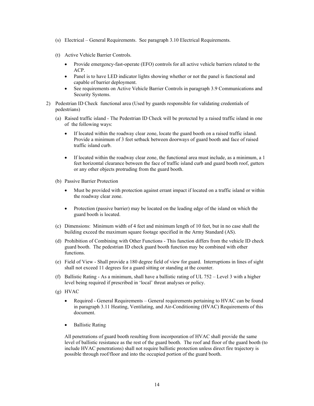- (s) Electrical General Requirements. See paragraph 3.10 Electrical Requirements.
- (t) Active Vehicle Barrier Controls.
	- Provide emergency-fast-operate (EFO) controls for all active vehicle barriers related to the ACP.
	- Panel is to have LED indicator lights showing whether or not the panel is functional and capable of barrier deployment.
	- See requirements on Active Vehicle Barrier Controls in paragraph 3.9 Communications and Security Systems.
- 2) Pedestrian ID Check functional area (Used by guards responsible for validating credentials of pedestrians)
	- (a) Raised traffic island The Pedestrian ID Check will be protected by a raised traffic island in one of the following ways:
		- If located within the roadway clear zone, locate the guard booth on a raised traffic island. Provide a minimum of 3 feet setback between doorways of guard booth and face of raised traffic island curb.
		- If located within the roadway clear zone, the functional area must include, as a minimum, a 1 feet horizontal clearance between the face of traffic island curb and guard booth roof, gutters or any other objects protruding from the guard booth.
	- (b) Passive Barrier Protection
		- Must be provided with protection against errant impact if located on a traffic island or within the roadway clear zone.
		- Protection (passive barrier) may be located on the leading edge of the island on which the guard booth is located.
	- (c) Dimensions: Minimum width of 4 feet and minimum length of 10 feet, but in no case shall the building exceed the maximum square footage specified in the Army Standard (AS).
	- (d) Prohibition of Combining with Other Functions This function differs from the vehicle ID check guard booth. The pedestrian ID check guard booth function may be combined with other functions.
	- (e) Field of View Shall provide a 180 degree field of view for guard. Interruptions in lines of sight shall not exceed 11 degrees for a guard sitting or standing at the counter.
	- (f) Ballistic Rating As a minimum, shall have a ballistic rating of UL 752 Level 3 with a higher level being required if prescribed in 'local' threat analyses or policy.
	- (g) HVAC
		- Required General Requirements General requirements pertaining to HVAC can be found in paragraph 3.11 Heating, Ventilating, and Air-Conditioning (HVAC) Requirements of this document.
		- Ballistic Rating

All penetrations of guard booth resulting from incorporation of HVAC shall provide the same level of ballistic resistance as the rest of the guard booth. The roof and floor of the guard booth (to include HVAC penetrations) shall not require ballistic protection unless direct fire trajectory is possible through roof/floor and into the occupied portion of the guard booth.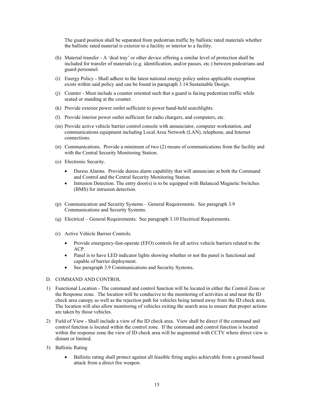The guard position shall be separated from pedestrian traffic by ballistic rated materials whether the ballistic rated material is exterior to a facility or interior to a facility.

- (h) Material transfer A 'deal tray' or other device offering a similar level of protection shall be included for transfer of materials (e.g. identification, and/or passes, etc.) between pedestrians and guard personnel.
- (i) Energy Policy Shall adhere to the latest national energy policy unless applicable exemption exists within said policy and can be found in paragraph 3.14.Sustainable Design.
- (j) Counter Must include a counter oriented such that a guard is facing pedestrian traffic while seated or standing at the counter.
- (k) Provide exterior power outlet sufficient to power hand-held searchlights.
- (l) Provide interior power outlet sufficient for radio chargers, and computers, etc.
- (m) Provide active vehicle barrier control console with annunciator, computer workstation, and communications equipment including Local Area Network (LAN), telephone, and Internet connections.
- (n) Communications. Provide a minimum of two (2) means of communications from the facility and with the Central Security Monitoring Station.
- (o) Electronic Security.
	- Duress Alarms. Provide duress alarm capability that will annunciate at both the Command and Control and the Central Security Monitoring Station.
	- Intrusion Detection. The entry door(s) is to be equipped with Balanced Magnetic Switches (BMS) for intrusion detection.
- (p) Communication and Security Systems General Requirements. See paragraph 3.9 Communications and Security Systems.
- (q) Electrical General Requirements. See paragraph 3.10 Electrical Requirements.
- (r) Active Vehicle Barrier Controls.
	- Provide emergency-fast-operate (EFO) controls for all active vehicle barriers related to the ACP.
	- Panel is to have LED indicator lights showing whether or not the panel is functional and capable of barrier deployment.
	- See paragraph 3.9 Communications and Security Systems.

#### D. COMMAND AND CONTROL

- 1) Functional Location The command and control function will be located in either the Control Zone or the Response zone. The location will be conducive to the monitoring of activities at and near the ID check area canopy as well as the rejection path for vehicles being turned away from the ID check area. The location will also allow monitoring of vehicles exiting the search area to ensure that proper actions are taken by those vehicles.
- 2) Field of View Shall include a view of the ID check area. View shall be direct if the command and control function is located within the control zone. If the command and control function is located within the response zone the view of ID check area will be augmented with CCTV where direct view is distant or limited.
- 3) Ballistic Rating
	- Ballistic rating shall protect against all feasible firing angles achievable from a ground based attack from a direct fire weapon.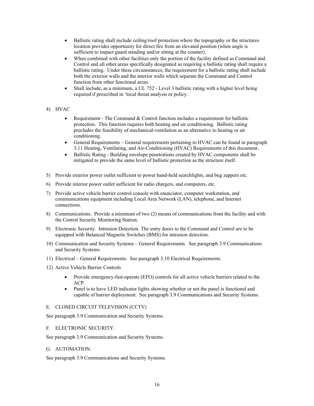- Ballistic rating shall include ceiling/roof protection where the topography or the structures location provides opportunity for direct fire from an elevated position (when angle is sufficient to impact guard standing and/or sitting at the counter).
- When combined with other facilities only the portion of the facility defined as Command and Control and all other areas specifically designated as requiring a ballistic rating shall require a ballistic rating. Under these circumstances, the requirement for a ballistic rating shall include both the exterior walls and the interior walls which separate the Command and Control function from other functional areas.
- Shall include, as a minimum, a UL 752 Level 3 ballistic rating with a higher level being required if prescribed in 'local threat analysis or policy.

## 4) HVAC

- Requirement The Command & Control function includes a requirement for ballistic protection. This function requires both heating and air conditioning. Ballistic rating precludes the feasibility of mechanical-ventilation as an alternative to heating or air conditioning.
- General Requirements General requirements pertaining to HVAC can be found in paragraph 3.11 Heating, Ventilating, and Air-Conditioning (HVAC) Requirements of this document.
- Ballistic Rating Building envelope penetrations created by HVAC components shall be mitigated to provide the same level of ballistic protection as the structure itself.
- 5) Provide exterior power outlet sufficient to power hand-held searchlights, and bug zappers etc.
- 6) Provide interior power outlet sufficient for radio chargers, and computers, etc.
- 7) Provide active vehicle barrier control console with enunciator, computer workstation, and communications equipment including Local Area Network (LAN), telephone, and Internet connections.
- 8) Communications. Provide a minimum of two (2) means of communications from the facility and with the Central Security Monitoring Station.
- 9) Electronic Security. Intrusion Detection. The entry doors to the Command and Control are to be equipped with Balanced Magnetic Switches (BMS) for intrusion detection.
- 10) Communication and Security Systems General Requirements. See paragraph 3.9 Communications and Security Systems.
- 11) Electrical General Requirements. See paragraph 3.10 Electrical Requirements.
- 12) Active Vehicle Barrier Controls
	- Provide emergency-fast-operate (EFO) controls for all active vehicle barriers related to the ACP.
	- Panel is to have LED indicator lights showing whether or not the panel is functional and capable of barrier deployment. See paragraph 3.9 Communications and Security Systems.

## E. CLOSED CIRCUIT TELEVISION (CCTV)

See paragraph 3.9 Communication and Security Systems.

## F. ELECTRONIC SECURITY.

See paragraph 3.9 Communication and Security Systems.

#### G. AUTOMATION.

See paragraph 3.9 Communications and Security Systems.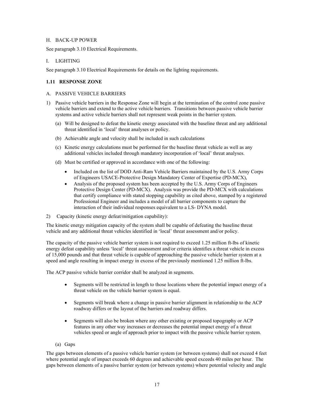#### H. BACK-UP POWER

See paragraph 3.10 Electrical Requirements.

#### I. LIGHTING

See paragraph 3.10 Electrical Requirements for details on the lighting requirements.

## <span id="page-18-0"></span>**1.11 RESPONSE ZONE**

#### A. PASSIVE VEHICLE BARRIERS

- 1) Passive vehicle barriers in the Response Zone will begin at the termination of the control zone passive vehicle barriers and extend to the active vehicle barriers. Transitions between passive vehicle barrier systems and active vehicle barriers shall not represent weak points in the barrier system.
	- (a) Will be designed to defeat the kinetic energy associated with the baseline threat and any additional threat identified in 'local' threat analyses or policy.
	- (b) Achievable angle and velocity shall be included in such calculations
	- (c) Kinetic energy calculations must be performed for the baseline threat vehicle as well as any additional vehicles included through mandatory incorporation of 'local' threat analyses.
	- (d) Must be certified or approved in accordance with one of the following:
		- Included on the list of DOD Anti-Ram Vehicle Barriers maintained by the U.S. Army Corps of Engineers USACE-Protective Design Mandatory Center of Expertise (PD-MCX),
		- Analysis of the proposed system has been accepted by the U.S. Army Corps of Engineers Protective Design Center (PD-MCX). Analysis was provide the PD-MCX with calculations that certify compliance with stated stopping capability as cited above, stamped by a registered Professional Engineer and includes a model of all barrier components to capture the interaction of their individual responses equivalent to a LS- DYNA model.
- 2) Capacity (kinetic energy defeat/mitigation capability):

The kinetic energy mitigation capacity of the system shall be capable of defeating the baseline threat vehicle and any additional threat vehicles identified in 'local' threat assessment and/or policy.

The capacity of the passive vehicle barrier system is not required to exceed 1.25 million ft-lbs of kinetic energy defeat capability unless 'local' threat assessment and/or criteria identifies a threat vehicle in excess of 15,000 pounds and that threat vehicle is capable of approaching the passive vehicle barrier system at a speed and angle resulting in impact energy in excess of the previously mentioned 1.25 million ft-lbs.

The ACP passive vehicle barrier corridor shall be analyzed in segments.

- Segments will be restricted in length to those locations where the potential impact energy of a threat vehicle on the vehicle barrier system is equal.
- Segments will break where a change in passive barrier alignment in relationship to the ACP roadway differs or the layout of the barriers and roadway differs.
- Segments will also be broken where any other existing or proposed topography or ACP features in any other way increases or decreases the potential impact energy of a threat vehicles speed or angle of approach prior to impact with the passive vehicle barrier system.
- (a) Gaps

The gaps between elements of a passive vehicle barrier system (or between systems) shall not exceed 4 feet where potential angle of impact exceeds 60 degrees and achievable speed exceeds 40 miles per hour. The gaps between elements of a passive barrier system (or between systems) where potential velocity and angle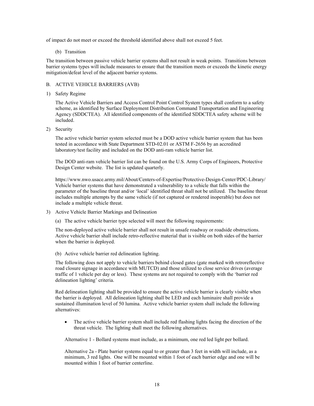of impact do not meet or exceed the threshold identified above shall not exceed 5 feet.

(b) Transition

The transition between passive vehicle barrier systems shall not result in weak points. Transitions between barrier systems types will include measures to ensure that the transition meets or exceeds the kinetic energy mitigation/defeat level of the adjacent barrier systems.

- B. ACTIVE VEHICLE BARRIERS (AVB)
- 1) Safety Regime

The Active Vehicle Barriers and Access Control Point Control System types shall conform to a safety scheme, as identified by Surface Deployment Distribution Command Transportation and Engineering Agency (SDDCTEA). All identified components of the identified SDDCTEA safety scheme will be included.

2) Security

The active vehicle barrier system selected must be a DOD active vehicle barrier system that has been tested in accordance with State Department STD-02.01 or ASTM F-2656 by an accredited laboratory/test facility and included on the DOD anti-ram vehicle barrier list.

The DOD anti-ram vehicle barrier list can be found on the U.S. Army Corps of Engineers, Protective Design Center website. The list is updated quarterly.

https://www.nwo.usace.army.mil/About/Centers-of-Expertise/Protective-Design-Center/PDC-Library/ Vehicle barrier systems that have demonstrated a vulnerability to a vehicle that falls within the parameter of the baseline threat and/or 'local' identified threat shall not be utilized. The baseline threat includes multiple attempts by the same vehicle (if not captured or rendered inoperable) but does not include a multiple vehicle threat.

- 3) Active Vehicle Barrier Markings and Delineation
	- (a) The active vehicle barrier type selected will meet the following requirements:

The non-deployed active vehicle barrier shall not result in unsafe roadway or roadside obstructions. Active vehicle barrier shall include retro-reflective material that is visible on both sides of the barrier when the barrier is deployed.

(b) Active vehicle barrier red delineation lighting.

The following does not apply to vehicle barriers behind closed gates (gate marked with retroreflective road closure signage in accordance with MUTCD) and those utilized to close service drives (average traffic of 1 vehicle per day or less). These systems are not required to comply with the 'barrier red delineation lighting' criteria.

Red delineation lighting shall be provided to ensure the active vehicle barrier is clearly visible when the barrier is deployed. All delineation lighting shall be LED and each luminaire shall provide a sustained illumination level of 50 lumina. Active vehicle barrier system shall include the following alternatives:

• The active vehicle barrier system shall include red flashing lights facing the direction of the threat vehicle. The lighting shall meet the following alternatives.

Alternative 1 - Bollard systems must include, as a minimum, one red led light per bollard.

Alternative 2a - Plate barrier systems equal to or greater than 3 feet in width will include, as a minimum, 3 red lights. One will be mounted within 1 foot of each barrier edge and one will be mounted within 1 foot of barrier centerline.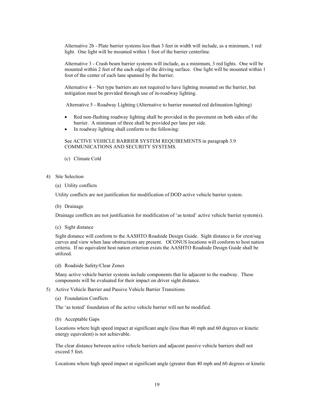Alternative 2b - Plate barrier systems less than 3 feet in width will include, as a minimum, 1 red light. One light will be mounted within 1 foot of the barrier centerline.

Alternative 3 - Crash beam barrier systems will include, as a minimum, 3 red lights. One will be mounted within 2 feet of the each edge of the driving surface. One light will be mounted within 1 foot of the center of each lane spanned by the barrier.

Alternative 4 – Net type barriers are not required to have lighting mounted on the barrier, but mitigation must be provided through use of in-roadway lighting.

Alternative 5 - Roadway Lighting (Alternative to barrier mounted red delineation lighting)

- Red non-flashing roadway lighting shall be provided in the pavement on both sides of the barrier. A minimum of three shall be provided per lane per side.
- In roadway lighting shall conform to the following:

#### See ACTIVE VEHICLE BARRIER SYSTEM REQUIREMENTS in paragraph 3.9 COMMUNICATIONS AND SECURITY SYSTEMS.

- (c) Climate Cold
- 4) Site Selection
	- (a) Utility conflicts

Utility conflicts are not justification for modification of DOD active vehicle barrier system.

(b) Drainage

Drainage conflicts are not justification for modification of 'as tested' active vehicle barrier system(s).

(c) Sight distance

Sight distance will conform to the AASHTO Roadside Design Guide. Sight distance is for crest/sag curves and view when lane obstructions are present. OCONUS locations will conform to host nation criteria. If no equivalent host nation criterion exists the AASHTO Roadside Design Guide shall be utilized.

#### (d) Roadside Safety/Clear Zones

Many active vehicle barrier systems include components that lie adjacent to the roadway. These components will be evaluated for their impact on driver sight distance.

- 5) Active Vehicle Barrier and Passive Vehicle Barrier Transitions
	- (a) Foundation Conflicts

The 'as tested' foundation of the active vehicle barrier will not be modified.

(b) Acceptable Gaps

Locations where high speed impact at significant angle (less than 40 mph and 60 degrees or kinetic energy equivalent) is not achievable.

The clear distance between active vehicle barriers and adjacent passive vehicle barriers shall not exceed 5 feet.

Locations where high speed impact at significant angle (greater than 40 mph and 60 degrees or kinetic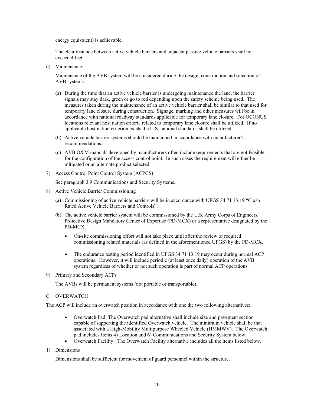energy equivalent) is achievable.

The clear distance between active vehicle barriers and adjacent passive vehicle barriers shall not exceed 4 feet.

6) Maintenance:

Maintenance of the AVB system will be considered during the design, construction and selection of AVB systems.

- (a) During the time that an active vehicle barrier is undergoing maintenance the lane, the barrier signals may stay dark, green or go to red depending upon the safety scheme being used. The measures taken during the maintenance of an active vehicle barrier shall be similar to that used for temporary lane closure during construction. Signage, marking and other measures will be in accordance with national roadway standards applicable for temporary lane closure. For OCONUS locations relevant host nation criteria related to temporary lane closure shall be utilized. If no applicable host nation criterion exists the U.S. national standards shall be utilized.
- (b) Active vehicle barrier systems should be maintained in accordance with manufacturer's recommendations.
- (c) AVB O&M manuals developed by manufacturers often include requirements that are not feasible for the configuration of the access control point. In such cases the requirement will either be mitigated or an alternate product selected.
- 7) Access Control Point Control System (ACPCS)

See paragraph 3.9 Communications and Security Systems.

- 8) Active Vehicle Barrier Commissioning
	- (a) Commissioning of active vehicle barriers will be in accordance with UFGS 34 71 13.19 "Crash Rated Active Vehicle Barriers and Controls".
	- (b) The active vehicle barrier system will be commissioned by the U.S. Army Corps of Engineers, Protective Design Mandatory Center of Expertise (PD-MCX) or a representative designated by the PD-MCX.
		- On-site commissioning effort will not take place until after the review of required commissioning related materials (as defined in the aforementioned UFGS) by the PD-MCX.
		- The endurance testing period identified in UFGS 34 71 13.19 may occur during normal ACP operations. However, it will include periodic (at least once daily) operation of the AVB system regardless of whether or not such operation is part of normal ACP operations.
- 9) Primary and Secondary ACPs

The AVBs will be permanent systems (not portable or transportable).

## C. OVERWATCH

The ACP will include an overwatch position in accordance with one the two following alternatives:

- Overwatch Pad: The Overwatch pad alternative shall include size and pavement section capable of supporting the identified Overwatch vehicle. The minimum vehicle shall be that associated with a High-Mobility Multipurpose Wheeled Vehicle (HMMWV). The Overwatch pad includes Items 4) Location and 6) Communications and Security System below.
- Overwatch Facility: The Overwatch Facility alternative includes all the items listed below.
- 1) Dimensions

Dimensions shall be sufficient for movement of guard personnel within the structure.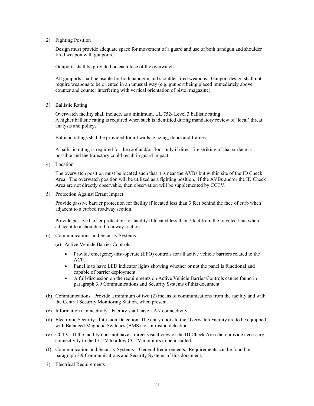2) Fighting Position

Design must provide adequate space for movement of a guard and use of both handgun and shoulder fired weapon with gunports.

Gunports shall be provided on each face of the overwatch.

All gunports shall be usable for both handgun and shoulder fired weapons. Gunport design shall not require weapons to be oriented in an unusual way (e.g. gunport being placed immediately above counter and counter interfering with vertical orientation of pistol magazine).

3) Ballistic Rating

Overwatch facility shall include, as a minimum, UL 752- Level 3 ballistic rating. A higher ballistic rating is required when such is identified during mandatory review of 'local' threat analysis and policy.

Ballistic ratings shall be provided for all walls, glazing, doors and frames.

A ballistic rating is required for the roof and/or floor only if direct fire striking of that surface is possible and the trajectory could result in guard impact.

4) Location

The overwatch position must be located such that it is near the AVBs but within site of the ID Check Area. The overwatch position will be utilized as a fighting position. If the AVBs and/or the ID Check Area are not directly observable, then observation will be supplemented by CCTV.

5) Protection Against Errant Impact

Provide passive barrier protection for facility if located less than 3 feet behind the face of curb when adjacent to a curbed roadway section.

Provide passive barrier protection for facility if located less than 7 feet from the traveled lane when adjacent to a shouldered roadway section.

- 6) Communications and Security Systems
	- (a) Active Vehicle Barrier Controls.
		- Provide emergency-fast-operate (EFO) controls for all active vehicle barriers related to the ACP.
		- Panel is to have LED indicator lights showing whether or not the panel is functional and capable of barrier deployment.
		- A full discussion on the requirements on Active Vehicle Barrier Controls can be found in paragraph 3.9 Communications and Security Systems of this document.
- (b) Communications. Provide a minimum of two (2) means of communications from the facility and with the Central Security Monitoring Station, when present.
- (c) Information Connectivity. Facility shall have LAN connectivity.
- (d) Electronic Security. Intrusion Detection. The entry doors to the Overwatch Facility are to be equipped with Balanced Magnetic Switches (BMS) for intrusion detection.
- (e) CCTV. If the facility does not have a direct visual view of the ID Check Area then provide necessary connectivity to the CCTV to allow CCTV monitors to be installed.
- (f) Communication and Security Systems General Requirements. Requirements can be found in paragraph 3.9 Communications and Security Systems of this document.
- 7) Electrical Requirements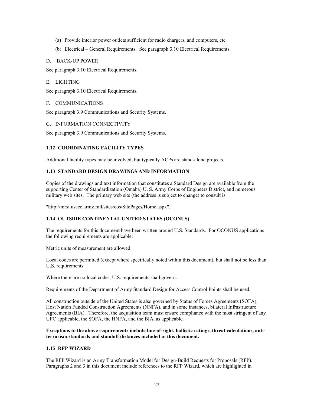- (a) Provide interior power outlets sufficient for radio chargers, and computers, etc.
- (b) Electrical General Requirements. See paragraph 3.10 Electrical Requirements.

#### D. BACK-UP POWER

See paragraph 3.10 Electrical Requirements.

#### E. LIGHTING

See paragraph 3.10 Electrical Requirements.

#### F. COMMUNICATIONS

See paragraph 3.9 Communications and Security Systems.

## G. INFORMATION CONNECTIVITY

See paragraph 3.9 Communications and Security Systems.

## <span id="page-23-0"></span>**1.12 COORDINATING FACILITY TYPES**

Additional facility types may be involved, but typically ACPs are stand-alone projects.

## <span id="page-23-1"></span>**1.13 STANDARD DESIGN DRAWINGS AND INFORMATION**

Copies of the drawings and text information that constitutes a Standard Design are available from the supporting Center of Standardization (Omaha) U. S. Army Corps of Engineers District, and numerous military web sites. The primary web site (the address is subject to change) to consult is:

"http://mrsi.usace.army.mil/sites/cos/SitePages/Home.aspx".

## <span id="page-23-2"></span>**1.14 OUTSIDE CONTINENTAL UNITED STATES (OCONUS)**

The requirements for this document have been written around U.S. Standards. For OCONUS applications the following requirements are applicable:

Metric units of measurement are allowed.

Local codes are permitted (except where specifically noted within this document), but shall not be less than U.S. requirements.

Where there are no local codes, U.S. requirements shall govern.

Requirements of the Department of Army Standard Design for Access Control Points shall be used.

All construction outside of the United States is also governed by Status of Forces Agreements (SOFA), Host Nation Funded Construction Agreements (NNFA), and in some instances, bilateral Infrastructure Agreements (BIA). Therefore, the acquisition team must ensure compliance with the most stringent of any UFC applicable, the SOFA, the HNFA, and the BIA, as applicable.

## **Exceptions to the above requirements include line-of-sight, ballistic ratings, threat calculations, antiterrorism standards and standoff distances included in this document.**

## <span id="page-23-3"></span>**1.15 RFP WIZARD**

The RFP Wizard is an Army Transformation Model for Design-Build Requests for Proposals (RFP). Paragraphs 2 and 3 in this document include references to the RFP Wizard, which are highlighted in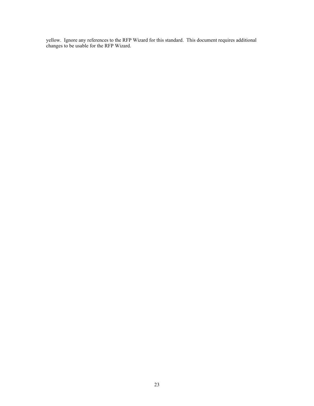yellow. Ignore any references to the RFP Wizard for this standard. This document requires additional changes to be usable for the RFP Wizard.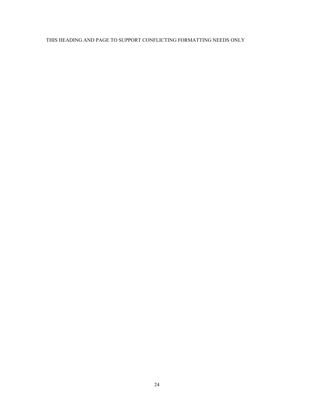## THIS HEADING AND PAGE TO SUPPORT CONFLICTING FORMATTING NEEDS ONLY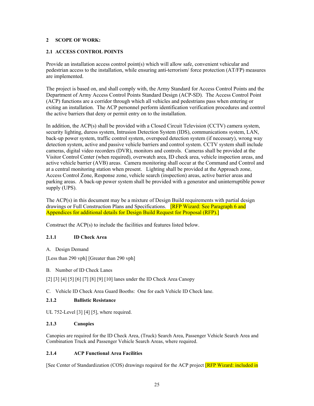#### <span id="page-26-0"></span>**2 SCOPE OF WORK:**

#### <span id="page-26-1"></span>**2.1 ACCESS CONTROL POINTS**

Provide an installation access control point(s) which will allow safe, convenient vehicular and pedestrian access to the installation, while ensuring anti-terrorism/ force protection (AT/FP) measures are implemented.

The project is based on, and shall comply with, the Army Standard for Access Control Points and the Department of Army Access Control Points Standard Design (ACP-SD). The Access Control Point (ACP) functions are a corridor through which all vehicles and pedestrians pass when entering or exiting an installation. The ACP personnel perform identification verification procedures and control the active barriers that deny or permit entry on to the installation.

In addition, the ACP(s) shall be provided with a Closed Circuit Television (CCTV) camera system, security lighting, duress system, Intrusion Detection System (IDS), communications system, LAN, back-up power system, traffic control system, overspeed detection system (if necessary), wrong way detection system, active and passive vehicle barriers and control system. CCTV system shall include cameras, digital video recorders (DVR), monitors and controls. Cameras shall be provided at the Visitor Control Center (when required), overwatch area, ID check area, vehicle inspection areas, and active vehicle barrier (AVB) areas. Camera monitoring shall occur at the Command and Control and at a central monitoring station when present. Lighting shall be provided at the Approach zone, Access Control Zone, Response zone, vehicle search (inspection) areas, active barrier areas and parking areas. A back-up power system shall be provided with a generator and uninterruptible power supply (UPS).

The ACP(s) in this document may be a mixture of Design Build requirements with partial design drawings or Full Construction Plans and Specifications. **[RFP Wizard: See Paragraph 6 and** Appendices for additional details for Design Build Request for Proposal (RFP).]

Construct the ACP(s) to include the facilities and features listed below.

## <span id="page-26-2"></span>**2.1.1 ID Check Area**

A. Design Demand

[Less than 290 vph] [Greater than 290 vph]

B. Number of ID Check Lanes

[2] [3] [4] [5] [6] [7] [8] [9] [10] lanes under the ID Check Area Canopy

C. Vehicle ID Check Area Guard Booths: One for each Vehicle ID Check lane.

## <span id="page-26-3"></span>**2.1.2 Ballistic Resistance**

UL 752-Level [3] [4] [5], where required.

## <span id="page-26-4"></span>**2.1.3 Canopies**

Canopies are required for the ID Check Area, (Truck) Search Area, Passenger Vehicle Search Area and Combination Truck and Passenger Vehicle Search Areas, where required.

## <span id="page-26-5"></span>**2.1.4 ACP Functional Area Facilities**

[See Center of Standardization (COS) drawings required for the ACP project **[RFP Wizard: included in**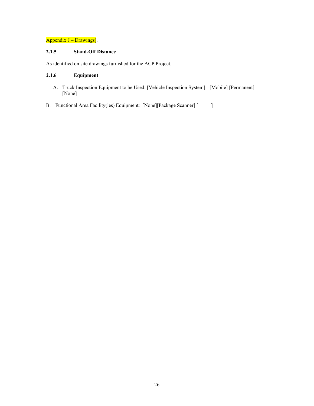## Appendix J – Drawings].

## <span id="page-27-0"></span>**2.1.5 Stand-Off Distance**

As identified on site drawings furnished for the ACP Project.

## <span id="page-27-1"></span>**2.1.6 Equipment**

- A. Truck Inspection Equipment to be Used: [Vehicle Inspection System] [Mobile] [Permanent] [None]
- B. Functional Area Facility(ies) Equipment: [None][Package Scanner] [\_\_\_\_\_]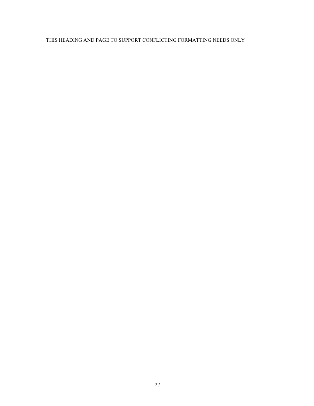## THIS HEADING AND PAGE TO SUPPORT CONFLICTING FORMATTING NEEDS ONLY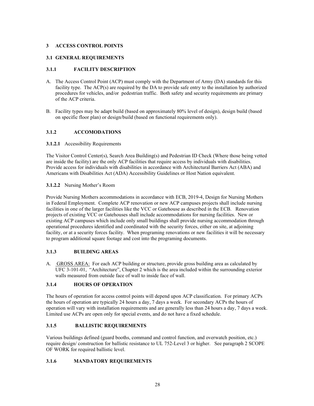## <span id="page-29-0"></span>**3 ACCESS CONTROL POINTS**

## <span id="page-29-1"></span>**3.1 GENERAL REQUIREMENTS**

## <span id="page-29-2"></span>**3.1.1 FACILITY DESCRIPTION**

- A. The Access Control Point (ACP) must comply with the Department of Army (DA) standards for this facility type. The ACP(s) are required by the DA to provide safe entry to the installation by authorized procedures for vehicles, and/or pedestrian traffic. Both safety and security requirements are primary of the ACP criteria.
- B. Facility types may be adapt build (based on approximately 80% level of design), design build (based on specific floor plan) or design/build (based on functional requirements only).

## <span id="page-29-3"></span>**3.1.2 ACCOMODATIONS**

## **3.1.2.1** Accessibility Requirements

The Visitor Control Center(s), Search Area Building(s) and Pedestrian ID Check (Where those being vetted are inside the facility) are the only ACP facilities that require access by individuals with disabilities. Provide access for individuals with disabilities in accordance with Architectural Barriers Act (ABA) and Americans with Disabilities Act (ADA) Accessibility Guidelines or Host Nation equivalent.

#### **3.1.2.2** Nursing Mother's Room

Provide Nursing Mothers accommodations in accordance with ECB, 2019-4, Design for Nursing Mothers in Federal Employment. Complete ACP renovation or new ACP campuses projects shall include nursing facilities in one of the larger facilities like the VCC or Gatehouse as described in the ECB. Renovation projects of existing VCC or Gatehouses shall include accommodations for nursing facilities. New or existing ACP campuses which include only small buildings shall provide nursing accommodation through operational procedures identified and coordinated with the security forces, either on site, at adjoining facility, or at a security forces facility. When programing renovations or new facilities it will be necessary to program additional square footage and cost into the programing documents.

## <span id="page-29-4"></span>**3.1.3 BUILDING AREAS**

A. GROSS AREA: For each ACP building or structure, provide gross building area as calculated by UFC 3-101-01, "Architecture", Chapter 2 which is the area included within the surrounding exterior walls measured from outside face of wall to inside face of wall.

## <span id="page-29-5"></span>**3.1.4 HOURS OF OPERATION**

The hours of operation for access control points will depend upon ACP classification. For primary ACPs the hours of operation are typically 24 hours a day, 7 days a week. For secondary ACPs the hours of operation will vary with installation requirements and are generally less than 24 hours a day, 7 days a week. Limited use ACPs are open only for special events, and do not have a fixed schedule.

## <span id="page-29-6"></span>**3.1.5 BALLISTIC REQUIREMENTS**

Various buildings defined (guard booths, command and control function, and overwatch position, etc.) require design/ construction for ballistic resistance to UL 752-Level 3 or higher. See paragraph 2 SCOPE OF WORK for required ballistic level.

## <span id="page-29-7"></span>**3.1.6 MANDATORY REQUIREMENTS**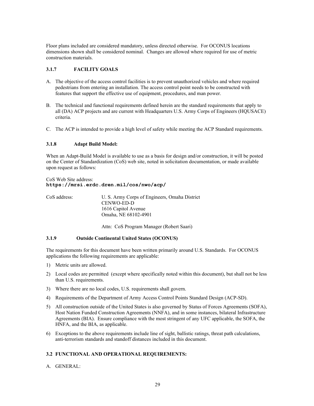Floor plans included are considered mandatory, unless directed otherwise. For OCONUS locations dimensions shown shall be considered nominal. Changes are allowed where required for use of metric construction materials.

## <span id="page-30-0"></span>**3.1.7 FACILITY GOALS**

- A. The objective of the access control facilities is to prevent unauthorized vehicles and where required pedestrians from entering an installation. The access control point needs to be constructed with features that support the effective use of equipment, procedures, and man power.
- B. The technical and functional requirements defined herein are the standard requirements that apply to all (DA) ACP projects and are current with Headquarters U.S. Army Corps of Engineers (HQUSACE) criteria.
- C. The ACP is intended to provide a high level of safety while meeting the ACP Standard requirements.

#### <span id="page-30-1"></span>**3.1.8 Adapt Build Model:**

When an Adapt-Build Model is available to use as a basis for design and/or construction, it will be posted on the Center of Standardization (CoS) web site, noted in solicitation documentation, or made available upon request as follows:

CoS Web Site address: **https://mrsi.erdc.dren.mil/cos/nwo/acp/**

| CoS address: | U. S. Army Corps of Engineers, Omaha District |
|--------------|-----------------------------------------------|
|              | CENWO-ED-D<br>1616 Capitol Avenue             |
|              | Omaha, NE 68102-4901                          |

<span id="page-30-2"></span>Attn: CoS Program Manager (Robert Saari)

#### **3.1.9 Outside Continental United States (OCONUS)**

The requirements for this document have been written primarily around U.S. Standards. For OCONUS applications the following requirements are applicable:

- 1) Metric units are allowed.
- 2) Local codes are permitted (except where specifically noted within this document), but shall not be less than U.S. requirements.
- 3) Where there are no local codes, U.S. requirements shall govern.
- 4) Requirements of the Department of Army Access Control Points Standard Design (ACP-SD).
- 5) All construction outside of the United States is also governed by Status of Forces Agreements (SOFA), Host Nation Funded Construction Agreements (NNFA), and in some instances, bilateral Infrastructure Agreements (BIA). Ensure compliance with the most stringent of any UFC applicable, the SOFA, the HNFA, and the BIA, as applicable.
- 6) Exceptions to the above requirements include line of sight, ballistic ratings, threat path calculations, anti-terrorism standards and standoff distances included in this document.

#### <span id="page-30-3"></span>**3.2 FUNCTIONAL AND OPERATIONAL REQUIREMENTS:**

A. GENERAL: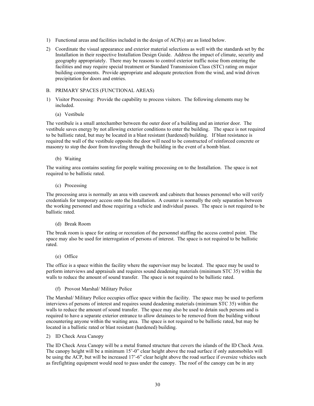- 1) Functional areas and facilities included in the design of ACP(s) are as listed below.
- 2) Coordinate the visual appearance and exterior material selections as well with the standards set by the Installation in their respective Installation Design Guide. Address the impact of climate, security and geography appropriately. There may be reasons to control exterior traffic noise from entering the facilities and may require special treatment or Standard Transmission Class (STC) rating on major building components. Provide appropriate and adequate protection from the wind, and wind driven precipitation for doors and entries.

#### B. PRIMARY SPACES (FUNCTIONAL AREAS)

- 1) Visitor Processing: Provide the capability to process visitors. The following elements may be included.
	- (a) Vestibule

The vestibule is a small antechamber between the outer door of a building and an interior door. The vestibule saves energy by not allowing exterior conditions to enter the building. The space is not required to be ballistic rated, but may be located in a blast resistant (hardened) building. If blast resistance is required the wall of the vestibule opposite the door will need to be constructed of reinforced concrete or masonry to stop the door from traveling through the building in the event of a bomb blast.

(b) Waiting

The waiting area contains seating for people waiting processing on to the Installation. The space is not required to be ballistic rated.

(c) Processing

The processing area is normally an area with casework and cabinets that houses personnel who will verify credentials for temporary access onto the Installation. A counter is normally the only separation between the working personnel and those requiring a vehicle and individual passes. The space is not required to be ballistic rated.

#### (d) Break Room

The break room is space for eating or recreation of the personnel staffing the access control point. The space may also be used for interrogation of persons of interest. The space is not required to be ballistic rated.

(e) Office

The office is a space within the facility where the supervisor may be located. The space may be used to perform interviews and appraisals and requires sound deadening materials (minimum STC 35) within the walls to reduce the amount of sound transfer. The space is not required to be ballistic rated.

(f) Provost Marshal/ Military Police

The Marshal/ Military Police occupies office space within the facility. The space may be used to perform interviews of persons of interest and requires sound deadening materials (minimum STC 35) within the walls to reduce the amount of sound transfer. The space may also be used to detain such persons and is required to have a separate exterior entrance to allow detainees to be removed from the building without encountering anyone within the waiting area. The space is not required to be ballistic rated, but may be located in a ballistic rated or blast resistant (hardened) building.

2) ID Check Area Canopy

The ID Check Area Canopy will be a metal framed structure that covers the islands of the ID Check Area. The canopy height will be a minimum 15'-0" clear height above the road surface if only automobiles will be using the ACP, but will be increased 17'-6" clear height above the road surface if oversize vehicles such as firefighting equipment would need to pass under the canopy. The roof of the canopy can be in any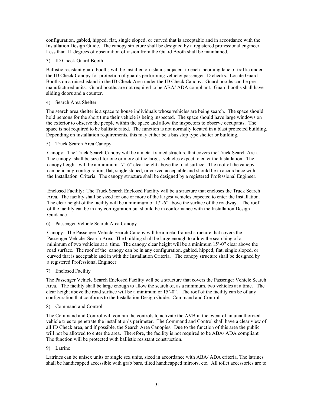configuration, gabled, hipped, flat, single sloped, or curved that is acceptable and in accordance with the Installation Design Guide. The canopy structure shall be designed by a registered professional engineer. Less than 11 degrees of obscuration of vision from the Guard Booth shall be maintained.

## 3) ID Check Guard Booth

Ballistic resistant guard booths will be installed on islands adjacent to each incoming lane of traffic under the ID Check Canopy for protection of guards performing vehicle/ passenger ID checks. Locate Guard Booths on a raised island in the ID Check Area under the ID Check Canopy. Guard booths can be premanufactured units. Guard booths are not required to be ABA/ ADA compliant. Guard booths shall have sliding doors and a counter.

## 4) Search Area Shelter

The search area shelter is a space to house individuals whose vehicles are being search. The space should hold persons for the short time their vehicle is being inspected. The space should have large windows on the exterior to observe the people within the space and allow the inspectors to observe occupants. The space is not required to be ballistic rated. The function is not normally located in a blast protected building. Depending on installation requirements, this may either be a bus stop type shelter or building.

## 5) Truck Search Area Canopy

Canopy: The Truck Search Canopy will be a metal framed structure that covers the Truck Search Area. The canopy shall be sized for one or more of the largest vehicles expect to enter the Installation. The canopy height will be a minimum 17'-6" clear height above the road surface. The roof of the canopy can be in any configuration, flat, single sloped, or curved acceptable and should be in accordance with the Installation Criteria. The canopy structure shall be designed by a registered Professional Engineer.

Enclosed Facility: The Truck Search Enclosed Facility will be a structure that encloses the Truck Search Area. The facility shall be sized for one or more of the largest vehicles expected to enter the Installation. The clear height of the facility will be a minimum of 17'-6" above the surface of the roadway. The roof of the facility can be in any configuration but should be in conformance with the Installation Design Guidance.

## 6) Passenger Vehicle Search Area Canopy

Canopy: The Passenger Vehicle Search Canopy will be a metal framed structure that covers the Passenger Vehicle Search Area. The building shall be large enough to allow the searching of a minimum of two vehicles at a time. The canopy clear height will be a minimum 15'-0" clear above the road surface. The roof of the canopy can be in any configuration, gabled, hipped, flat, single sloped, or curved that is acceptable and in with the Installation Criteria. The canopy structure shall be designed by a registered Professional Engineer.

7) Enclosed Facility

The Passenger Vehicle Search Enclosed Facility will be a structure that covers the Passenger Vehicle Search Area. The facility shall be large enough to allow the search of, as a minimum, two vehicles at a time. The clear height above the road surface will be a minimum or 15'-0". The roof of the facility can be of any configuration that conforms to the Installation Design Guide. Command and Control

## 8) Command and Control

The Command and Control will contain the controls to activate the AVB in the event of an unauthorized vehicle tries to penetrate the installation's perimeter. The Command and Control shall have a clear view of all ID Check area, and if possible, the Search Area Canopies. Due to the function of this area the public will not be allowed to enter the area. Therefore, the facility is not required to be ABA/ ADA compliant. The function will be protected with ballistic resistant construction.

## 9) Latrine

Latrines can be unisex units or single sex units, sized in accordance with ABA/ ADA criteria. The latrines shall be handicapped accessible with grab bars, tilted handicapped mirrors, etc. All toilet accessories are to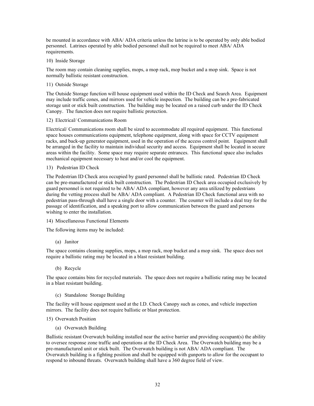be mounted in accordance with ABA/ ADA criteria unless the latrine is to be operated by only able bodied personnel. Latrines operated by able bodied personnel shall not be required to meet ABA/ ADA requirements.

10) Inside Storage

The room may contain cleaning supplies, mops, a mop rack, mop bucket and a mop sink. Space is not normally ballistic resistant construction.

11) Outside Storage

The Outside Storage function will house equipment used within the ID Check and Search Area. Equipment may include traffic cones, and mirrors used for vehicle inspection. The building can be a pre-fabricated storage unit or stick built construction. The building may be located on a raised curb under the ID Check Canopy. The function does not require ballistic protection.

#### 12) Electrical/ Communications Room

Electrical/ Communications room shall be sized to accommodate all required equipment. This functional space houses communications equipment, telephone equipment, along with space for CCTV equipment racks, and back-up generator equipment, used in the operation of the access control point. Equipment shall be arranged in the facility to maintain individual security and access. Equipment shall be located in secure areas within the facility. Some space may require separate entrances. This functional space also includes mechanical equipment necessary to heat and/or cool the equipment.

#### 13) Pedestrian ID Check

The Pedestrian ID Check area occupied by guard personnel shall be ballistic rated. Pedestrian ID Check can be pre-manufactured or stick built construction. The Pedestrian ID Check area occupied exclusively by guard personnel is not required to be ABA/ ADA compliant, however any area utilized by pedestrians during the vetting process shall be ABA/ ADA compliant. A Pedestrian ID Check functional area with no pedestrian pass-through shall have a single door with a counter. The counter will include a deal tray for the passage of identification, and a speaking port to allow communication between the guard and persons wishing to enter the installation.

14) Miscellaneous Functional Elements

The following items may be included:

(a) Janitor

The space contains cleaning supplies, mops, a mop rack, mop bucket and a mop sink. The space does not require a ballistic rating may be located in a blast resistant building.

(b) Recycle

The space contains bins for recycled materials. The space does not require a ballistic rating may be located in a blast resistant building.

(c) Standalone Storage Building

The facility will house equipment used at the I.D. Check Canopy such as cones, and vehicle inspection mirrors. The facility does not require ballistic or blast protection.

#### 15) Overwatch Position

(a) Overwatch Building

Ballistic resistant Overwatch building installed near the active barrier and providing occupant(s) the ability to oversee response zone traffic and operations at the ID Check Area. The Overwatch building may be a pre-manufactured unit or stick built. The Overwatch building is not ABA/ ADA compliant. The Overwatch building is a fighting position and shall be equipped with gunports to allow for the occupant to respond to inbound threats. Overwatch building shall have a 360 degree field of view.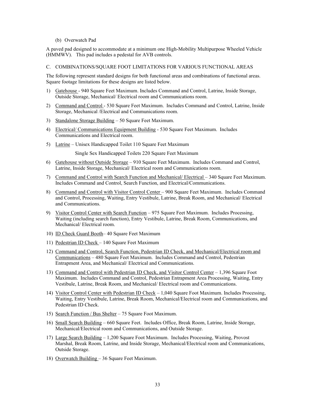#### (b) Overwatch Pad

A paved pad designed to accommodate at a minimum one High-Mobility Multipurpose Wheeled Vehicle (HMMWV). This pad includes a pedestal for AVB controls.

#### C. COMBINATIONS/SQUARE FOOT LIMITATIONS FOR VARIOUS FUNCTIONAL AREAS

The following represent standard designs for both functional areas and combinations of functional areas. Square footage limitations for these designs are listed below.

- 1) Gatehouse 940 Square Feet Maximum. Includes Command and Control, Latrine, Inside Storage, Outside Storage, Mechanical/ Electrical room and Communications room.
- 2) Command and Control 530 Square Feet Maximum. Includes Command and Control, Latrine, Inside Storage, Mechanical /Electrical and Communications room.
- 3) Standalone Storage Building 50 Square Feet Maximum.
- 4) Electrical/ Communications Equipment Building 530 Square Feet Maximum. Includes Communications and Electrical room.
- 5) Latrine Unisex Handicapped Toilet 110 Square Feet Maximum

Single Sex Handicapped Toilets 220 Square Feet Maximum

- 6) Gatehouse without Outside Storage 910 Square Feet Maximum. Includes Command and Control, Latrine, Inside Storage, Mechanical/ Electrical room and Communications room.
- 7) Command and Control with Search Function and Mechanical/ Electrical 340 Square Feet Maximum. Includes Command and Control, Search Function, and Electrical/Communications.
- 8) Command and Control with Visitor Control Center 900 Square Feet Maximum. Includes Command and Control, Processing, Waiting, Entry Vestibule, Latrine, Break Room, and Mechanical/ Electrical and Communications.
- 9) Visitor Control Center with Search Function 975 Square Feet Maximum. Includes Processing, Waiting (including search function), Entry Vestibule, Latrine, Break Room, Communications, and Mechanical/ Electrical room.
- 10) ID Check Guard Booth– 40 Square Feet Maximum
- 11) Pedestrian ID Check 140 Square Feet Maximum
- 12) Command and Control, Search Function, Pedestrian ID Check, and Mechanical/Electrical room and Communications – 480 Square Feet Maximum. Includes Command and Control, Pedestrian Entrapment Area, and Mechanical/ Electrical and Communications.
- 13) Command and Control with Pedestrian ID Check, and Visitor Control Center 1,396 Square Foot Maximum. Includes Command and Control, Pedestrian Entrapment Area Processing, Waiting, Entry Vestibule, Latrine, Break Room, and Mechanical/ Electrical room and Communications.
- 14) Visitor Control Center with Pedestrian ID Check 1,040 Square Foot Maximum. Includes Processing, Waiting, Entry Vestibule, Latrine, Break Room, Mechanical/Electrical room and Communications, and Pedestrian ID Check.
- 15) Search Function / Bus Shelter 75 Square Foot Maximum.
- 16) Small Search Building 660 Square Feet. Includes Office, Break Room, Latrine, Inside Storage, Mechanical/Electrical room and Communications, and Outside Storage.
- 17) Large Search Building 1,200 Square Foot Maximum. Includes Processing, Waiting, Provost Marshal, Break Room, Latrine, and Inside Storage, Mechanical/Electrical room and Communications, Outside Storage.
- 18) Overwatch Building 36 Square Feet Maximum.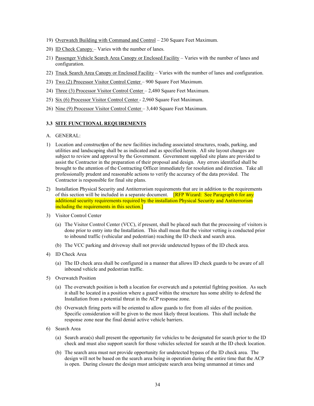- 19) Overwatch Building with Command and Control 230 Square Feet Maximum.
- 20) ID Check Canopy Varies with the number of lanes.
- 21) Passenger Vehicle Search Area Canopy or Enclosed Facility Varies with the number of lanes and configuration.
- 22) Truck Search Area Canopy or Enclosed Facility Varies with the number of lanes and configuration.
- 23) Two (2) Processor Visitor Control Center 900 Square Feet Maximum.
- 24) Three (3) Processor Visitor Control Center 2,480 Square Feet Maximum.
- 25) Six (6) Processor Visitor Control Center 2,960 Square Feet Maximum.
- 26) Nine (9) Processor Visitor Control Center 3,440 Square Feet Maximum.

## <span id="page-35-0"></span>**3.3 SITE FUNCTIONAL REQUIREMENTS**

- A. GENERAL:
- 1) Location and construct**i**on of the new facilities including associated structures, roads, parking, and utilities and landscaping shall be as indicated and as specified herein. All site layout changes are subject to review and approval by the Government. Government supplied site plans are provided to assist the Contractor in the preparation of their proposal and design. Any errors identified shall be brought to the attention of the Contracting Officer immediately for resolution and direction. Take all professionally prudent and reasonable actions to verify the accuracy of the data provided. The Contractor is responsible for final site plans.
- 2) Installation Physical Security and Antiterrorism requirements that are in addition to the requirements of this section will be included in a separate document. **[RFP Wizard: See Paragraph 6 for any** additional security requirements required by the installation Physical Security and Antiterrorism including the requirements in this section.]
- 3) Visitor Control Center
	- (a) The Visitor Control Center (VCC), if present, shall be placed such that the processing of visitors is done prior to entry into the Installation. This shall mean that the visitor vetting is conducted prior to inbound traffic (vehicular and pedestrian) reaching the ID check and search area.
	- (b) The VCC parking and driveway shall not provide undetected bypass of the ID check area.
- 4) ID Check Area
	- (a) The ID check area shall be configured in a manner that allows ID check guards to be aware of all inbound vehicle and pedestrian traffic.
- 5) Overwatch Position
	- (a) The overwatch position is both a location for overwatch and a potential fighting position. As such it shall be located in a position where a guard within the structure has some ability to defend the Installation from a potential threat in the ACP response zone.
	- (b) Overwatch firing ports will be oriented to allow guards to fire from all sides of the position. Specific consideration will be given to the most likely threat locations. This shall include the response zone near the final denial active vehicle barriers.
- 6) Search Area
	- (a) Search area(s) shall present the opportunity for vehicles to be designated for search prior to the ID check and must also support search for those vehicles selected for search at the ID check location.
	- (b) The search area must not provide opportunity for undetected bypass of the ID check area. The design will not be based on the search area being in operation during the entire time that the ACP is open. During closure the design must anticipate search area being unmanned at times and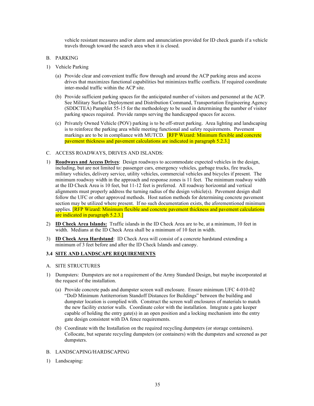vehicle resistant measures and/or alarm and annunciation provided for ID check guards if a vehicle travels through toward the search area when it is closed.

### B. PARKING

- 1) Vehicle Parking
	- (a) Provide clear and convenient traffic flow through and around the ACP parking areas and access drives that maximizes functional capabilities but minimizes traffic conflicts. If required coordinate inter-modal traffic within the ACP site.
	- (b) Provide sufficient parking spaces for the anticipated number of visitors and personnel at the ACP. See Military Surface Deployment and Distribution Command, Transportation Engineering Agency (SDDCTEA) Pamphlet 55-15 for the methodology to be used in determining the number of visitor parking spaces required. Provide ramps serving the handicapped spaces for access.
	- (c) Privately Owned Vehicle (POV) parking is to be off-street parking. Area lighting and landscaping is to reinforce the parking area while meeting functional and safety requirements. Pavement markings are to be in compliance with MUTCD. **[RFP Wizard: Minimum flexible and concrete** pavement thickness and pavement calculations are indicated in paragraph 5.2.3.]

### C. ACCESS ROADWAYS, DRIVES AND ISLANDS:

- 1) **Roadways and Access Drives**: Design roadways to accommodate expected vehicles in the design, including, but are not limited to: passenger cars, emergency vehicles, garbage trucks, fire trucks, military vehicles, delivery service, utility vehicles, commercial vehicles and bicycles if present. The minimum roadway width in the approach and response zones is 11 feet. The minimum roadway width at the ID Check Area is 10 feet, but 11-12 feet is preferred. All roadway horizontal and vertical alignments must properly address the turning radius of the design vehicle(s). Pavement design shall follow the UFC or other approved methods. Host nation methods for determining concrete pavement section may be utilized where present. If no such documentation exists, the aforementioned minimum applies. **[RFP Wizard: Minimum flexible and concrete pavement thickness and pavement calculations** are indicated in paragraph 5.2.3.]
- 2) **ID Check Area Islands:** Traffic islands in the ID Check Area are to be, at a minimum, 10 feet in width. Medians at the ID Check Area shall be a minimum of 10 feet in width.
- 3) **ID Check Area Hardstand**: ID Check Area will consist of a concrete hardstand extending a minimum of 3 feet before and after the ID Check Islands and canopy.

## **3.4 SITE AND LANDSCAPE REQUIREMENTS**

### A. SITE STRUCTURES

- 1) Dumpsters: Dumpsters are not a requirement of the Army Standard Design, but maybe incorporated at the request of the installation.
	- (a) Provide concrete pads and dumpster screen wall enclosure. Ensure minimum UFC 4-010-02 "DoD Minimum Antiterrorism Standoff Distances for Buildings" between the building and dumpster location is complied with. Construct the screen wall enclosures of materials to match the new facility exterior walls. Coordinate color with the installation. Integrate a gate keeper capable of holding the entry gate(s) in an open position and a locking mechanism into the entry gate design consistent with DA fence requirements.
	- (b) Coordinate with the Installation on the required recycling dumpsters (or storage containers). Collocate, but separate recycling dumpsters (or containers) with the dumpsters and screened as per dumpsters.

### B. LANDSCAPING/HARDSCAPING

1) Landscaping: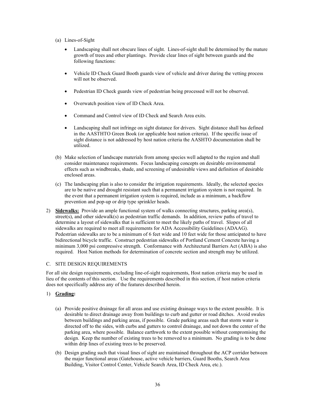### (a) Lines-of-Sight

- Landscaping shall not obscure lines of sight. Lines-of-sight shall be determined by the mature growth of trees and other plantings. Provide clear lines of sight between guards and the following functions:
- Vehicle ID Check Guard Booth guards view of vehicle and driver during the vetting process will not be observed.
- Pedestrian ID Check guards view of pedestrian being processed will not be observed.
- Overwatch position view of ID Check Area.
- Command and Control view of ID Check and Search Area exits.
- Landscaping shall not infringe on sight distance for drivers. Sight distance shall bas defined in the AASTHTO Green Book (or applicable host nation criteria). If the specific issue of sight distance is not addressed by host nation criteria the AASHTO documentation shall be utilized.
- (b) Make selection of landscape materials from among species well adapted to the region and shall consider maintenance requirements. Focus landscaping concepts on desirable environmental effects such as windbreaks, shade, and screening of undesirable views and definition of desirable enclosed areas.
- (c) The landscaping plan is also to consider the irrigation requirements. Ideally, the selected species are to be native and drought resistant such that a permanent irrigation system is not required. In the event that a permanent irrigation system is required, include as a minimum, a backflow prevention and pop-up or drip type sprinkler heads.
- 2) **Sidewalks:** Provide an ample functional system of walks connecting structures, parking area(s), street(s), and other sidewalk(s) as pedestrian traffic demands. In addition, review paths of travel to determine a layout of sidewalks that is sufficient to meet the likely paths of travel. Slopes of all sidewalks are required to meet all requirements for ADA Accessibility Guidelines (ADAAG). Pedestrian sidewalks are to be a minimum of 6 feet wide and 10 feet wide for those anticipated to have bidirectional bicycle traffic. Construct pedestrian sidewalks of Portland Cement Concrete having a minimum 3,000 psi compressive strength. Conformance with Architectural Barriers Act (ABA) is also required. Host Nation methods for determination of concrete section and strength may be utilized.

## C. SITE DESIGN REQUIREMENTS

For all site design requirements, excluding line-of-sight requirements, Host nation criteria may be used in lieu of the contents of this section. Use the requirements described in this section, if host nation criteria does not specifically address any of the features described herein.

## 1) **Grading:**

- (a) Provide positive drainage for all areas and use existing drainage ways to the extent possible. It is desirable to direct drainage away from buildings to curb and gutter or road ditches. Avoid swales between buildings and parking areas, if possible. Grade parking areas such that storm water is directed off to the sides, with curbs and gutters to control drainage, and not down the center of the parking area, where possible. Balance earthwork to the extent possible without compromising the design. Keep the number of existing trees to be removed to a minimum. No grading is to be done within drip lines of existing trees to be preserved.
- (b) Design grading such that visual lines of sight are maintained throughout the ACP corridor between the major functional areas (Gatehouse, active vehicle barriers, Guard Booths, Search Area Building, Visitor Control Center, Vehicle Search Area, ID Check Area, etc.).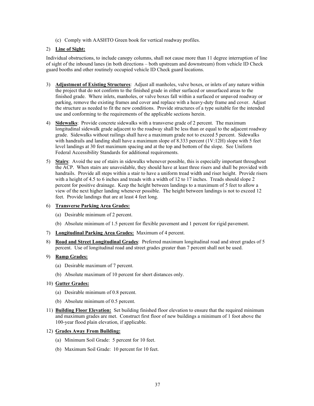(c) Comply with AASHTO Green book for vertical roadway profiles.

## 2) **Line of Sight:**

Individual obstructions, to include canopy columns, shall not cause more than 11 degree interruption of line of sight of the inbound lanes (in both directions – both upstream and downstream) from vehicle ID Check guard booths and other routinely occupied vehicle ID Check guard locations.

- 3) **Adjustment of Existing Structures**: Adjust all manholes, valve boxes, or inlets of any nature within the project that do not conform to the finished grade in either surfaced or unsurfaced areas to the finished grade. Where inlets, manholes, or valve boxes fall within a surfaced or unpaved roadway or parking, remove the existing frames and cover and replace with a heavy-duty frame and cover. Adjust the structure as needed to fit the new conditions. Provide structures of a type suitable for the intended use and conforming to the requirements of the applicable sections herein.
- 4) **Sidewalks**: Provide concrete sidewalks with a transverse grade of 2 percent. The maximum longitudinal sidewalk grade adjacent to the roadway shall be less than or equal to the adjacent roadway grade. Sidewalks without railings shall have a maximum grade not to exceed 5 percent. Sidewalks with handrails and landing shall have a maximum slope of 8.333 percent (1V:12H) slope with 5 feet level landings at 30 feet maximum spacing and at the top and bottom of the slope. See Uniform Federal Accessibility Standards for additional requirements.
- 5) **Stairs**: Avoid the use of stairs in sidewalks whenever possible, this is especially important throughout the ACP. When stairs are unavoidable, they should have at least three risers and shall be provided with handrails. Provide all steps within a stair to have a uniform tread width and riser height. Provide risers with a height of 4.5 to 6 inches and treads with a width of 12 to 17 inches. Treads should slope 2 percent for positive drainage. Keep the height between landings to a maximum of 5 feet to allow a view of the next higher landing whenever possible. The height between landings is not to exceed 12 feet. Provide landings that are at least 4 feet long.

## 6) **Transverse Parking Area Grades:**

- (a) Desirable minimum of 2 percent.
- (b) Absolute minimum of 1.5 percent for flexible pavement and 1 percent for rigid pavement.
- 7) **Longitudinal Parking Area Grades:** Maximum of 4 percent.
- 8) **Road and Street Longitudinal Grades**: Preferred maximum longitudinal road and street grades of 5 percent. Use of longitudinal road and street grades greater than 7 percent shall not be used.

### 9) **Ramp Grades:**

- (a) Desirable maximum of 7 percent.
- (b) Absolute maximum of 10 percent for short distances only.

### 10) **Gutter Grades:**

- (a) Desirable minimum of 0.8 percent.
- (b) Absolute minimum of 0.5 percent.
- 11) **Building Floor Elevation:** Set building finished floor elevation to ensure that the required minimum and maximum grades are met. Construct first floor of new buildings a minimum of 1 foot above the 100-year flood plain elevation, if applicable.

### 12) **Grades Away From Building:**

- (a) Minimum Soil Grade: 5 percent for 10 feet.
- (b) Maximum Soil Grade: 10 percent for 10 feet.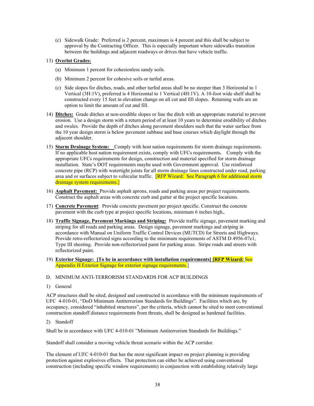(c) Sidewalk Grade: Preferred is 2 percent, maximum is 4 percent and this shall be subject to approval by the Contracting Officer. This is especially important where sidewalks transition between the buildings and adjacent roadways or drives that have vehicle traffic.

## 13) **Overlot Grades:**

- (a) Minimum 1 percent for cohesionless sandy soils.
- (b) Minimum 2 percent for cohesive soils or turfed areas.
- (c) Side slopes for ditches, roads, and other turfed areas shall be no steeper than 3 Horizontal to 1 Vertical (3H:1V), preferred is 4 Horizontal to 1 Vertical (4H:1V). A 10-foot wide shelf shall be constructed every 15 feet in elevation change on all cut and fill slopes. Retaining walls are an option to limit the amount of cut and fill.
- 14) **Ditches:** Grade ditches at non-erodible slopes or line the ditch with an appropriate material to prevent erosion. Use a design storm with a return period of at least 10 years to determine erodibility of ditches and swales. Provide the depth of ditches along pavement shoulders such that the water surface from the 10 year design storm is below pavement subbase and base courses which daylight through the adjacent shoulder.
- 15) **Storm Drainage System:** Comply with host nation requirements for storm drainage requirements. If no applicable host nation requirement exists, comply with UFCs requirements**.** Comply with the appropriate UFCs requirements for design, construction and material specified for storm drainage installation. State's DOT requirements maybe used with Government approval. Use reinforced concrete pipe (RCP) with watertight joints for all storm drainage lines constructed under road, parking area and or surfaces subject to vehicular traffic. **[RFP Wizard: See Paragraph 6 for additional storm** drainage system requirements.]
- 16) **Asphalt Pavement:** Provide asphalt aprons, roads and parking areas per project requirements. Construct the asphalt areas with concrete curb and gutter at the project specific locations.
- 17) **Concrete Pavement**: Provide concrete pavement per project specific. Construct the concrete pavement with the curb type at project specific locations, minimum 6 inches high,.
- 18) **Traffic Signage, Pavement Markings and Striping:** Provide traffic signage, pavement marking and striping for all roads and parking areas. Design signage, pavement markings and striping in accordance with Manual on Uniform Traffic Control Devices (MUTCD) for Streets and Highways. Provide retro-reflectorized signs according to the minimum requirements of ASTM D 4956-07e1, Type III sheeting. Provide non-reflectorized paint for parking areas. Stripe roads and streets with reflectorized paint.
- 19) **Exterior Signage: [To be in accordance with installation requirements] [RFP Wizard:** See Appendix H Exterior Signage for exterior signage requirements.

## D. MINIMUM ANTI-TERRORISM STANDARDS FOR ACP BUILDINGS

1) General

ACP structures shall be sited, designed and constructed in accordance with the minimum requirements of UFC 4-010-01, "DoD Minimum Antiterrorism Standards for Buildings". Facilities which are, by occupancy, considered "inhabited structures", per the criteria, which cannot be sited to meet conventional construction standoff distance requirements from threats, shall be designed as hardened facilities.

## 2) Standoff

Shall be in accordance with UFC 4-010-01 "Minimum Antiterrorism Standards for Buildings."

Standoff shall consider a moving vehicle threat scenario within the ACP corridor.

The element of UFC 4-010-01 that has the most significant impact on project planning is providing protection against explosives effects. That protection can either be achieved using conventional construction (including specific window requirements) in conjunction with establishing relatively large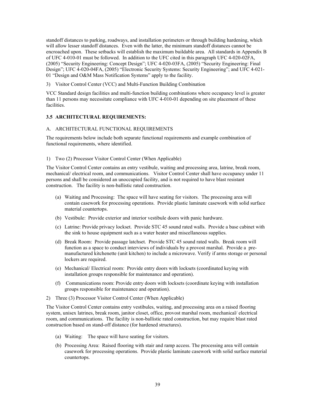standoff distances to parking, roadways, and installation perimeters or through building hardening, which will allow lesser standoff distances. Even with the latter, the minimum standoff distances cannot be encroached upon. These setbacks will establish the maximum buildable area. All standards in Appendix B of UFC 4-010-01 must be followed. In addition to the UFC cited in this paragraph UFC 4-020-02FA, (2005) "Security Engineering: Concept Design"; UFC 4-020-03FA, (2005) "Security Engineering: Final Design"; UFC 4-020-04FA, (2005) "Electronic Security Systems: Security Engineering"; and UFC 4-021- 01 "Design and O&M Mass Notification Systems" apply to the facility.

3) Visitor Control Center (VCC) and Multi-Function Building Combination

VCC Standard design facilities and multi-function building combinations where occupancy level is greater than 11 persons may necessitate compliance with UFC 4-010-01 depending on site placement of these facilities.

### **3.5 ARCHITECTURAL REQUIREMENTS:**

### A. ARCHITECTURAL FUNCTIONAL REQUIREMENTS

The requirements below include both separate functional requirements and example combination of functional requirements, where identified.

1) Two (2) Processor Visitor Control Center (When Applicable)

The Visitor Control Center contains an entry vestibule, waiting and processing area, latrine, break room, mechanical/ electrical room, and communications. Visitor Control Center shall have occupancy under 11 persons and shall be considered an unoccupied facility, and is not required to have blast resistant construction. The facility is non-ballistic rated construction.

- (a) Waiting and Processing: The space will have seating for visitors. The processing area will contain casework for processing operations. Provide plastic laminate casework with solid surface material countertops.
- (b) Vestibule: Provide exterior and interior vestibule doors with panic hardware.
- (c) Latrine: Provide privacy lockset. Provide STC 45 sound rated walls. Provide a base cabinet with the sink to house equipment such as a water heater and miscellaneous supplies.
- (d) Break Room: Provide passage latchset. Provide STC 45 sound rated walls. Break room will function as a space to conduct interviews of individuals by a provost marshal. Provide a premanufactured kitchenette (unit kitchen) to include a microwave. Verify if arms storage or personal lockers are required.
- (e) Mechanical/ Electrical room: Provide entry doors with locksets (coordinated keying with installation groups responsible for maintenance and operation).
- (f) Communications room: Provide entry doors with locksets (coordinate keying with installation groups responsible for maintenance and operation).
- 2) Three (3) Processor Visitor Control Center (When Applicable)

The Visitor Control Center contains entry vestibules, waiting, and processing area on a raised flooring system, unisex latrines, break room, janitor closet, office, provost marshal room, mechanical/ electrical room, and communications. The facility is non-ballistic rated construction, but may require blast rated construction based on stand-off distance (for hardened structures).

- (a) Waiting: The space will have seating for visitors.
- (b) Processing Area: Raised flooring with stair and ramp access. The processing area will contain casework for processing operations. Provide plastic laminate casework with solid surface material countertops.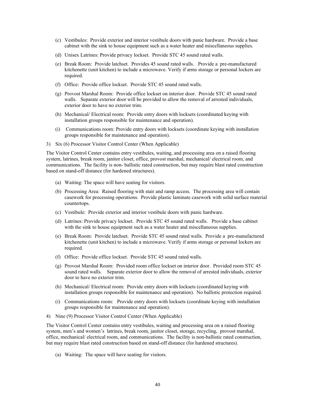- (c) Vestibules: Provide exterior and interior vestibule doors with panic hardware. Provide a base cabinet with the sink to house equipment such as a water heater and miscellaneous supplies.
- (d) Unisex Latrines: Provide privacy lockset. Provide STC 45 sound rated walls.
- (e) Break Room: Provide latchset. Provides 45 sound rated walls. Provide a pre-manufactured kitchenette (unit kitchen) to include a microwave. Verify if arms storage or personal lockers are required.
- (f) Office: Provide office lockset. Provide STC 45 sound rated walls.
- (g) Provost Marshal Room: Provide office lockset on interior door. Provide STC 45 sound rated walls. Separate exterior door will be provided to allow the removal of arrested individuals, exterior door to have no exterior trim.
- (h) Mechanical/ Electrical room: Provide entry doors with locksets (coordinated keying with installation groups responsible for maintenance and operation).
- (i) Communications room: Provide entry doors with locksets (coordinate keying with installation groups responsible for maintenance and operation).
- 3) Six (6) Processor Visitor Control Center (When Applicable)

The Visitor Control Center contains entry vestibules, waiting, and processing area on a raised flooring system, latrines, break room, janitor closet, office, provost marshal, mechanical/ electrical room, and communications. The facility is non- ballistic rated construction, but may require blast rated construction based on stand-off distance (for hardened structures).

- (a) Waiting: The space will have seating for visitors.
- (b) Processing Area: Raised flooring with stair and ramp access. The processing area will contain casework for processing operations. Provide plastic laminate casework with solid surface material countertops.
- (c) Vestibule: Provide exterior and interior vestibule doors with panic hardware.
- (d) Latrines: Provide privacy lockset. Provide STC 45 sound rated walls. Provide a base cabinet with the sink to house equipment such as a water heater and miscellaneous supplies.
- (e) Break Room: Provide latchset. Provide STC 45 sound rated walls. Provide a pre-manufactured kitchenette (unit kitchen) to include a microwave. Verify if arms storage or personal lockers are required.
- (f) Office: Provide office lockset. Provide STC 45 sound rated walls.
- (g) Provost Marshal Room: Provided room office lockset on interior door. Provided room STC 45 sound rated walls. Separate exterior door to allow the removal of arrested individuals, exterior door to have no exterior trim.
- (h) Mechanical/ Electrical room: Provide entry doors with locksets (coordinated keying with installation groups responsible for maintenance and operation). No ballistic protection required.
- (i) Communications room: Provide entry doors with locksets (coordinate keying with installation groups responsible for maintenance and operation).
- 4) Nine (9) Processor Visitor Control Center (When Applicable)

The Visitor Control Center contains entry vestibules, waiting and processing area on a raised flooring system, men's and women's latrines, break room, janitor closet, storage, recycling, provost marshal, office, mechanical/ electrical room, and communications. The facility is non-ballistic rated construction, but may require blast rated construction based on stand-off distance (for hardened structures).

(a) Waiting: The space will have seating for visitors.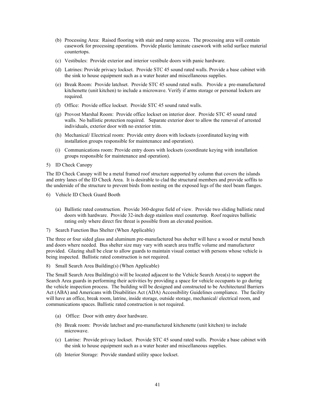- (b) Processing Area: Raised flooring with stair and ramp access. The processing area will contain casework for processing operations. Provide plastic laminate casework with solid surface material countertops.
- (c) Vestibules: Provide exterior and interior vestibule doors with panic hardware.
- (d) Latrines: Provide privacy lockset. Provide STC 45 sound rated walls. Provide a base cabinet with the sink to house equipment such as a water heater and miscellaneous supplies.
- (e) Break Room: Provide latchset. Provide STC 45 sound rated walls. Provide a pre-manufactured kitchenette (unit kitchen) to include a microwave. Verify if arms storage or personal lockers are required.
- (f) Office: Provide office lockset. Provide STC 45 sound rated walls.
- (g) Provost Marshal Room: Provide office lockset on interior door. Provide STC 45 sound rated walls. No ballistic protection required. Separate exterior door to allow the removal of arrested individuals, exterior door with no exterior trim.
- (h) Mechanical/ Electrical room: Provide entry doors with locksets (coordinated keying with installation groups responsible for maintenance and operation).
- (i) Communications room: Provide entry doors with locksets (coordinate keying with installation groups responsible for maintenance and operation).
- 5) ID Check Canopy

The ID Check Canopy will be a metal framed roof structure supported by column that covers the islands and entry lanes of the ID Check Area. It is desirable to clad the structural members and provide soffits to the underside of the structure to prevent birds from nesting on the exposed legs of the steel beam flanges.

- 6) Vehicle ID Check Guard Booth
	- (a) Ballistic rated construction. Provide 360-degree field of view. Provide two sliding ballistic rated doors with hardware. Provide 32-inch deep stainless steel countertop. Roof requires ballistic rating only where direct fire threat is possible from an elevated position.
- 7) Search Function Bus Shelter (When Applicable)

The three or four sided glass and aluminum pre-manufactured bus shelter will have a wood or metal bench and doors where needed. Bus shelter size may vary with search area traffic volume and manufacturer provided. Glazing shall be clear to allow guards to maintain visual contact with persons whose vehicle is being inspected. Ballistic rated construction is not required.

8) Small Search Area Building(s) (When Applicable)

The Small Search Area Building(s) will be located adjacent to the Vehicle Search Area(s) to support the Search Area guards in performing their activities by providing a space for vehicle occupants to go during the vehicle inspection process. The building will be designed and constructed to be Architectural Barriers Act (ABA) and Americans with Disabilities Act (ADA) Accessibility Guidelines compliance. The facility will have an office, break room, latrine, inside storage, outside storage, mechanical/ electrical room, and communications spaces. Ballistic rated construction is not required.

- (a) Office: Door with entry door hardware.
- (b) Break room: Provide latchset and pre-manufactured kitchenette (unit kitchen) to include microwave.
- (c) Latrine: Provide privacy lockset. Provide STC 45 sound rated walls. Provide a base cabinet with the sink to house equipment such as a water heater and miscellaneous supplies.
- (d) Interior Storage: Provide standard utility space lockset.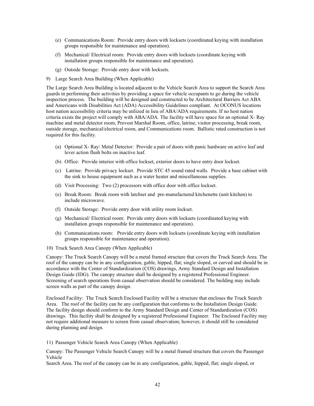- (e) Communications Room: Provide entry doors with locksets (coordinated keying with installation groups responsible for maintenance and operation).
- (f) Mechanical/ Electrical room: Provide entry doors with locksets (coordinate keying with installation groups responsible for maintenance and operation).
- (g) Outside Storage: Provide entry door with locksets.
- 9) Large Search Area Building (When Applicable)

The Large Search Area Building is located adjacent to the Vehicle Search Area to support the Search Area guards in performing their activities by providing a space for vehicle occupants to go during the vehicle inspection process. The building will be designed and constructed to be Architectural Barriers Act ABA and Americans with Disabilities Act (ADA) Accessibility Guidelines compliant. At OCONUS locations host nation accessibility criteria may be utilized in lieu of ABA/ADA requirements. If no host nation criteria exists the project will comply with ABA/ADA. The facility will have space for an optional X- Ray machine and metal detector room, Provost Marshal Room, office, latrine, visitor processing, break room, outside storage, mechanical/electrical room, and Communications room. Ballistic rated construction is not required for this facility.

- (a) Optional X- Ray/ Metal Detector: Provide a pair of doors with panic hardware on active leaf and lever action flush bolts on inactive leaf.
- (b) Office: Provide interior with office lockset, exterior doors to have entry door lockset.
- (c) Latrine: Provide privacy lockset. Provide STC 45 sound rated walls. Provide a base cabinet with the sink to house equipment such as a water heater and miscellaneous supplies.
- (d) Visit Processing: Two (2) processors with office door with office lockset.
- (e) Break Room: Break room with latchset and pre-manufactured kitchenette (unit kitchen) to include microwave.
- (f) Outside Storage: Provide entry door with utility room lockset.
- (g) Mechanical/ Electrical room: Provide entry doors with locksets (coordinated keying with installation groups responsible for maintenance and operation).
- (h) Communications room: Provide entry doors with locksets (coordinate keying with installation groups responsible for maintenance and operation).
- 10) Truck Search Area Canopy (When Applicable)

Canopy: The Truck Search Canopy will be a metal framed structure that covers the Truck Search Area. The roof of the canopy can be in any configuration, gable, hipped, flat; single sloped, or curved and should be in accordance with the Center of Standardization (COS) drawings, Army Standard Design and Installation Design Guide (IDG). The canopy structure shall be designed by a registered Professional Engineer. Screening of search operations from casual observation should be considered. The building may include screen walls as part of the canopy design.

Enclosed Facility: The Truck Search Enclosed Facility will be a structure that encloses the Truck Search Area. The roof of the facility can be any configuration that conforms to the Installation Design Guide. The facility design should conform to the Army Standard Design and Center of Standardization (COS) drawings. This facility shall be designed by a registered Professional Engineer. The Enclosed Facility may not require additional measure to screen from casual observation; however, it should still be considered during planning and design.

11) Passenger Vehicle Search Area Canopy (When Applicable)

Canopy: The Passenger Vehicle Search Canopy will be a metal framed structure that covers the Passenger Vehicle

Search Area. The roof of the canopy can be in any configuration, gable, hipped, flat; single sloped, or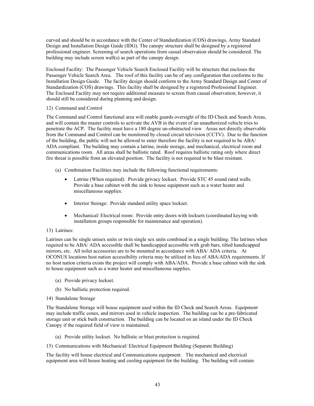curved and should be in accordance with the Center of Standardization (COS) drawings, Army Standard Design and Installation Design Guide (IDG). The canopy structure shall be designed by a registered professional engineer. Screening of search operations from casual observation should be considered. The building may include screen wall(s) as part of the canopy design.

Enclosed Facility: The Passenger Vehicle Search Enclosed Facility will be structure that encloses the Passenger Vehicle Search Area. The roof of this facility can be of any configuration that conforms to the Installation Design Guide. The facility design should conform to the Army Standard Design and Center of Standardization (COS) drawings. This facility shall be designed by a registered Professional Engineer. The Enclosed Facility may not require additional measure to screen from casual observation; however, it should still be considered during planning and design.

### 12) Command and Control

The Command and Control functional area will enable guards oversight of the ID Check and Search Areas, and will contain the master controls to activate the AVB in the event of an unauthorized vehicle tries to penetrate the ACP. The facility must have a 180 degree un-obstructed view Areas not directly observable from the Command and Control can be monitored by closed circuit television (CCTV). Due to the function of the building, the public will not be allowed to enter therefore the facility is not required to be ABA/ ADA compliant. The building may contain a latrine, inside storage, and mechanical, electrical room and communications room. All areas shall be ballistic rated. Roof requires ballistic rating only where direct fire threat is possible from an elevated position. The facility is not required to be blast resistant.

- (a) Combination Facilities may include the following functional requirements:
	- Latrine (When required): Provide privacy lockset. Provide STC 45 sound rated walls. Provide a base cabinet with the sink to house equipment such as a water heater and miscellaneous supplies.
	- Interior Storage: Provide standard utility space lockset.
	- Mechanical/ Electrical room: Provide entry doors with locksets (coordinated keying with installation groups responsible for maintenance and operation).

### 13) Latrines:

Latrines can be single unisex units or twin single sex units combined in a single building. The latrines when required to be ABA/ ADA accessible shall be handicapped accessible with grab bars, tilted handicapped mirrors, etc. All toilet accessories are to be mounted in accordance with ABA/ ADA criteria. At OCONUS locations host nation accessibility criteria may be utilized in lieu of ABA/ADA requirements. If no host nation criteria exists the project will comply with ABA/ADA. Provide a base cabinet with the sink to house equipment such as a water heater and miscellaneous supplies.

- (a) Provide privacy lockset.
- (b) No ballistic protection required.

### 14) Standalone Storage

The Standalone Storage will house equipment used within the ID Check and Search Areas. Equipment may include traffic cones, and mirrors used in vehicle inspection. The building can be a pre-fabricated storage unit or stick built construction. The building can be located on an island under the ID Check Canopy if the required field of view is maintained.

- (a) Provide utility lockset. No ballistic or blast protection is required.
- 15) Communications with Mechanical/ Electrical Equipment Building (Separate Building)

The facility will house electrical and Communications equipment. The mechanical and electrical equipment area will house heating and cooling equipment for the building. The building will contain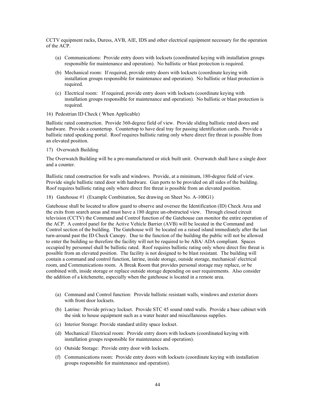CCTV equipment racks, Duress, AVB, AIE, IDS and other electrical equipment necessary for the operation of the ACP.

- (a) Communications: Provide entry doors with locksets (coordinated keying with installation groups responsible for maintenance and operation). No ballistic or blast protection is required.
- (b) Mechanical room: If required, provide entry doors with locksets (coordinate keying with installation groups responsible for maintenance and operation). No ballistic or blast protection is required.
- (c) Electrical room: If required, provide entry doors with locksets (coordinate keying with installation groups responsible for maintenance and operation). No ballistic or blast protection is required.
- 16) Pedestrian ID Check ( When Applicable)

Ballistic rated construction. Provide 360-degree field of view. Provide sliding ballistic rated doors and hardware. Provide a countertop. Countertop to have deal tray for passing identification cards. Provide a ballistic rated speaking portal. Roof requires ballistic rating only where direct fire threat is possible from an elevated position.

17) Overwatch Building

The Overwatch Building will be a pre-manufactured or stick built unit. Overwatch shall have a single door and a counter.

Ballistic rated construction for walls and windows. Provide, at a minimum, 180-degree field of view. Provide single ballistic rated door with hardware. Gun ports to be provided on all sides of the building. Roof requires ballistic rating only where direct fire threat is possible from an elevated position.

18) Gatehouse #1 (Example Combination, See drawing on Sheet No. A-100G1)

Gatehouse shall be located to allow guard to observe and oversee the Identification (ID) Check Area and the exits from search areas and must have a 180 degree un-obstructed view. Through closed circuit television (CCTV) the Command and Control function of the Gatehouse can monitor the entire operation of the ACP. A control panel for the Active Vehicle Barrier (AVB) will be located in the Command and Control section of the building. The Gatehouse will be located on a raised island immediately after the last turn-around past the ID Check Canopy. Due to the function of the building the public will not be allowed to enter the building so therefore the facility will not be required to be ABA/ ADA compliant. Spaces occupied by personnel shall be ballistic rated. Roof requires ballistic rating only where direct fire threat is possible from an elevated position. The facility is not designed to be blast resistant. The building will contain a command and control function, latrine, inside storage, outside storage, mechanical/ electrical room, and Communications room. A Break Room that provides personal storage may replace, or be combined with, inside storage or replace outside storage depending on user requirements. Also consider the addition of a kitchenette, especially when the gatehouse is located in a remote area.

- (a) Command and Control function: Provide ballistic resistant walls, windows and exterior doors with front door locksets.
- (b) Latrine: Provide privacy lockset. Provide STC 45 sound rated walls. Provide a base cabinet with the sink to house equipment such as a water heater and miscellaneous supplies.
- (c) Interior Storage: Provide standard utility space lockset.
- (d) Mechanical/ Electrical room: Provide entry doors with locksets (coordinated keying with installation groups responsible for maintenance and operation).
- (e) Outside Storage: Provide entry door with locksets.
- (f) Communications room: Provide entry doors with locksets (coordinate keying with installation groups responsible for maintenance and operation).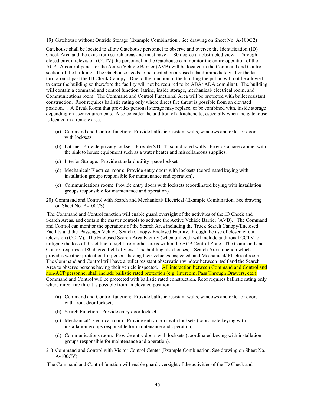19) Gatehouse without Outside Storage (Example Combination , See drawing on Sheet No. A-100G2)

Gatehouse shall be located to allow Gatehouse personnel to observe and oversee the Identification (ID) Check Area and the exits from search areas and must have a 180 degree un-obstructed view. Through closed circuit television (CCTV) the personnel in the Gatehouse can monitor the entire operation of the ACP. A control panel for the Active Vehicle Barrier (AVB) will be located in the Command and Control section of the building. The Gatehouse needs to be located on a raised island immediately after the last turn-around past the ID Check Canopy. Due to the function of the building the public will not be allowed to enter the building so therefore the facility will not be required to be ABA/ ADA compliant. The building will contain a command and control function, latrine, inside storage, mechanical/ electrical room, and Communications room. The Command and Control Functional Area will be protected with bullet resistant construction. Roof requires ballistic rating only where direct fire threat is possible from an elevated position. . A Break Room that provides personal storage may replace, or be combined with, inside storage depending on user requirements. Also consider the addition of a kitchenette, especially when the gatehouse is located in a remote area.

- (a) Command and Control function: Provide ballistic resistant walls, windows and exterior doors with locksets.
- (b) Latrine: Provide privacy lockset. Provide STC 45 sound rated walls. Provide a base cabinet with the sink to house equipment such as a water heater and miscellaneous supplies.
- (c) Interior Storage: Provide standard utility space lockset.
- (d) Mechanical/ Electrical room: Provide entry doors with locksets (coordinated keying with installation groups responsible for maintenance and operation).
- (e) Communications room: Provide entry doors with locksets (coordinated keying with installation groups responsible for maintenance and operation).
- 20) Command and Control with Search and Mechanical/ Electrical (Example Combination, See drawing on Sheet No. A-100CS)

The Command and Control function will enable guard oversight of the activities of the ID Check and Search Areas, and contain the master controls to activate the Active Vehicle Barrier (AVB). The Command and Control can monitor the operations of the Search Area including the Truck Search Canopy/Enclosed Facility and the Passenger Vehicle Search Canopy/ Enclosed Facility, through the use of closed circuit television (CCTV). The Enclosed Search Area Facility (when utilized) will include additional CCTV to mitigate the loss of direct line of sight from other areas within the ACP Control Zone. The Command and Control requires a 180 degree field of view. The building also houses, a Search Area function which provides weather protection for persons having their vehicles inspected, and Mechanical/ Electrical room. The Command and Control will have a bullet resistant observation window between itself and the Search Area to observe persons having their vehicle inspected. All interaction between Command and Control and non-ACP personnel shall include ballistic rated protection (e.g. Intercom, Pass Through Drawers, etc.). Command and Control will be protected with ballistic rated construction. Roof requires ballistic rating only where direct fire threat is possible from an elevated position.

- (a) Command and Control function: Provide ballistic resistant walls, windows and exterior doors with front door locksets.
- (b) Search Function: Provide entry door lockset.
- (c) Mechanical/ Electrical room: Provide entry doors with locksets (coordinate keying with installation groups responsible for maintenance and operation).
- (d) Communications room: Provide entry doors with locksets (coordinated keying with installation groups responsible for maintenance and operation).
- 21) Command and Control with Visitor Control Center (Example Combination, See drawing on Sheet No. A-100CV)

The Command and Control function will enable guard oversight of the activities of the ID Check and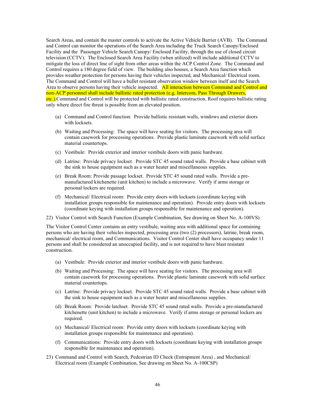Search Areas, and contain the master controls to activate the Active Vehicle Barrier (AVB). The Command and Control can monitor the operations of the Search Area including the Truck Search Canopy/Enclosed Facility and the Passenger Vehicle Search Canopy/ Enclosed Facility, through the use of closed circuit television (CCTV). The Enclosed Search Area Facility (when utilized) will include additional CCTV to mitigate the loss of direct line of sight from other areas within the ACP Control Zone. The Command and Control requires a 180 degree field of view. The building also houses, a Search Area function which provides weather protection for persons having their vehicles inspected, and Mechanical/ Electrical room. The Command and Control will have a bullet resistant observation window between itself and the Search Area to observe persons having their vehicle inspected. All interaction between Command and Control and non-ACP personnel shall include ballistic rated protection (e.g. Intercom, Pass Through Drawers, etc.).Command and Control will be protected with ballistic rated construction. Roof requires ballistic rating only where direct fire threat is possible from an elevated position.

- (a) Command and Control function: Provide ballistic resistant walls, windows and exterior doors with locksets.
- (b) Waiting and Processing: The space will have seating for visitors. The processing area will contain casework for processing operations. Provide plastic laminate casework with solid surface material countertops.
- (c) Vestibule: Provide exterior and interior vestibule doors with panic hardware.
- (d) Latrine: Provide privacy lockset. Provide STC 45 sound rated walls. Provide a base cabinet with the sink to house equipment such as a water heater and miscellaneous supplies.
- (e) Break Room: Provide passage lockset. Provide STC 45 sound rated walls. Provide a premanufactured kitchenette (unit kitchen) to include a microwave. Verify if arms storage or personal lockers are required.
- (f) Mechanical/ Electrical room: Provide entry doors with locksets (coordinate keying with installation groups responsible for maintenance and operation). Provide entry doors with locksets (coordinate keying with installation groups responsible for maintenance and operation).
- 22) Visitor Control with Search Function (Example Combination, See drawing on Sheet No. A-100VS)

The Visitor Control Center contains an entry vestibule, waiting area with additional space for containing persons who are having their vehicles inspected, processing area (two (2) processors), latrine, break room, mechanical/ electrical room, and Communications. Visitor Control Center shall have occupancy under 11 persons and shall be considered an unoccupied facility, and is not required to have blast resistant construction.

- (a) Vestibule: Provide exterior and interior vestibule doors with panic hardware.
- (b) Waiting and Processing: The space will have seating for visitors. The processing area will contain casework for processing operations. Provide plastic laminate casework with solid surface material countertops.
- (c) Latrine: Provide privacy lockset. Provide STC 45 sound rated walls. Provide a base cabinet with the sink to house equipment such as a water heater and miscellaneous supplies.
- (d) Break Room: Provide latchset. Provide STC 45 sound rated walls. Provide a pre-manufactured kitchenette (unit kitchen) to include a microwave. Verify if arms storage or personal lockers are required.
- (e) Mechanical/ Electrical room: Provide entry doors with locksets (coordinate keying with installation groups responsible for maintenance and operation).
- (f) Communications: Provide entry doors with locksets (coordinate keying with installation groups responsible for maintenance and operation).
- 23) Command and Control with Search, Pedestrian ID Check (Entrapment Area) , and Mechanical/ Electrical room (Example Combination, See drawing on Sheet No. A-100CSP)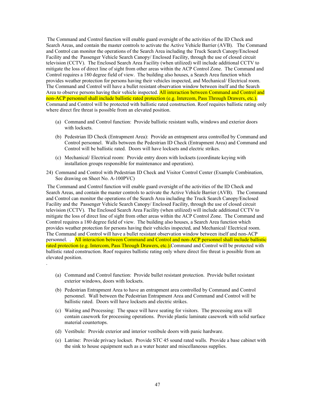The Command and Control function will enable guard oversight of the activities of the ID Check and Search Areas, and contain the master controls to activate the Active Vehicle Barrier (AVB). The Command and Control can monitor the operations of the Search Area including the Truck Search Canopy/Enclosed Facility and the Passenger Vehicle Search Canopy/ Enclosed Facility, through the use of closed circuit television (CCTV). The Enclosed Search Area Facility (when utilized) will include additional CCTV to mitigate the loss of direct line of sight from other areas within the ACP Control Zone. The Command and Control requires a 180 degree field of view. The building also houses, a Search Area function which provides weather protection for persons having their vehicles inspected, and Mechanical/ Electrical room. The Command and Control will have a bullet resistant observation window between itself and the Search Area to observe persons having their vehicle inspected. All interaction between Command and Control and non-ACP personnel shall include ballistic rated protection (e.g. Intercom, Pass Through Drawers, etc.). Command and Control will be protected with ballistic rated construction. Roof requires ballistic rating only where direct fire threat is possible from an elevated position.

- (a) Command and Control function: Provide ballistic resistant walls, windows and exterior doors with locksets.
- (b) Pedestrian ID Check (Entrapment Area): Provide an entrapment area controlled by Command and Control personnel. Walls between the Pedestrian ID Check (Entrapment Area) and Command and Control will be ballistic rated. Doors will have locksets and electric strikes.
- (c) Mechanical/ Electrical room: Provide entry doors with locksets (coordinate keying with installation groups responsible for maintenance and operation).
- 24) Command and Control with Pedestrian ID Check and Visitor Control Center (Example Combination, See drawing on Sheet No. A-100PVC)

The Command and Control function will enable guard oversight of the activities of the ID Check and Search Areas, and contain the master controls to activate the Active Vehicle Barrier (AVB). The Command and Control can monitor the operations of the Search Area including the Truck Search Canopy/Enclosed Facility and the Passenger Vehicle Search Canopy/ Enclosed Facility, through the use of closed circuit television (CCTV). The Enclosed Search Area Facility (when utilized) will include additional CCTV to mitigate the loss of direct line of sight from other areas within the ACP Control Zone. The Command and Control requires a 180 degree field of view. The building also houses, a Search Area function which provides weather protection for persons having their vehicles inspected, and Mechanical/ Electrical room. The Command and Control will have a bullet resistant observation window between itself and non-ACP personnel. . All interaction between Command and Control and non-ACP personnel shall include ballistic rated protection (e.g. Intercom, Pass Through Drawers, etc.). Command and Control will be protected with ballistic rated construction. Roof requires ballistic rating only where direct fire threat is possible from an elevated position.

- (a) Command and Control function: Provide bullet resistant protection. Provide bullet resistant exterior windows, doors with locksets.
- (b) Pedestrian Entrapment Area to have an entrapment area controlled by Command and Control personnel. Wall between the Pedestrian Entrapment Area and Command and Control will be ballistic rated. Doors will have locksets and electric strikes.
- (c) Waiting and Processing: The space will have seating for visitors. The processing area will contain casework for processing operations. Provide plastic laminate casework with solid surface material countertops.
- (d) Vestibule: Provide exterior and interior vestibule doors with panic hardware.

.

(e) Latrine: Provide privacy lockset. Provide STC 45 sound rated walls. Provide a base cabinet with the sink to house equipment such as a water heater and miscellaneous supplies.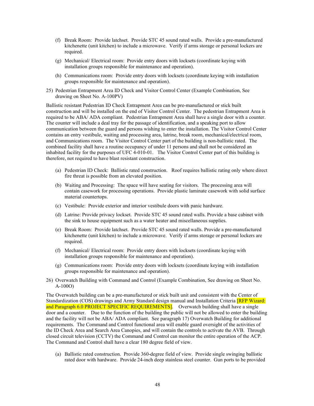- (f) Break Room: Provide latchset. Provide STC 45 sound rated walls. Provide a pre-manufactured kitchenette (unit kitchen) to include a microwave. Verify if arms storage or personal lockers are required.
- (g) Mechanical/ Electrical room: Provide entry doors with locksets (coordinate keying with installation groups responsible for maintenance and operation).
- (h) Communications room: Provide entry doors with locksets (coordinate keying with installation groups responsible for maintenance and operation).
- 25) Pedestrian Entrapment Area ID Check and Visitor Control Center (Example Combination, See drawing on Sheet No. A-100PV)

Ballistic resistant Pedestrian ID Check Entrapment Area can be pre-manufactured or stick built construction and will be installed on the end of Visitor Control Center. The pedestrian Entrapment Area is required to be ABA/ ADA compliant. Pedestrian Entrapment Area shall have a single door with a counter. The counter will include a deal tray for the passage of identification, and a speaking port to allow communication between the guard and persons wishing to enter the installation. The Visitor Control Center contains an entry vestibule, waiting and processing area, latrine, break room, mechanical/electrical room, and Communications room. The Visitor Control Center part of the building is non-ballistic rated. The combined facility shall have a routine occupancy of under 11 persons and shall not be considered an inhabited facility for the purposes of UFC 4-010-01. The Visitor Control Center part of this building is therefore, not required to have blast resistant construction.

- (a) Pedestrian ID Check: Ballistic rated construction. Roof requires ballistic rating only where direct fire threat is possible from an elevated position.
- (b) Waiting and Processing: The space will have seating for visitors. The processing area will contain casework for processing operations. Provide plastic laminate casework with solid surface material countertops.
- (c) Vestibule: Provide exterior and interior vestibule doors with panic hardware.
- (d) Latrine: Provide privacy lockset. Provide STC 45 sound rated walls. Provide a base cabinet with the sink to house equipment such as a water heater and miscellaneous supplies.
- (e) Break Room: Provide latchset. Provide STC 45 sound rated walls. Provide a pre-manufactured kitchenette (unit kitchen) to include a microwave. Verify if arms storage or personal lockers are required.
- (f) Mechanical/ Electrical room: Provide entry doors with locksets (coordinate keying with installation groups responsible for maintenance and operation).
- (g) Communications room: Provide entry doors with locksets (coordinate keying with installation groups responsible for maintenance and operation).
- 26) Overwatch Building with Command and Control (Example Combination, See drawing on Sheet No. A-100O)

The Overwatch building can be a pre-manufactured or stick built unit and consistent with the Center of Standardization (COS) drawings and Army Standard design manual and Installation Criteria [RFP Wizard: and Paragraph 6.0 PROJECT SPECIFIC REQUIREMENTS]. Overwatch building shall have a single door and a counter. Due to the function of the building the public will not be allowed to enter the building and the facility will not be ABA/ ADA compliant. See paragraph 17) Overwatch Building for additional requirements. The Command and Control functional area will enable guard oversight of the activities of the ID Check Area and Search Area Canopies, and will contain the controls to activate the AVB. Through closed circuit television (CCTV) the Command and Control can monitor the entire operation of the ACP. The Command and Control shall have a clear 180 degree field of view.

(a) Ballistic rated construction. Provide 360-degree field of view. Provide single swinging ballistic rated door with hardware. Provide 24-inch deep stainless steel counter. Gun ports to be provided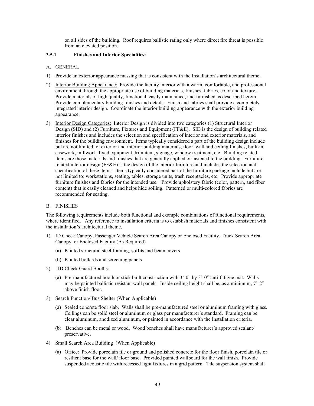on all sides of the building. Roof requires ballistic rating only where direct fire threat is possible from an elevated position.

### **3.5.1 Finishes and Interior Specialties:**

- A. GENERAL
- 1) Provide an exterior appearance massing that is consistent with the Installation's architectural theme.
- 2) Interior Building Appearance: Provide the facility interior with a warm, comfortable, and professional environment through the appropriate use of building materials, finishes, fabrics, color and texture. Provide materials of high quality, functional, easily maintained, and furnished as described herein. Provide complementary building finishes and details. Finish and fabrics shall provide a completely integrated interior design. Coordinate the interior building appearance with the exterior building appearance.
- 3) Interior Design Categories: Interior Design is divided into two categories (1) Structural Interior Design (SID) and (2) Furniture, Fixtures and Equipment (FF&E). SID is the design of building related interior finishes and includes the selection and specification of interior and exterior materials, and finishes for the building environment. Items typically considered a part of the building design include but are not limited to: exterior and interior building materials, floor, wall and ceiling finishes, built-in casework, millwork, fixed equipment, trim item, signage, window treatment, etc. Building related items are those materials and finishes that are generally applied or fastened to the building. Furniture related interior design (FF&E) is the design of the interior furniture and includes the selection and specification of these items. Items typically considered part of the furniture package include but are not limited to: workstations, seating, tables, storage units, trash receptacles, etc. Provide appropriate furniture finishes and fabrics for the intended use. Provide upholstery fabric (color, pattern, and fiber content) that is easily cleaned and helps hide soiling. Patterned or multi-colored fabrics are recommended for seating.

### B. FINISHES

The following requirements include both functional and example combinations of functional requirements, where identified. Any reference to installation criteria is to establish materials and finishes consistent with the installation's architectural theme.

- 1) ID Check Canopy, Passenger Vehicle Search Area Canopy or Enclosed Facility, Truck Search Area Canopy or Enclosed Facility (As Required)
	- (a) Painted structural steel framing, soffits and beam covers.
	- (b) Painted bollards and screening panels.
- 2) ID Check Guard Booths:
	- (a) Pre-manufactured booth or stick built construction with 3'-0" by 3'-0" anti-fatigue mat. Walls may be painted ballistic resistant wall panels. Inside ceiling height shall be, as a minimum, 7'-2" above finish floor.
- 3) Search Function/ Bus Shelter (When Applicable)
	- (a) Sealed concrete floor slab. Walls shall be pre-manufactured steel or aluminum framing with glass. Ceilings can be solid steel or aluminum or glass per manufacturer's standard. Framing can be clear aluminum, anodized aluminum, or painted in accordance with the Installation criteria.
	- (b) Benches can be metal or wood. Wood benches shall have manufacturer's approved sealant/ preservative.
- 4) Small Search Area Building (When Applicable)
	- (a) Office: Provide porcelain tile or ground and polished concrete for the floor finish, porcelain tile or resilient base for the wall/ floor base. Provided painted wallboard for the wall finish. Provide suspended acoustic tile with recessed light fixtures in a grid pattern. Tile suspension system shall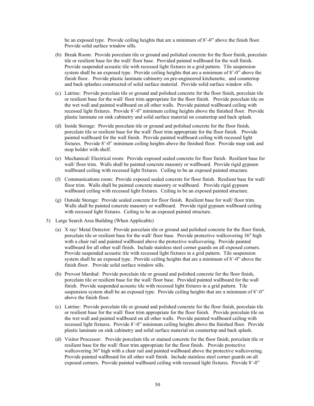be an exposed type. Provide ceiling heights that are a minimum of 8'-0" above the finish floor. Provide solid surface window sills.

- (b) Break Room: Provide porcelain tile or ground and polished concrete for the floor finish, porcelain tile or resilient base for the wall/ floor base. Provided painted wallboard for the wall finish. Provide suspended acoustic tile with recessed light fixtures in a grid pattern. Tile suspension system shall be an exposed type. Provide ceiling heights that are a minimum of 8'-0" above the finish floor. Provide plastic laminate cabinetry on pre-engineered kitchenette, and countertop and back splashes constructed of solid surface material. Provide solid surface window sills.
- (c) Latrine: Provide porcelain tile or ground and polished concrete for the floor finish, porcelain tile or resilient base for the wall/ floor trim appropriate for the floor finish. Provide porcelain tile on the wet wall and painted wallboard on all other walls. Provide painted wallboard ceiling with recessed light fixtures. Provide 8'-0" minimum ceiling heights above the finished floor. Provide plastic laminate on sink cabinetry and solid surface material on countertop and back splash.
- (d) Inside Storage: Provide porcelain tile or ground and polished concrete for the floor finish, porcelain tile or resilient base for the wall/ floor trim appropriate for the floor finish. Provide painted wallboard for the wall finish. Provide painted wallboard ceiling with recessed light fixtures. Provide 8'-0" minimum ceiling heights above the finished floor. Provide mop sink and mop holder with shelf.
- (e) Mechanical/ Electrical room: Provide exposed sealed concrete for floor finish. Resilient base for wall/ floor trim. Walls shall be painted concrete masonry or wallboard. Provide rigid gypsum wallboard ceiling with recessed light fixtures. Ceiling to be an exposed painted structure.
- (f) Communications room: Provide exposed sealed concrete for floor finish. Resilient base for wall/ floor trim. Walls shall be painted concrete masonry or wallboard. Provide rigid gypsum wallboard ceiling with recessed light fixtures. Ceiling to be an exposed painted structure.
- (g) Outside Storage: Provide sealed concrete for floor finish. Resilient base for wall/ floor trim. Walls shall be painted concrete masonry or wallboard. Provide rigid gypsum wallboard ceiling with recessed light fixtures. Ceiling to be an exposed painted structure.
- 5) Large Search Area Building (When Applicable)
	- (a) X ray/ Metal Detector: Provide porcelain tile or ground and polished concrete for the floor finish, porcelain tile or resilient base for the wall/ floor base. Provide protective wallcovering 36" high with a chair rail and painted wallboard above the protective wallcovering. Provide painted wallboard for all other wall finish. Include stainless steel corner guards on all exposed corners. Provide suspended acoustic tile with recessed light fixtures in a grid pattern. Tile suspension system shall be an exposed type. Provide ceiling heights that are a minimum of 8'-0" above the finish floor. Provide solid surface window sills.
	- (b) Provost Marshal: Provide porcelain tile or ground and polished concrete for the floor finish, porcelain tile or resilient base for the wall/ floor base. Provided painted wallboard for the wall finish. Provide suspended acoustic tile with recessed light fixtures in a grid pattern. Tile suspension system shall be an exposed type. Provide ceiling heights that are a minimum of 8'-0" above the finish floor.
	- (c) Latrine: Provide porcelain tile or ground and polished concrete for the floor finish, porcelain tile or resilient base for the wall/ floor trim appropriate for the floor finish. Provide porcelain tile on the wet wall and painted wallboard on all other walls. Provide painted wallboard ceiling with recessed light fixtures. Provide 8'-0" minimum ceiling heights above the finished floor. Provide plastic laminate on sink cabinetry and solid surface material on countertop and back splash.
	- (d) Visitor Processor: Provide porcelain tile or stained concrete for the floor finish, porcelain tile or resilient base for the wall/ floor trim appropriate for the floor finish. Provide protective wallcovering 36" high with a chair rail and painted wallboard above the protective wallcovering. Provide painted wallboard for all other wall finish. Include stainless steel corner guards on all exposed corners. Provide painted wallboard ceiling with recessed light fixtures. Provide 8'-0"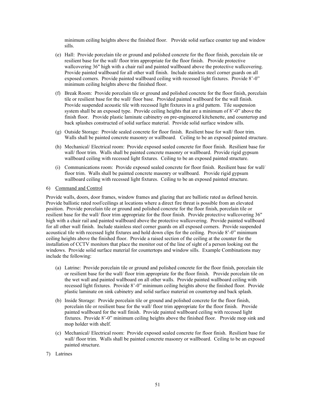minimum ceiling heights above the finished floor. Provide solid surface counter top and window sills.

- (e) Hall: Provide porcelain tile or ground and polished concrete for the floor finish, porcelain tile or resilient base for the wall/ floor trim appropriate for the floor finish. Provide protective wallcovering 36" high with a chair rail and painted wallboard above the protective wallcovering. Provide painted wallboard for all other wall finish. Include stainless steel corner guards on all exposed corners. Provide painted wallboard ceiling with recessed light fixtures. Provide 8'-0" minimum ceiling heights above the finished floor.
- (f) Break Room: Provide porcelain tile or ground and polished concrete for the floor finish, porcelain tile or resilient base for the wall/ floor base. Provided painted wallboard for the wall finish. Provide suspended acoustic tile with recessed light fixtures in a grid pattern. Tile suspension system shall be an exposed type. Provide ceiling heights that are a minimum of 8'-0" above the finish floor. Provide plastic laminate cabinetry on pre-engineered kitchenette, and countertop and back splashes constructed of solid surface material. Provide solid surface window sills.
- (g) Outside Storage: Provide sealed concrete for floor finish. Resilient base for wall/ floor trim. Walls shall be painted concrete masonry or wallboard. Ceiling to be an exposed painted structure.
- (h) Mechanical/ Electrical room: Provide exposed sealed concrete for floor finish. Resilient base for wall/ floor trim. Walls shall be painted concrete masonry or wallboard. Provide rigid gypsum wallboard ceiling with recessed light fixtures. Ceiling to be an exposed painted structure.
- (i) Communications room: Provide exposed sealed concrete for floor finish. Resilient base for wall/ floor trim. Walls shall be painted concrete masonry or wallboard. Provide rigid gypsum wallboard ceiling with recessed light fixtures. Ceiling to be an exposed painted structure.
- 6) Command and Control

Provide walls, doors, door frames, window frames and glazing that are ballistic rated as defined herein. Provide ballistic rated roof/ceilings at locations where a direct fire threat is possible from an elevated position. Provide porcelain tile or ground and polished concrete for the floor finish, porcelain tile or resilient base for the wall/ floor trim appropriate for the floor finish. Provide protective wallcovering 36" high with a chair rail and painted wallboard above the protective wallcovering. Provide painted wallboard for all other wall finish. Include stainless steel corner guards on all exposed corners. Provide suspended acoustical tile with recessed light fixtures and hold down clips for the ceiling. Provide 8'-0" minimum ceiling heights above the finished floor. Provide a raised section of the ceiling at the counter for the installation of CCTV monitors that place the monitor out of the line of sight of a person looking out the windows. Provide solid surface material for countertops and window sills. Example Combinations may include the following:

- (a) Latrine: Provide porcelain tile or ground and polished concrete for the floor finish, porcelain tile or resilient base for the wall/ floor trim appropriate for the floor finish. Provide porcelain tile on the wet wall and painted wallboard on all other walls. Provide painted wallboard ceiling with recessed light fixtures. Provide 8'-0" minimum ceiling heights above the finished floor. Provide plastic laminate on sink cabinetry and solid surface material on countertop and back splash.
- (b) Inside Storage: Provide porcelain tile or ground and polished concrete for the floor finish, porcelain tile or resilient base for the wall/ floor trim appropriate for the floor finish. Provide painted wallboard for the wall finish. Provide painted wallboard ceiling with recessed light fixtures. Provide 8'-0" minimum ceiling heights above the finished floor. Provide mop sink and mop holder with shelf.
- (c) Mechanical/ Electrical room: Provide exposed sealed concrete for floor finish. Resilient base for wall/ floor trim. Walls shall be painted concrete masonry or wallboard. Ceiling to be an exposed painted structure.
- 7) Latrines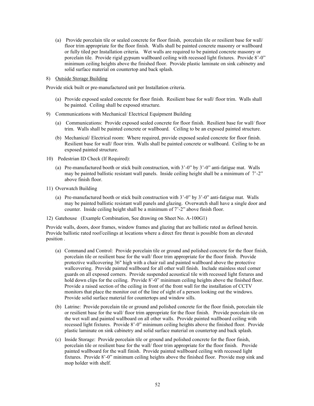- (a) Provide porcelain tile or sealed concrete for floor finish, porcelain tile or resilient base for wall/ floor trim appropriate for the floor finish. Walls shall be painted concrete masonry or wallboard or fully tiled per Installation criteria. Wet walls are required to be painted concrete masonry or porcelain tile. Provide rigid gypsum wallboard ceiling with recessed light fixtures. Provide 8'-0" minimum ceiling heights above the finished floor. Provide plastic laminate on sink cabinetry and solid surface material on countertop and back splash.
- 8) Outside Storage Building

Provide stick built or pre-manufactured unit per Installation criteria.

- (a) Provide exposed sealed concrete for floor finish. Resilient base for wall/ floor trim. Walls shall be painted. Ceiling shall be exposed structure.
- 9) Communications with Mechanical/ Electrical Equipment Building
	- (a) Communications: Provide exposed sealed concrete for floor finish. Resilient base for wall/ floor trim. Walls shall be painted concrete or wallboard. Ceiling to be an exposed painted structure.
	- (b) Mechanical/ Electrical room: Where required, provide exposed sealed concrete for floor finish. Resilient base for wall/ floor trim. Walls shall be painted concrete or wallboard. Ceiling to be an exposed painted structure.
- 10) Pedestrian ID Check (If Required):
	- (a) Pre-manufactured booth or stick built construction, with 3'-0" by 3'-0" anti-fatigue mat. Walls may be painted ballistic resistant wall panels. Inside ceiling height shall be a minimum of 7'-2" above finish floor.
- 11) Overwatch Building
	- (a) Pre-manufactured booth or stick built construction with 3'-0" by 3'-0" anti-fatigue mat. Walls may be painted ballistic resistant wall panels and glazing. Overwatch shall have a single door and counter. Inside ceiling height shall be a minimum of 7'-2" above finish floor.
- 12) Gatehouse (Example Combination, See drawing on Sheet No. A-100G1)

Provide walls, doors, door frames, window frames and glazing that are ballistic rated as defined herein. Provide ballistic rated roof/ceilings at locations where a direct fire threat is possible from an elevated position .

- (a) Command and Control: Provide porcelain tile or ground and polished concrete for the floor finish, porcelain tile or resilient base for the wall/ floor trim appropriate for the floor finish. Provide protective wallcovering 36" high with a chair rail and painted wallboard above the protective wallcovering. Provide painted wallboard for all other wall finish. Include stainless steel corner guards on all exposed corners. Provide suspended acoustical tile with recessed light fixtures and hold down clips for the ceiling. Provide 8'-0" minimum ceiling heights above the finished floor. Provide a raised section of the ceiling in front of the front wall for the installation of CCTV monitors that place the monitor out of the line of sight of a person looking out the windows. Provide solid surface material for countertops and window sills.
- (b) Latrine: Provide porcelain tile or ground and polished concrete for the floor finish, porcelain tile or resilient base for the wall/ floor trim appropriate for the floor finish. Provide porcelain tile on the wet wall and painted wallboard on all other walls. Provide painted wallboard ceiling with recessed light fixtures. Provide 8'-0" minimum ceiling heights above the finished floor. Provide plastic laminate on sink cabinetry and solid surface material on countertop and back splash.
- (c) Inside Storage: Provide porcelain tile or ground and polished concrete for the floor finish, porcelain tile or resilient base for the wall/ floor trim appropriate for the floor finish. Provide painted wallboard for the wall finish. Provide painted wallboard ceiling with recessed light fixtures. Provide 8'-0" minimum ceiling heights above the finished floor. Provide mop sink and mop holder with shelf.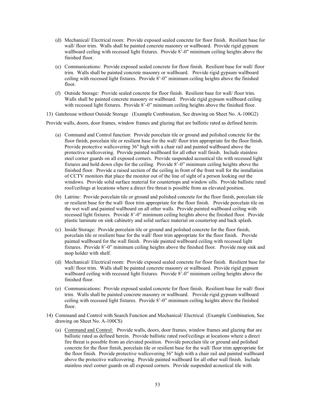- (d) Mechanical/ Electrical room: Provide exposed sealed concrete for floor finish. Resilient base for wall/ floor trim. Walls shall be painted concrete masonry or wallboard. Provide rigid gypsum wallboard ceiling with recessed light fixtures. Provide 8'-0" minimum ceiling heights above the finished floor.
- (e) Communications: Provide exposed sealed concrete for floor finish. Resilient base for wall/ floor trim. Walls shall be painted concrete masonry or wallboard. Provide rigid gypsum wallboard ceiling with recessed light fixtures. Provide 8'-0" minimum ceiling heights above the finished floor.
- (f) Outside Storage: Provide sealed concrete for floor finish. Resilient base for wall/ floor trim. Walls shall be painted concrete masonry or wallboard. Provide rigid gypsum wallboard ceiling with recessed light fixtures. Provide 8'-0" minimum ceiling heights above the finished floor.

13) Gatehouse without Outside Storage (Example Combination, See drawing on Sheet No. A-100G2)

Provide walls, doors, door frames, window frames and glazing that are ballistic rated as defined herein.

- (a) Command and Control function: Provide porcelain tile or ground and polished concrete for the floor finish, porcelain tile or resilient base for the wall/ floor trim appropriate for the floor finish. Provide protective wallcovering 36" high with a chair rail and painted wallboard above the protective wallcovering. Provide painted wallboard for all other wall finish. Include stainless steel corner guards on all exposed corners. Provide suspended acoustical tile with recessed light fixtures and hold down clips for the ceiling. Provide 8'-0" minimum ceiling heights above the finished floor. Provide a raised section of the ceiling in front of the front wall for the installation of CCTV monitors that place the monitor out of the line of sight of a person looking out the windows. Provide solid surface material for countertops and window sills. Provide ballistic rated roof/ceilings at locations where a direct fire threat is possible from an elevated position.
- (b) Latrine: Provide porcelain tile or ground and polished concrete for the floor finish, porcelain tile or resilient base for the wall/ floor trim appropriate for the floor finish. Provide porcelain tile on the wet wall and painted wallboard on all other walls. Provide painted wallboard ceiling with recessed light fixtures. Provide 8'-0" minimum ceiling heights above the finished floor. Provide plastic laminate on sink cabinetry and solid surface material on countertop and back splash.
- (c) Inside Storage: Provide porcelain tile or ground and polished concrete for the floor finish, porcelain tile or resilient base for the wall/ floor trim appropriate for the floor finish. Provide painted wallboard for the wall finish. Provide painted wallboard ceiling with recessed light fixtures. Provide 8'-0" minimum ceiling heights above the finished floor. Provide mop sink and mop holder with shelf.
- (d) Mechanical/ Electrical room: Provide exposed sealed concrete for floor finish. Resilient base for wall/ floor trim. Walls shall be painted concrete masonry or wallboard. Provide rigid gypsum wallboard ceiling with recessed light fixtures. Provide 8'-0" minimum ceiling heights above the finished floor.
- (e) Communications: Provide exposed sealed concrete for floor finish. Resilient base for wall/ floor trim. Walls shall be painted concrete masonry or wallboard. Provide rigid gypsum wallboard ceiling with recessed light fixtures. Provide 8'-0" minimum ceiling heights above the finished floor.
- 14) Command and Control with Search Function and Mechanical/ Electrical (Example Combination, See drawing on Sheet No. A-100CS)
	- (a) Command and Control: Provide walls, doors, door frames, window frames and glazing that are ballistic rated as defined herein. Provide ballistic rated roof/ceilings at locations where a direct fire threat is possible from an elevated position. Provide porcelain tile or ground and polished concrete for the floor finish, porcelain tile or resilient base for the wall/ floor trim appropriate for the floor finish. Provide protective wallcovering 36" high with a chair rail and painted wallboard above the protective wallcovering. Provide painted wallboard for all other wall finish. Include stainless steel corner guards on all exposed corners. Provide suspended acoustical tile with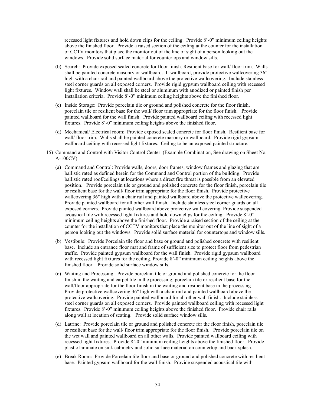recessed light fixtures and hold down clips for the ceiling. Provide 8'-0" minimum ceiling heights above the finished floor. Provide a raised section of the ceiling at the counter for the installation of CCTV monitors that place the monitor out of the line of sight of a person looking out the windows. Provide solid surface material for countertops and window sills.

- (b) Search: Provide exposed sealed concrete for floor finish. Resilient base for wall/ floor trim. Walls shall be painted concrete masonry or wallboard. If wallboard, provide protective wallcovering 36" high with a chair rail and painted wallboard above the protective wallcovering. Include stainless steel corner guards on all exposed corners. Provide rigid gypsum wallboard ceiling with recessed light fixtures. Window wall shall be steel or aluminum with anodized or painted finish per Installation criteria. Provide 8'-0" minimum ceiling heights above the finished floor.
- (c) Inside Storage: Provide porcelain tile or ground and polished concrete for the floor finish, porcelain tile or resilient base for the wall/ floor trim appropriate for the floor finish. Provide painted wallboard for the wall finish. Provide painted wallboard ceiling with recessed light fixtures. Provide 8'-0" minimum ceiling heights above the finished floor.
- (d) Mechanical/ Electrical room: Provide exposed sealed concrete for floor finish. Resilient base for wall/ floor trim. Walls shall be painted concrete masonry or wallboard. Provide rigid gypsum wallboard ceiling with recessed light fixtures. Ceiling to be an exposed painted structure.
- 15) Command and Control with Visitor Control Center (Example Combination, See drawing on Sheet No. A-100CV)
	- (a) Command and Control: Provide walls, doors, door frames, window frames and glazing that are ballistic rated as defined herein for the Command and Control portion of the building. Provide ballistic rated roof/ceilings at locations where a direct fire threat is possible from an elevated position. Provide porcelain tile or ground and polished concrete for the floor finish, porcelain tile or resilient base for the wall/ floor trim appropriate for the floor finish. Provide protective wallcovering 36" high with a chair rail and painted wallboard above the protective wallcovering. Provide painted wallboard for all other wall finish. Include stainless steel corner guards on all exposed corners. Provide painted wallboard above protective wall covering Provide suspended acoustical tile with recessed light fixtures and hold down clips for the ceiling. Provide 8'-0" minimum ceiling heights above the finished floor. Provide a raised section of the ceiling at the counter for the installation of CCTV monitors that place the monitor out of the line of sight of a person looking out the windows. Provide solid surface material for countertops and window sills.
	- (b) Vestibule: Provide Porcelain tile floor and base or ground and polished concrete with resilient base. Include an entrance floor mat and frame of sufficient size to protect floor from pedestrian traffic. Provide painted gypsum wallboard for the wall finish. Provide rigid gypsum wallboard with recessed light fixtures for the ceiling. Provide 8'-0" minimum ceiling heights above the finished floor. Provide solid surface window sills.
	- (c) Waiting and Processing: Provide porcelain tile or ground and polished concrete for the floor finish in the waiting and carpet tile in the processing; porcelain tile or resilient base for the wall/floor appropriate for the floor finish in the waiting and resilient base in the processing. Provide protective wallcovering 36" high with a chair rail and painted wallboard above the protective wallcovering. Provide painted wallboard for all other wall finish. Include stainless steel corner guards on all exposed corners. Provide painted wallboard ceiling with recessed light fixtures. Provide 8'-0" minimum ceiling heights above the finished floor. Provide chair rails along wall at location of seating. Provide solid surface window sills.
	- (d) Latrine: Provide porcelain tile or ground and polished concrete for the floor finish, porcelain tile or resilient base for the wall/ floor trim appropriate for the floor finish. Provide porcelain tile on the wet wall and painted wallboard on all other walls. Provide painted wallboard ceiling with recessed light fixtures. Provide 8'-0" minimum ceiling heights above the finished floor. Provide plastic laminate on sink cabinetry and solid surface material on countertop and back splash.
	- (e) Break Room: Provide Porcelain tile floor and base or ground and polished concrete with resilient base. Painted gypsum wallboard for the wall finish. Provide suspended acoustical tile with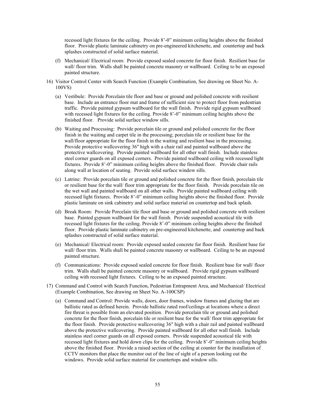recessed light fixtures for the ceiling. Provide 8'-0" minimum ceiling heights above the finished floor. Provide plastic laminate cabinetry on pre-engineered kitchenette, and countertop and back splashes constructed of solid surface material.

- (f) Mechanical/ Electrical room: Provide exposed sealed concrete for floor finish. Resilient base for wall/ floor trim. Walls shall be painted concrete masonry or wallboard. Ceiling to be an exposed painted structure.
- 16) Visitor Control Center with Search Function (Example Combination, See drawing on Sheet No. A-100VS)
	- (a) Vestibule: Provide Porcelain tile floor and base or ground and polished concrete with resilient base. Include an entrance floor mat and frame of sufficient size to protect floor from pedestrian traffic. Provide painted gypsum wallboard for the wall finish. Provide rigid gypsum wallboard with recessed light fixtures for the ceiling. Provide 8'-0" minimum ceiling heights above the finished floor. Provide solid surface window sills.
	- (b) Waiting and Processing: Provide porcelain tile or ground and polished concrete for the floor finish in the waiting and carpet tile in the processing; porcelain tile or resilient base for the wall/floor appropriate for the floor finish in the waiting and resilient base in the processing. Provide protective wallcovering 36" high with a chair rail and painted wallboard above the protective wallcovering. Provide painted wallboard for all other wall finish. Include stainless steel corner guards on all exposed corners. Provide painted wallboard ceiling with recessed light fixtures. Provide 8'-0" minimum ceiling heights above the finished floor. Provide chair rails along wall at location of seating. Provide solid surface window sills.
	- (c) Latrine: Provide porcelain tile or ground and polished concrete for the floor finish, porcelain tile or resilient base for the wall/ floor trim appropriate for the floor finish. Provide porcelain tile on the wet wall and painted wallboard on all other walls. Provide painted wallboard ceiling with recessed light fixtures. Provide 8'-0" minimum ceiling heights above the finished floor. Provide plastic laminate on sink cabinetry and solid surface material on countertop and back splash.
	- (d) Break Room: Provide Porcelain tile floor and base or ground and polished concrete with resilient base. Painted gypsum wallboard for the wall finish. Provide suspended acoustical tile with recessed light fixtures for the ceiling. Provide 8'-0" minimum ceiling heights above the finished floor. Provide plastic laminate cabinetry on pre-engineered kitchenette, and countertop and back splashes constructed of solid surface material.
	- (e) Mechanical/ Electrical room: Provide exposed sealed concrete for floor finish. Resilient base for wall/ floor trim. Walls shall be painted concrete masonry or wallboard. Ceiling to be an exposed painted structure.
	- (f) Communications: Provide exposed sealed concrete for floor finish. Resilient base for wall/ floor trim. Walls shall be painted concrete masonry or wallboard. Provide rigid gypsum wallboard ceiling with recessed light fixtures. Ceiling to be an exposed painted structure.
- 17) Command and Control with Search Function, Pedestrian Entrapment Area, and Mechanical/ Electrical (Example Combination, See drawing on Sheet No. A-100CSP)
	- (a) Command and Control: Provide walls, doors, door frames, window frames and glazing that are ballistic rated as defined herein. Provide ballistic rated roof/ceilings at locations where a direct fire threat is possible from an elevated position. Provide porcelain tile or ground and polished concrete for the floor finish, porcelain tile or resilient base for the wall/ floor trim appropriate for the floor finish. Provide protective wallcovering 36" high with a chair rail and painted wallboard above the protective wallcovering. Provide painted wallboard for all other wall finish. Include stainless steel corner guards on all exposed corners. Provide suspended acoustical tile with recessed light fixtures and hold down clips for the ceiling. Provide 8'-0" minimum ceiling heights above the finished floor. Provide a raised section of the ceiling at counter for the installation of CCTV monitors that place the monitor out of the line of sight of a person looking out the windows. Provide solid surface material for countertops and window sills.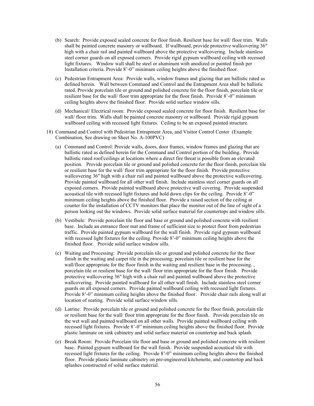- (b) Search: Provide exposed sealed concrete for floor finish. Resilient base for wall/ floor trim. Walls shall be painted concrete masonry or wallboard. If wallboard, provide protective wallcovering 36" high with a chair rail and painted wallboard above the protective wallcovering. Include stainless steel corner guards on all exposed corners. Provide rigid gypsum wallboard ceiling with recessed light fixtures. Window wall shall be steel or aluminum with anodized or painted finish per Installation criteria. Provide 8'-0" minimum ceiling heights above the finished floor.
- (c) Pedestrian Entrapment Area: Provide walls, window frames and glazing that are ballistic rated as defined herein. Wall between Command and Control and the Entrapment Area shall be ballistic rated. Provide porcelain tile or ground and polished concrete for the floor finish, porcelain tile or resilient base for the wall/ floor trim appropriate for the floor finish. Provide 8'-0" minimum ceiling heights above the finished floor. Provide solid surface window sills.
- (d) Mechanical/ Electrical room: Provide exposed sealed concrete for floor finish. Resilient base for wall/ floor trim. Walls shall be painted concrete masonry or wallboard. Provide rigid gypsum wallboard ceiling with recessed light fixtures. Ceiling to be an exposed painted structure.
- 18) Command and Control with Pedestrian Entrapment Area, and Visitor Control Center (Example Combination, See drawing on Sheet No. A-100PVC)
	- (a) Command and Control: Provide walls, doors, door frames, window frames and glazing that are ballistic rated as defined herein for the Command and Control portion of the building. Provide ballistic rated roof/ceilings at locations where a direct fire threat is possible from an elevated position. Provide porcelain tile or ground and polished concrete for the floor finish, porcelain tile or resilient base for the wall/ floor trim appropriate for the floor finish. Provide protective wallcovering 36" high with a chair rail and painted wallboard above the protective wallcovering. Provide painted wallboard for all other wall finish. Include stainless steel corner guards on all exposed corners. Provide painted wallboard above protective wall covering. Provide suspended acoustical tile with recessed light fixtures and hold down clips for the ceiling. Provide 8'-0" minimum ceiling heights above the finished floor. Provide a raised section of the ceiling at counter for the installation of CCTV monitors that place the monitor out of the line of sight of a person looking out the windows. Provide solid surface material for countertops and window sills.
	- (b) Vestibule: Provide porcelain tile floor and base or ground and polished concrete with resilient base. Include an entrance floor mat and frame of sufficient size to protect floor from pedestrian traffic. Provide painted gypsum wallboard for the wall finish. Provide rigid gypsum wallboard with recessed light fixtures for the ceiling. Provide 8'-0" minimum ceiling heights above the finished floor. Provide solid surface window sills.
	- (c) Waiting and Processing: Provide porcelain tile or ground and polished concrete for the floor finish in the waiting and carpet tile in the processing; porcelain tile or resilient base for the wall/floor appropriate for the floor finish in the waiting and resilient base in the processing. porcelain tile or resilient base for the wall/ floor trim appropriate for the floor finish. Provide protective wallcovering 36" high with a chair rail and painted wallboard above the protective wallcovering. Provide painted wallboard for all other wall finish. Include stainless steel corner guards on all exposed corners. Provide painted wallboard ceiling with recessed light fixtures. Provide 8'-0" minimum ceiling heights above the finished floor. Provide chair rails along wall at location of seating. Provide solid surface window sills.
	- (d) Latrine: Provide porcelain tile or ground and polished concrete for the floor finish, porcelain tile or resilient base for the wall/ floor trim appropriate for the floor finish. Provide porcelain tile on the wet wall and painted wallboard on all other walls. Provide painted wallboard ceiling with recessed light fixtures. Provide 8'-0" minimum ceiling heights above the finished floor. Provide plastic laminate on sink cabinetry and solid surface material on countertop and back splash.
	- (e) Break Room: Provide Porcelain tile floor and base or ground and polished concrete with resilient base. Painted gypsum wallboard for the wall finish. Provide suspended acoustical tile with recessed light fixtures for the ceiling. Provide 8'-0" minimum ceiling heights above the finished floor. Provide plastic laminate cabinetry on pre-engineered kitchenette, and countertop and back splashes constructed of solid surface material.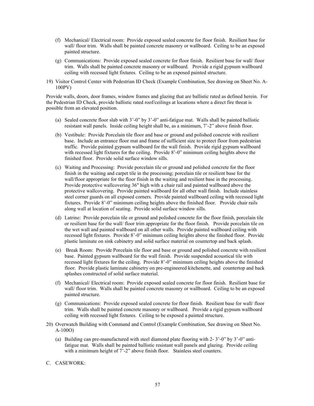- (f) Mechanical/ Electrical room: Provide exposed sealed concrete for floor finish. Resilient base for wall/ floor trim. Walls shall be painted concrete masonry or wallboard. Ceiling to be an exposed painted structure.
- (g) Communications: Provide exposed sealed concrete for floor finish. Resilient base for wall/ floor trim. Walls shall be painted concrete masonry or wallboard. Provide a rigid gypsum wallboard ceiling with recessed light fixtures. Ceiling to be an exposed painted structure.
- 19) Visitor Control Center with Pedestrian ID Check (Example Combination, See drawing on Sheet No. A-100PV)

Provide walls, doors, door frames, window frames and glazing that are ballistic rated as defined herein. For the Pedestrian ID Check, provide ballistic rated roof/ceilings at locations where a direct fire threat is possible from an elevated position.

- (a) Sealed concrete floor slab with 3'-0" by 3'-0" anti-fatigue mat. Walls shall be painted ballistic resistant wall panels. Inside ceiling height shall be, as a minimum, 7'-2" above finish floor.
- (b) Vestibule: Provide Porcelain tile floor and base or ground and polished concrete with resilient base. Include an entrance floor mat and frame of sufficient size to protect floor from pedestrian traffic. Provide painted gypsum wallboard for the wall finish. Provide rigid gypsum wallboard with recessed light fixtures for the ceiling. Provide 8'-0" minimum ceiling heights above the finished floor. Provide solid surface window sills.
- (c) Waiting and Processing: Provide porcelain tile or ground and polished concrete for the floor finish in the waiting and carpet tile in the processing; porcelain tile or resilient base for the wall/floor appropriate for the floor finish in the waiting and resilient base in the processing. Provide protective wallcovering 36" high with a chair rail and painted wallboard above the protective wallcovering. Provide painted wallboard for all other wall finish. Include stainless steel corner guards on all exposed corners. Provide painted wallboard ceiling with recessed light fixtures. Provide 8'-0" minimum ceiling heights above the finished floor. Provide chair rails along wall at location of seating. Provide solid surface window sills.
- (d) Latrine: Provide porcelain tile or ground and polished concrete for the floor finish, porcelain tile or resilient base for the wall/ floor trim appropriate for the floor finish. Provide porcelain tile on the wet wall and painted wallboard on all other walls. Provide painted wallboard ceiling with recessed light fixtures. Provide 8'-0" minimum ceiling heights above the finished floor. Provide plastic laminate on sink cabinetry and solid surface material on countertop and back splash.
- (e) Break Room: Provide Porcelain tile floor and base or ground and polished concrete with resilient base. Painted gypsum wallboard for the wall finish. Provide suspended acoustical tile with recessed light fixtures for the ceiling. Provide 8'-0" minimum ceiling heights above the finished floor. Provide plastic laminate cabinetry on pre-engineered kitchenette, and countertop and back splashes constructed of solid surface material.
- (f) Mechanical/ Electrical room: Provide exposed sealed concrete for floor finish. Resilient base for wall/ floor trim. Walls shall be painted concrete masonry or wallboard. Ceiling to be an exposed painted structure.
- (g) Communications: Provide exposed sealed concrete for floor finish. Resilient base for wall/ floor trim. Walls shall be painted concrete masonry or wallboard. Provide a rigid gypsum wallboard ceiling with recessed light fixtures. Ceiling to be exposed a painted structure.
- 20) Overwatch Building with Command and Control (Example Combination, See drawing on Sheet No. A-100O)
	- (a) Building can pre-manufactured with steel diamond plate flooring with 2- 3'-0" by 3'-0" antifatigue mat. Walls shall be painted ballistic resistant wall panels and glazing. Provide ceiling with a minimum height of 7'-2" above finish floor. Stainless steel counters.
- C. CASEWORK: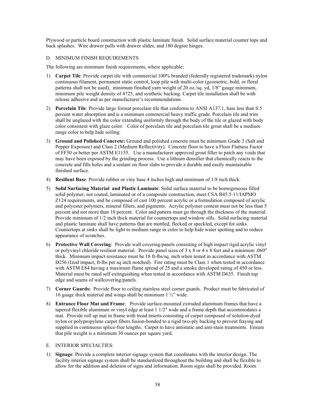Plywood or particle board construction with plastic laminate finish. Solid surface material counter tops and back splashes. Wire drawer pulls with drawer slides, and 180 degree hinges.

## D. MINIMUM FINISH REQUIREMENTS

The following are minimum finish requirements, where applicable:

- 1) **Carpet Tile**: Provide carpet tile with commercial 100% branded (federally registered trademark) nylon continuous filament, permanent static control, loop pile with multi-color (geometric, bold, or floral patterns shall not be used), minimum finished yarn weight of 20 oz./sq. yd, 1/8" gauge minimum, minimum pile weight density of 4725, and synthetic backing. Carpet tile installation shall be with release adhesive and as per manufacturer's recommendations.
- 2) **Porcelain Tile**: Provide large format porcelain tile that conforms to ANSI A137.1, hass less than 0.5 percent water absorption and is a minimum commercial heavy traffic grade. Porcelain tile and trim shall be unglazed with the color extending uniformly through the body of the tile or glazed with body color consistent with glaze color. Color of porcelain tile and porcelain tile grout shall be a medium range color to help hide soiling.
- 3) **Ground and Polished Concrete:** Ground and polished concrete must be minimum Grade 2 (Salt and Pepper Exposure) and Class 2 (Medium Reflectivity). Concrete floor to have a Floor Flatness Factor of FF50 or better per ASTM E1155. Use a manufacturer approved grout filler to patch any voids that may have been exposed by the grinding process. Use a lithium densifier that chemically reacts to the concrete and fills holes and a sealant on floor slabs to provide a durable and easily maintainable finished surface.
- 4) **Resilient Base**: Provide rubber or viny base 4 inches high and minimum of 1/8 inch thick.
- 5) **Solid Surfacing Material and Plastic Laminate**: Solid surface material to be homogeneous filled solid polymer, not coated, laminated or of a composite construction, meet CSA B45.5-11/IAPMO Z124 requirements, and be composed of cast 100 percent acrylic or a formulation composed of acrylic and polyester polymers, mineral fillers, and pigments. Acrylic polymer content must not be less than 5 percent and not more than 10 percent. Color and pattern must go through the thickness of the material. Provide minimum of 1/2 inch thick material for countertops and window sills. Solid surfacing material and plastic laminate shall have patterns that are mottled, flecked or speckled, except for sinks. Countertops at sinks shall be light to medium range in color to help hide water spotting and to reduce appearance of scratches.
- 6) **Protective Wall Covering**: Provide wall covering/panels consisting of high impact rigid acrylic vinyl or polyvinyl chloride resilient material. Provide panel sizes of 3 x 8 or 4 x 8 feet and a minimum .060" thick. Minimum impact resistance must be 18 ft-lbs/sq. inch when tested in accordance with ASTM D256 (Izod impact, ft-lbs per sq inch notched). Fire rating must be Class 1 when tested in accordance with ASTM E84 having a maximum flame spread of 25 and a smoke developed rating of 450 or less. Material must be rated self extinguishing when tested in accordance with ASTM D635. Finish top edge and seams of wallcovering/panels.
- 7) **Corner Guards:** Provide floor to ceiling stainless steel corner guards. Product must be fabricated of 16 guage thick material and wings shall be minimum  $1\frac{1}{2}$  wide.
- 8) **Entrance Floor Mat and Frame**: Provide surface-mounted extruded aluminum frames that have a tapered flexible aluminum or vinyl edge at least 1 1/2" wide and a frame depth that accommodates a mat. Provide roll up mat in frame with tread inserts consisting of carpet composed of solution-dyed nylon or polypropylene carpet fibers fusion-bonded to a rigid two-ply backing to prevent fraying and supplied in continuous splice-free lengths. Carpet to have antistatic and anti-stain treatments. Ensure that pile weight is a minimum 30 ounces per square yard.

### E. INTERIOR SPECIALTIES:

1) **Signage**: Provide a complete interior signage system that coordinates with the interior design. The facility interior signage system shall be standardized throughout the building and shall be flexible to allow for the addition and deletion of signs and information. Room signs shall be provided. Room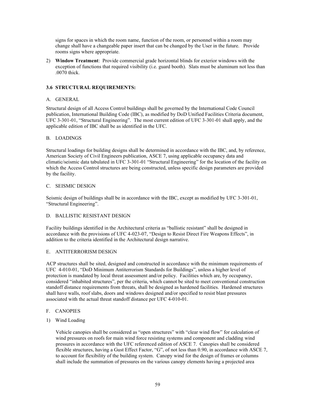signs for spaces in which the room name, function of the room, or personnel within a room may change shall have a changeable paper insert that can be changed by the User in the future. Provide rooms signs where appropriate.

2) **Window Treatment**: Provide commercial grade horizontal blinds for exterior windows with the exception of functions that required visibility (i.e. guard booth). Slats must be aluminum not less than .0070 thick.

## **3.6 STRUCTURAL REQUIREMENTS:**

## A. GENERAL

Structural design of all Access Control buildings shall be governed by the International Code Council publication, International Building Code (IBC), as modified by DoD Unified Facilities Criteria document, UFC 3-301-01, "Structural Engineering". The most current edition of UFC 3-301-01 shall apply, and the applicable edition of IBC shall be as identified in the UFC.

## B. LOADINGS

Structural loadings for building designs shall be determined in accordance with the IBC, and, by reference, American Society of Civil Engineers publication, ASCE 7, using applicable occupancy data and climatic/seismic data tabulated in UFC 3-301-01 "Structural Engineering" for the location of the facility on which the Access Control structures are being constructed, unless specific design parameters are provided by the facility.

### C. SEISMIC DESIGN

Seismic design of buildings shall be in accordance with the IBC, except as modified by UFC 3-301-01, "Structural Engineering".

## D. BALLISTIC RESISTANT DESIGN

Facility buildings identified in the Architectural criteria as "ballistic resistant" shall be designed in accordance with the provisions of UFC 4-023-07, "Design to Resist Direct Fire Weapons Effects", in addition to the criteria identified in the Architectural design narrative.

### E. ANTITERRORISM DESIGN

ACP structures shall be sited, designed and constructed in accordance with the minimum requirements of UFC 4-010-01, "DoD Minimum Antiterrorism Standards for Buildings", unless a higher level of protection is mandated by local threat assessment and/or policy. Facilities which are, by occupancy, considered "inhabited structures", per the criteria, which cannot be sited to meet conventional construction standoff distance requirements from threats, shall be designed as hardened facilities. Hardened structures shall have walls, roof slabs, doors and windows designed and/or specified to resist blast pressures associated with the actual threat standoff distance per UFC 4-010-01.

### F. CANOPIES

1) Wind Loading

Vehicle canopies shall be considered as "open structures" with "clear wind flow" for calculation of wind pressures on roofs for main wind force resisting systems and component and cladding wind pressures in accordance with the UFC referenced edition of ASCE 7. Canopies shall be considered flexible structures, having a Gust Effect Factor, "G", of not less than 0.90, in accordance with ASCE 7, to account for flexibility of the building system. Canopy wind for the design of frames or columns shall include the summation of pressures on the various canopy elements having a projected area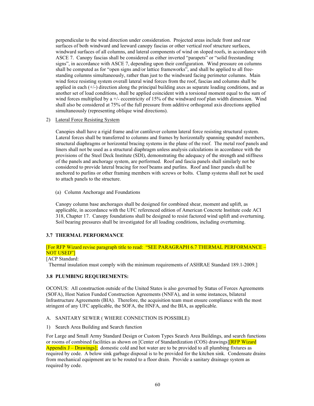perpendicular to the wind direction under consideration. Projected areas include front and rear surfaces of both windward and leeward canopy fascias or other vertical roof structure surfaces, windward surfaces of all columns, and lateral components of wind on sloped roofs, in accordance with ASCE 7. Canopy fascias shall be considered as either inverted "parapets" or "solid freestanding signs", in accordance with ASCE 7, depending upon their configuration. Wind pressure on columns shall be computed as for "open signs and/or lattice frameworks", and shall be applied to all freestanding columns simultaneously, rather than just to the windward facing perimeter columns. Main wind force resisting system overall lateral wind forces from the roof, fascias and columns shall be applied in each  $(+)$  direction along the principal building axes as separate loading conditions, and as another set of load conditions, shall be applied coincident with a torsional moment equal to the sum of wind forces multiplied by a +/- eccentricity of 15% of the windward roof plan width dimension. Wind shall also be considered at 75% of the full pressure from additive orthogonal axis directions applied simultaneously (representing oblique wind directions).

2) Lateral Force Resisting System

Canopies shall have a rigid frame and/or cantilever column lateral force resisting structural system. Lateral forces shall be transferred to columns and frames by horizontally spanning spandrel members, structural diaphragms or horizontal bracing systems in the plane of the roof. The metal roof panels and liners shall not be used as a structural diaphragm unless analysis calculations in accordance with the provisions of the Steel Deck Institute (SDI), demonstrating the adequacy of the strength and stiffness of the panels and anchorage system, are performed. Roof and fascia panels shall similarly not be considered to provide lateral bracing for roof beams and purlins. Roof and liner panels shall be anchored to purlins or other framing members with screws or bolts. Clamp systems shall not be used to attach panels to the structure.

(a) Column Anchorage and Foundations

Canopy column base anchorages shall be designed for combined shear, moment and uplift, as applicable, in accordance with the UFC referenced edition of American Concrete Institute code ACI 318, Chapter 17. Canopy foundations shall be designed to resist factored wind uplift and overturning. Soil bearing pressures shall be investigated for all loading conditions, including overturning.

# **3.7 THERMAL PERFORMANCE**

## [For RFP Wizard revise paragraph title to read: "SEE PARAGRAPH 6.7 THERMAL PERFORMANCE – NOT USED"]

### [ACP Standard:

Thermal insulation must comply with the minimum requirements of ASHRAE Standard 189.1-2009.]

## **3.8 PLUMBING REQUIREMENTS:**

OCONUS: All construction outside of the United States is also governed by Status of Forces Agreements (SOFA), Host Nation Funded Construction Agreements (NNFA), and in some instances, bilateral Infrastructure Agreements (BIA). Therefore, the acquisition team must ensure compliance with the most stringent of any UFC applicable, the SOFA, the HNFA, and the BIA, as applicable.

## A. SANITARY SEWER ( WHERE CONNECTION IS POSSIBLE)

### 1) Search Area Building and Search function

For Large and Small Army Standard Design or Custom Types Search Area Buildings, and search functions or rooms of combined facilities as shown on [Center of Standardization (COS) drawings]<sup>[RFP Wizard</sup> Appendix  $J - Drawings$ : domestic cold and hot water are to be provided to all plumbing fixtures as required by code. A below sink garbage disposal is to be provided for the kitchen sink. Condensate drains from mechanical equipment are to be routed to a floor drain. Provide a sanitary drainage system as required by code.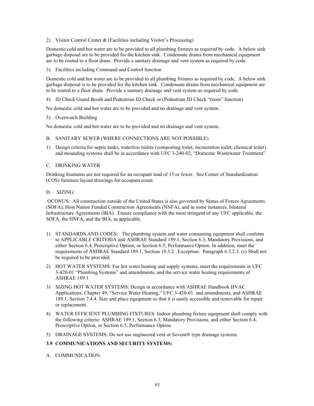### 2) Visitor Control Center & (Facilities including Visitor's Processing)

Domestic cold and hot water are to be provided to all plumbing fixtures as required by code. A below sink garbage disposal are to be provided for the kitchen sink. Condensate drains from mechanical equipment are to be routed to a floor drain. Provide a sanitary drainage and vent system as required by code*.* 

3) Facilities including Command and Control function

Domestic cold and hot water are to be provided to all plumbing fixtures as required by code. A below sink garbage disposal is to be provided for the kitchen sink. Condensate drains from mechanical equipment are to be routed to a floor drain. Provide a sanitary drainage and vent system as required by code*.*

4) ID Check Guard Booth and Pedestrian ID Check or (Pedestrian ID Check "room" function)

No domestic cold and hot water are to be provided and no drainage and vent system.

5) Overwatch Building

No domestic cold and hot water are to be provided and no drainage and vent system.

- B. SANITARY SEWER (WHERE CONNECTIONS ARE NOT POSSIBLE)
- 1) Design criteria for septic tanks, waterless toilets (composting toilet, incineration toilet, chemical toilet) and mounding systems shall be in accordance with UFC 3-240-02, "Domestic Wastewater Treatment".

### C. DRINKING WATER

Drinking fountains are not required for an occupant load of 15 or fewer. See Center of Standardization (COS) furniture layout drawings for occupant count.

D. SIZING:

OCONUS: All construction outside of the United States is also governed by Status of Forces Agreements (SOFA), Host Nation Funded Construction Agreements (NNFA), and in some instances, bilateral Infrastructure Agreements (BIA). Ensure compliance with the most stringent of any UFC applicable, the SOFA, the HNFA, and the BIA, as applicable.

- 1) STANDARDS AND CODES: The plumbing system and water consuming equipment shall conform to APPLICABLE CRITERIA and ASHRAE Standard 189.1, Section 6.3, Mandatory Provisions, and either Section 6.4, Prescriptive Option, or Section 6.5, Performance Option. In addition, meet the requirements of ASHRAE Standard 189.1, Section 10.3.2. Exception: Paragraph 6.3.2.3. (c) Shall not be required to be provided.
- 2) HOT WATER SYSTEMS: For hot water heating and supply systems, meet the requirements in UFC 3-420-01 "Plumbing Systems" and amendments, and the service water heating requirements of ASHRAE 189.1.
- 3) SIZING HOT WATER SYSTEMS: Design in accordance with ASHRAE Handbook HVAC Applications, Chapter 49, "Service Water Heating," UFC 3-420-01 and amendments, and ASHRAE 189.1, Section 7.4.4. Size and place equipment so that it is easily accessible and removable for repair or replacement.
- 4) WATER EFFICIENT PLUMBING FIXTURES: Indoor plumbing fixture equipment shall comply with the following criteria: ASHRAE 189.1, Section 6.3, Mandatory Provisions, and either Section 6.4, Prescriptive Option, or Section 6.5, Performance Option.
- 5) DRAINAGE SYSTEMS: Do not use engineered vent or Sovent® type drainage systems.

## **3.9 COMMUNICATIONS AND SECURITY SYSTEMS:**

A. COMMUNICATION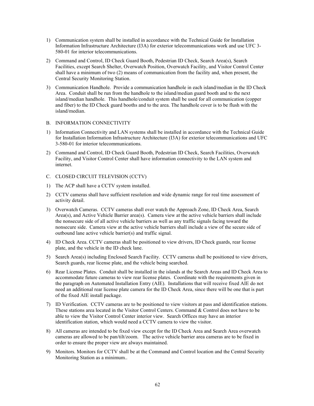- 1) Communication system shall be installed in accordance with the Technical Guide for Installation Information Infrastructure Architecture (I3A) for exterior telecommunications work and use UFC 3- 580-01 for interior telecommunications.
- 2) Command and Control, ID Check Guard Booth, Pedestrian ID Check, Search Area(s), Search Facilities, except Search Shelter, Overwatch Position, Overwatch Facility, and Visitor Control Center shall have a minimum of two (2) means of communication from the facility and, when present, the Central Security Monitoring Station.
- 3) Communication Handhole. Provide a communication handhole in each island/median in the ID Check Area. Conduit shall be run from the handhole to the island/median guard booth and to the next island/median handhole. This handhole/conduit system shall be used for all communication (copper and fiber) to the ID Check guard booths and to the area. The handhole cover is to be flush with the island/median.

### B. INFORMATION CONNECTIVITY

- 1) Information Connectivity and LAN systems shall be installed in accordance with the Technical Guide for Installation Information Infrastructure Architecture (I3A) for exterior telecommunications and UFC 3-580-01 for interior telecommunications.
- 2) Command and Control, ID Check Guard Booth, Pedestrian ID Check, Search Facilities, Overwatch Facility, and Visitor Control Center shall have information connectivity to the LAN system and internet.
- C. CLOSED CIRCUIT TELEVISION (CCTV)
- 1) The ACP shall have a CCTV system installed.
- 2) CCTV cameras shall have sufficient resolution and wide dynamic range for real time assessment of activity detail.
- 3) Overwatch Cameras. CCTV cameras shall over watch the Approach Zone, ID Check Area, Search Area(s), and Active Vehicle Barrier area(s). Camera view at the active vehicle barriers shall include the nonsecure side of all active vehicle barriers as well as any traffic signals facing toward the nonsecure side. Camera view at the active vehicle barriers shall include a view of the secure side of outbound lane active vehicle barrier(s) and traffic signal.
- 4) ID Check Area. CCTV cameras shall be positioned to view drivers, ID Check guards, rear license plate, and the vehicle in the ID check lane.
- 5) Search Area(s) including Enclosed Search Facility. CCTV cameras shall be positioned to view drivers, Search guards, rear license plate, and the vehicle being searched.
- 6) Rear License Plates. Conduit shall be installed in the islands at the Search Areas and ID Check Area to accommodate future cameras to view rear license plates. Coordinate with the requirements given in the paragraph on Automated Installation Entry (AIE). Installations that will receive fixed AIE do not need an additional rear license plate camera for the ID Check Area, since there will be one that is part of the fixed AIE install package.
- 7) ID Verification. CCTV cameras are to be positioned to view visitors at pass and identification stations. These stations area located in the Visitor Control Centers. Command & Control does not have to be able to view the Visitor Control Center interior view. Search Offices may have an interior identification station, which would need a CCTV camera to view the visitor.
- 8) All cameras are intended to be fixed view except for the ID Check Area and Search Area overwatch cameras are allowed to be pan/tilt/zoom. The active vehicle barrier area cameras are to be fixed in order to ensure the proper view are always maintained.
- 9) Monitors. Monitors for CCTV shall be at the Command and Control location and the Central Security Monitoring Station as a minimum..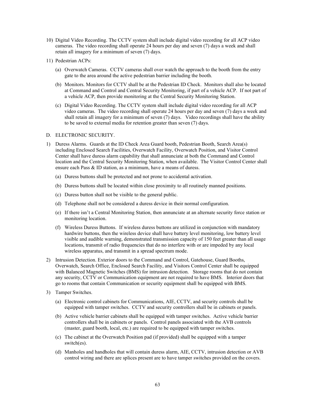- 10) Digital Video Recording. The CCTV system shall include digital video recording for all ACP video cameras. The video recording shall operate 24 hours per day and seven (7) days a week and shall retain all imagery for a minimum of seven (7) days.
- 11) Pedestrian ACPs:
	- (a) Overwatch Cameras. CCTV cameras shall over watch the approach to the booth from the entry gate to the area around the active pedestrian barrier including the booth.
	- (b) Monitors. Monitors for CCTV shall be at the Pedestrian ID Check. Monitors shall also be located at Command and Control and Central Security Monitoring, if part of a vehicle ACP. If not part of a vehicle ACP, then provide monitoring at the Central Security Monitoring Station.
	- (c) Digital Video Recording. The CCTV system shall include digital video recording for all ACP video cameras. The video recording shall operate 24 hours per day and seven (7) days a week and shall retain all imagery for a minimum of seven (7) days. Video recordings shall have the ability to be saved to external media for retention greater than seven (7) days.

### D. ELECTRONIC SECURITY.

- 1) Duress Alarms. Guards at the ID Check Area Guard booth, Pedestrian Booth, Search Area(s) including Enclosed Search Facilities, Overwatch Facility, Overwatch Position, and Visitor Control Center shall have duress alarm capability that shall annunciate at both the Command and Control location and the Central Security Monitoring Station, when available. The Visitor Control Center shall ensure each Pass & ID station, as a minimum, have a means of duress.
	- (a) Duress buttons shall be protected and not prone to accidental activation.
	- (b) Duress buttons shall be located within close proximity to all routinely manned positions.
	- (c) Duress button shall not be visible to the general public.
	- (d) Telephone shall not be considered a duress device in their normal configuration.
	- (e) If there isn't a Central Monitoring Station, then annunciate at an alternate security force station or monitoring location.
	- (f) Wireless Duress Buttons. If wireless duress buttons are utilized in conjunction with mandatory hardwire buttons, then the wireless device shall have battery level monitoring, low battery level visible and audible warning, demonstrated transmission capacity of 150 feet greater than all usage locations, transmit of radio frequencies that do no interfere with or are impeded by any local wireless apparatus, and transmit in a spread spectrum mode.
- 2) Intrusion Detection. Exterior doors to the Command and Control, Gatehouse, Guard Booths, Overwatch, Search Office, Enclosed Search Facility, and Visitors Control Center shall be equipped with Balanced Magnetic Switches (BMS) for intrusion detection. Storage rooms that do not contain any security, CCTV or Communication equipment are not required to have BMS. Interior doors that go to rooms that contain Communication or security equipment shall be equipped with BMS.
- 3) Tamper Switches.
	- (a) Electronic control cabinets for Communications, AIE, CCTV, and security controls shall be equipped with tamper switches. CCTV and security controllers shall be in cabinets or panels.
	- (b) Active vehicle barrier cabinets shall be equipped with tamper switches. Active vehicle barrier controllers shall be in cabinets or panels. Control panels associated with the AVB controls (master, guard booth, local, etc.) are required to be equipped with tamper switches.
	- (c) The cabinet at the Overwatch Position pad (if provided) shall be equipped with a tamper switch(es).
	- (d) Manholes and handholes that will contain duress alarm, AIE, CCTV, intrusion detection or AVB control wiring and there are splices present are to have tamper switches provided on the covers.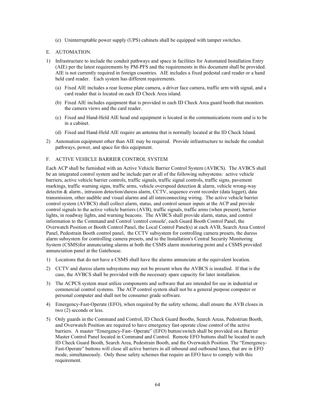(e) Uninterruptable power supply (UPS) cabinets shall be equipped with tamper switches.

### E. AUTOMATION.

- 1) Infrastructure to include the conduit pathways and space in facilities for Automated Installation Entry (AIE) per the latest requirements by PM-PFS and the requirements in this document shall be provided. AIE is not currently required in foreign countries. AIE includes a fixed pedestal card reader or a hand held card reader. Each system has different requirements.
	- (a) Fixed AIE includes a rear license plate camera, a driver face camera, traffic arm with signal, and a card reader that is located on each ID Check Area island.
	- (b) Fixed AIE includes equipment that is provided in each ID Check Area guard booth that monitors the camera views and the card reader.
	- (c) Fixed and Hand-Held AIE head end equipment is located in the communications room and is to be in a cabinet.
	- (d) Fixed and Hand-Held AIE require an antenna that is normally located at the ID Check Island.
- 2) Automation equipment other than AIE may be required. Provide infrastructure to include the conduit pathways, power, and space for this equipment.

### F. ACTIVE VEHICLE BARRIER CONTROL SYSTEM

Each ACP shall be furnished with an Active Vehicle Barrier Control System (AVBCS). The AVBCS shall be an integrated control system and be include part or all of the following subsystems: active vehicle barriers, active vehicle barrier controls, traffic signals, traffic signal controls, traffic signs, pavement markings, traffic warning signs, traffic arms, vehicle overspeed detection & alarm, vehicle wrong-way detectin & alarm., intrusion detection/duress alarm, CCTV, sequence event recorder (data logget), data transmission, other audible and visual alarms and all interconnecting wiring. The active vehicle barrier control system (AVBCS) shall collect alarm, status, and control sensor inputs at the ACP and provide control signals to the active vehicle barriers (AVB), traffic signals, traffic arms (when present), barrier lights, in roadway lights, and warning beacons. The AVBCS shall provide alarm, status, and control information to the Command and Control 'control console', each Guard Booth Control Panel, the Overwatch Position or Booth Control Panel, the Local Control Panel(s) at each AVB, Search Area Control Panel, Pedestrain Booth control panel, the CCTV subsystem for controlling camera presets, the duress alarm subsystem for controlling camera presets, and to the Installation's Central Security Monitoring System (CSMS)for annunciating alarms at both the CSMS alarm monitoring point and a CSMS provided annunciation panel at the Gatehouse.

- 1) Locations that do not have a CSMS shall have the alarms annunciate at the equivalent location.
- 2) CCTV and duress alarm subsystems may not be present when the AVBCS is installed. If that is the case, the AVBCS shall be provided with the necessary spare capacity for later installation.
- 3) The ACPCS system must utilize components and software that are intended for use in industrial or commercial control systems. The ACP control system shall not be a general purpose computer or personal computer and shall not be consumer grade software.
- 4) Emergency-Fast-Operate (EFO), when required by the safety scheme, shall ensure the AVB closes in two (2) seconds or less.
- 5) Only guards in the Command and Control, ID Check Guard Booths, Search Areas, Pedestrian Booth, and Overwatch Position are required to have emergency fast operate close control of the active barriers. A master "Emergency-Fast- Operate" (EFO) button/switch shall be provided on a Barrier Master Control Panel located in Command and Control. Remote EFO buttons shall be located in each ID Check Guard Booth, Search Area, Pedestrain Booth, and the Overwatch Position. The "Emergency-Fast-Operate" buttons will close all active barriers in all inbound and outbound lanes, that are in EFO mode, simultaneously. Only those safety schemes that require an EFO have to comply with this requirement.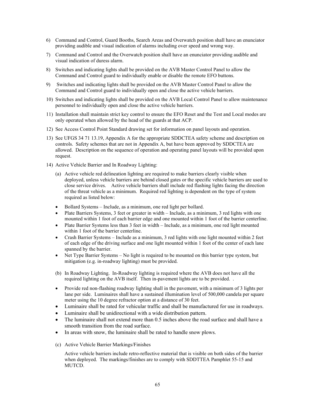- 6) Command and Control, Guard Booths, Search Areas and Overwatch position shall have an enunciator providing audible and visual indication of alarms including over speed and wrong way.
- 7) Command and Control and the Overwatch position shall have an enunciator providing audible and visual indication of duress alarm.
- 8) Switches and indicating lights shall be provided on the AVB Master Control Panel to allow the Command and Control guard to individually enable or disable the remote EFO buttons.
- 9) Switches and indicating lights shall be provided on the AVB Master Control Panel to allow the Command and Control guard to individually open and close the active vehicle barriers.
- 10) Switches and indicating lights shall be provided on the AVB Local Control Panel to allow maintenance personnel to individually open and close the active vehicle barriers.
- 11) Installation shall maintain strict key control to ensure the EFO Reset and the Test and Local modes are only operated when allowed by the head of the guards at that ACP.
- 12) See Access Control Point Standard drawing set for information on panel layouts and operation.
- 13) See UFGS 34 71 13.19, Appendix A for the appropriate SDDCTEA safety scheme and description on controls. Safety schemes that are not in Appendix A, but have been approved by SDDCTEA are allowed. Description on the sequence of operation and operating panel layouts will be provided upon request.
- 14) Active Vehicle Barrier and In Roadway Lighting:
	- (a) Active vehicle red delineation lighting are required to make barriers clearly visible when deployed, unless vehicle barriers are behind closed gates or the specific vehicle barriers are used to close service drives. Active vehicle barriers shall include red flashing lights facing the direction of the threat vehicle as a minimum. Required red lighting is dependent on the type of system required as listed below:
	- Bollard Systems Include, as a minimum, one red light per bollard.
	- Plate Barriers Systems, 3 feet or greater in width Include, as a minimum, 3 red lights with one mounted within 1 foot of each barrier edge and one mounted within 1 foot of the barrier centerline.
	- Plate Barrier Systems less than 3 feet in width Include, as a minimum, one red light mounted within 1 foot of the barrier centerline.
	- Crash Barrier Systems Include as a minimum, 3 red lights with one light mounted within 2 feet of each edge of the driving surface and one light mounted within 1 foot of the center of each lane spanned by the barrier.
	- Net Type Barrier Systems No light is required to be mounted on this barrier type system, but mitigation (e.g. in-roadway lighting) must be provided.
	- (b) In Roadway Lighting. In-Roadway lighting is required where the AVB does not have all the required lighting on the AVB itself. Then in-pavement lights are to be provided. .
	- Provide red non-flashing roadway lighting shall in the pavement, with a minimum of 3 lights per lane per side. Luminaires shall have a sustained illumination level of 500,000 candela per square meter using the 10 degree refractor option at a distance of 30 feet.
	- Luminaire shall be rated for vehicular traffic and shall be manufactured for use in roadways.
	- Luminaire shall be unidirectional with a wide distribution pattern.
	- The luminaire shall not extend more than 0.5 inches above the road surface and shall have a smooth transition from the road surface.
	- In areas with snow, the luminaire shall be rated to handle snow plows.
	- (c) Active Vehicle Barrier Markings/Finishes

Active vehicle barriers include retro-reflective material that is visible on both sides of the barrier when deployed. The markings/finishes are to comply with SDDTTEA Pamphlet 55-15 and MUTCD.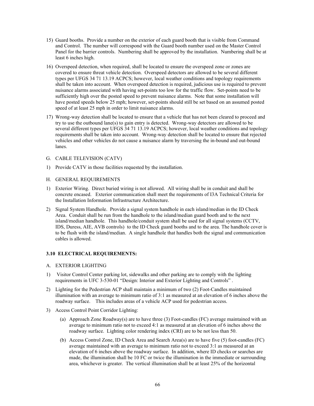- 15) Guard booths. Provide a number on the exterior of each guard booth that is visible from Command and Control. The number will correspond with the Guard booth number used on the Master Control Panel for the barrier controls. Numbering shall be approved by the installation. Numbering shall be at least 6 inches high.
- 16) Overspeed detection, when required, shall be located to ensure the overspeed zone or zones are covered to ensure threat vehicle detection. Overspeed detectors are allowed to be several different types per UFGS 34 71 13.19 ACPCS; however, local weather conditions and topology requirements shall be taken into account. When overspeed detection is required, judicious use is required to prevent nuisance alarms associated with having set-points too low for the traffic flow. Set-points need to be sufficiently high over the posted speed to prevent nuisance alarms. Note that some installation will have posted speeds below 25 mph; however, set-points should still be set based on an assumed posted speed of at least 25 mph in order to limit nuisance alarms.
- 17) Wrong-way detection shall be located to ensure that a vehicle that has not been cleared to proceed and try to use the outbound lane(s) to gain entry is detected. Wrong-way detectors are allowed to be several different types per UFGS 34 71 13.19 ACPCS; however, local weather conditions and topology requirements shall be taken into account. Wrong-way detection shall be located to ensure that rejected vehicles and other vehicles do not cause a nuisance alarm by traversing the in-bound and out-bound lanes.

### G. CABLE TELEVISION (CATV)

1) Provide CATV in those facilities requested by the installation.

### H. GENERAL REQUIREMENTS

- 1) Exterior Wiring. Direct buried wiring is not allowed. All wiring shall be in conduit and shall be concrete encased. Exterior communication shall meet the requirements of I3A Technical Criteria for the Installation Information Infrastructure Architecture.
- 2) Signal System Handhole. Provide a signal system handhole in each island/median in the ID Check Area. Conduit shall be run from the handhole to the island/median guard booth and to the next island/median handhole. This handhole/conduit system shall be used for all signal systems (CCTV, IDS, Duress, AIE, AVB controls) to the ID Check guard booths and to the area. The handhole cover is to be flush with the island/median. A single handhole that handles both the signal and communication cables is allowed.

## **3.10 ELECTRICAL REQUIREMENTS:**

### A. EXTERIOR LIGHTING

- 1) Visitor Control Center parking lot, sidewalks and other parking are to comply with the lighting requirements in UFC 3-530-01 "Design: Interior and Exterior Lighting and Controls" .
- 2) Lighting for the Pedestrian ACP shall maintain a minimum of two (2) Foot-Candles maintained illumination with an average to minimum ratio of 3:1 as measured at an elevation of 6 inches above the roadway surface. This includes areas of a vehicle ACP used for pedestrian access.
- 3) Access Control Point Corridor Lighting:
	- (a) Approach Zone Roadway(s) are to have three (3) Foot-candles (FC) average maintained with an average to minimum ratio not to exceed 4:1 as measured at an elevation of 6 inches above the roadway surface. Lighting color rendering index (CRI) are to be not less than 50.
	- (b) Access Control Zone, ID Check Area and Search Area(s) are to have five (5) foot-candles (FC) average maintained with an average to minimum ratio not to exceed 3:1 as measured at an elevation of 6 inches above the roadway surface. In addition, where ID checks or searches are made, the illumination shall be 10 FC or twice the illumination in the immediate or surrounding area, whichever is greater. The vertical illumination shall be at least 25% of the horizontal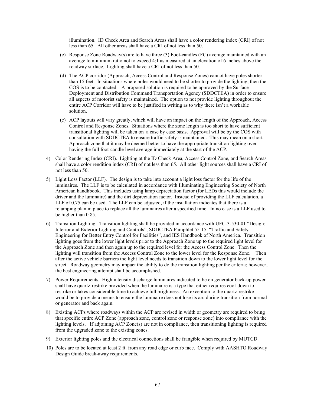illumination. ID Check Area and Search Areas shall have a color rendering index (CRI) of not less than 65. All other areas shall have a CRI of not less than 50.

- (c) Response Zone Roadway(s) are to have three (3) Foot-candles (FC) average maintained with an average to minimum ratio not to exceed 4:1 as measured at an elevation of 6 inches above the roadway surface. Lighting shall have a CRI of not less than 50.
- (d) The ACP corridor (Approach, Access Control and Response Zones) cannot have poles shorter than 15 feet. In situations where poles would need to be shorter to provide the lighting, then the COS is to be contacted. A proposed solution is required to be approved by the Surface Deployment and Distribution Command Transportation Agency (SDDCTEA) in order to ensure all aspects of motorist safety is maintained. The option to not provide lighting throughout the entire ACP Corridor will have to be justified in writing as to why there isn't a workable solution.
- (e) ACP layouts will vary greatly, which will have an impact on the length of the Approach, Access Control and Response Zones. Situations where the zone length is too short to have sufficient transitional lighting will be taken on a case by case basis. Approval will be by the COS with consultation with SDDCTEA to ensure traffic safety is maintained. This may mean on a short Approach zone that it may be deemed better to have the appropriate transition lighting over having the full foot-candle level average immediately at the start of the ACP.
- 4) Color Rendering Index (CRI). Lighting at the ID Check Area, Access Control Zone, and Search Areas shall have a color rendition index (CRI) of not less than 65. All other light sources shall have a CRI of not less than 50.
- 5) Light Loss Factor (LLF). The design is to take into account a light loss factor for the life of the luminaires. The LLF is to be calculated in accordance with Illuminating Engineering Society of North American handhbook. This includes using lamp depreciation factor (for LEDs this would include the driver and the luminaire) and the dirt depreciation factor. Instead of providing the LLF calculation, a LLF of 0.75 can be used. The LLF can be adjusted, if the installation indicates that there is a relamping plan in place to replace all the luminaires after a specified time. In no case is a LLF used to be higher than 0.85.
- 6) Transition Lighting. Transition lighting shall be provided in accordance with UFC-3-530-01 "Design: Interior and Exterior Lighting and Controls", SDDCTEA Pamphlet 55-15 "Traffic and Safety Engineering for Better Entry Control for Facilities", and IES Handbook of North America. Transition lighting goes from the lower light levels prior to the Approach Zone up to the required light level for the Approach Zone and then again up to the required level for the Access Control Zone. Then the lighting will transition from the Access Control Zone to the lower level for the Response Zone. Then after the active vehicle barriers the light level needs to transition down to the lower light level for the street. Roadway geometry may impact the ability to do the transition lighting per the criteria; however, the best engineering attempt shall be accomplished.
- 7) Power Requirements. High intensity discharge luminaires indicated to be on generator back-up power shall have quartz-restrike provided when the luminaire is a type that either requires cool-down to restrike or takes considerable time to achieve full brightness. An exception to the quartz-restrike would be to provide a means to ensure the luminaire does not lose its arc during transition from normal or generator and back again.
- 8) Existing ACPs where roadways within the ACP are revised in width or geometry are required to bring that specific entire ACP Zone (approach zone, control zone or response zone) into compliance with the lighting levels. If adjoining ACP Zone(s) are not in compliance, then transitioning lighting is required from the upgraded zone to the existing zones.
- 9) Exterior lighting poles and the electrical connections shall be frangible when required by MUTCD.
- 10) Poles are to be located at least 2 ft. from any road edge or curb face. Comply with AASHTO Roadway Design Guide break-away requirements.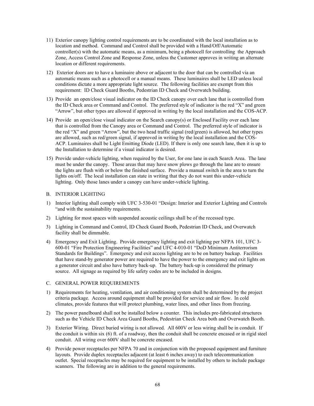- 11) Exterior canopy lighting control requirements are to be coordinated with the local installation as to location and method. Command and Control shall be provided with a Hand/Off/Automatic controller(s) with the automatic means, as a minimum, being a photocell for controlling the Approach Zone, Access Control Zone and Response Zone, unless the Customer approves in writing an alternate location or different requirements.
- 12) Exterior doors are to have a luminaire above or adjacent to the door that can be controlled via an automatic means such as a photocell or a manual means. These luminaires shall be LED unless local conditions dictate a more appropriate light source. The following facilities are exempt from this requirement: ID Check Guard Booths, Pedestrian ID Check and Overwatch building.
- 13) Provide an open/close visual indicator on the ID Check canopy over each lane that is controlled from the ID Check area or Command and Control. The preferred style of indicator is the red "X" and green "Arrow", but other types are allowed if approved in writing by the local installation and the COS-ACP.
- 14) Provide an open/close visual indicator on the Search canopy(s) or Enclosed Facility over each lane that is controlled from the Canopy area or Command and Control. The preferred style of indicator is the red "X" and green "Arrow", but the two head traffic signal (red/green) is allowed, but other types are allowed, such as red/green signal, if approved in writing by the local installation and the COS-ACP. Luminaires shall be Light Emitting Diode (LED). If there is only one search lane, then it is up to the Installation to determine if a visual indicator is desired.
- 15) Provide under-vehicle lighting, when required by the User, for one lane in each Search Area. The lane must be under the canopy. Those areas that may have snow plows go through the lane are to ensure the lights are flush with or below the finished surface. Provide a manual switch in the area to turn the lights on/off. The local installation can state in writing that they do not want this under-vehicle lighting. Only those lanes under a canopy can have under-vehicle lighting.

### B. INTERIOR LIGHTING

- 1) Interior lighting shall comply with UFC 3-530-01 "Design: Interior and Exterior Lighting and Controls "and with the sustainability requirements.
- 2) Lighting for most spaces with suspended acoustic ceilings shall be of the recessed type.
- 3) Lighting in Command and Control, ID Check Guard Booth, Pedestrian ID Check, and Overwatch facility shall be dimmable.
- 4) Emergency and Exit Lighting. Provide emergency lighting and exit lighting per NFPA 101, UFC 3- 600-01 "Fire Protection Engineering Facilities" and UFC 4-010-01 "DoD Minimum Antiterrorism Standards for Buildings". Emergency and exit access lighting are to be on battery backup. Facilities that have stand-by generator power are required to have the power to the emergency and exit lights on a generator circuit and also have battery back-up. The battery back-up is considered the primary source. All signage as required by life safety codes are to be included in designs.

### C. GENERAL POWER REQUIREMENTS

- 1) Requirements for heating, ventilation, and air conditioning system shall be determined by the project criteria package. Access around equipment shall be provided for service and air flow. In cold climates, provide features that will protect plumbing, water lines, and other lines from freezing.
- 2) The power panelboard shall not be installed below a counter. This includes pre-fabricated structures such as the Vehicle ID Check Area Guard Booths, Pedestrian Check Area both and Overwatch Booth.
- 3) Exterior Wiring. Direct buried wiring is not allowed. All 600V or less wiring shall be in conduit. If the conduit is within six (6) ft. of a roadway, then the conduit shall be concrete encased or in rigid steel conduit. All wiring over 600V shall be concrete encased.
- 4) Provide power receptacles per NFPA 70 and in conjunction with the proposed equipment and furniture layouts. Provide duplex receptacles adjacent (at least 6 inches away) to each telecommunication outlet. Special receptacles may be required for equipment to be installed by others to include package scanners. The following are in addition to the general requirements.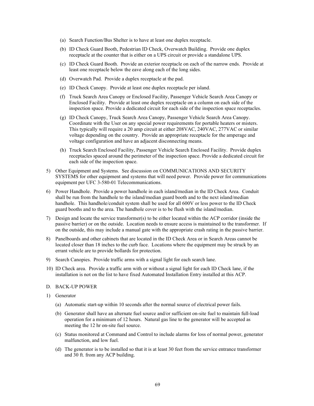- (a) Search Function/Bus Shelter is to have at least one duplex receptacle.
- (b) ID Check Guard Booth, Pedestrian ID Check, Overwatch Building. Provide one duplex receptacle at the counter that is either on a UPS circuit or provide a standalone UPS.
- (c) ID Check Guard Booth. Provide an exterior receptacle on each of the narrow ends. Provide at least one receptacle below the eave along each of the long sides.
- (d) Overwatch Pad. Provide a duplex receptacle at the pad.
- (e) ID Check Canopy. Provide at least one duplex receptacle per island.
- (f) Truck Search Area Canopy or Enclosed Facility, Passenger Vehicle Search Area Canopy or Enclosed Facility. Provide at least one duplex receptacle on a column on each side of the inspection space. Provide a dedicated circuit for each side of the inspection space receptacles.
- (g) ID Check Canopy, Truck Search Area Canopy, Passenger Vehicle Search Area Canopy. Coordinate with the User on any special power requirements for portable heaters or misters. This typically will require a 20 amp circuit at either 208VAC, 240VAC, 277VAC or similar voltage depending on the country. Provide an appropriate receptacle for the amperage and voltage configuration and have an adjacent disconnecting means.
- (h) Truck Search Enclosed Facility, Passenger Vehicle Search Enclosed Facility. Provide duplex receptacles spaced around the perimeter of the inspection space. Provide a dedicated circuit for each side of the inspection space.
- 5) Other Equipment and Systems. See discussion on COMMUNICATIONS AND SECURITY SYSTEMS for other equipment and systems that will need power. Provide power for communications equipment per UFC 3-580-01 Telecommunications.
- 6) Power Handhole. Provide a power handhole in each island/median in the ID Check Area. Conduit shall be run from the handhole to the island/median guard booth and to the next island/median handhole. This handhole/conduit system shall be used for all 600V or less power to the ID Check guard booths and to the area. The handhole cover is to be flush with the island/median.
- 7) Design and locate the service transformer(s) to be either located within the ACP corridor (inside the passive barrier) or on the outside. Location needs to ensure access is maintained to the transformer. If on the outside, this may include a manual gate with the appropriate crash rating in the passive barrier.
- 8) Panelboards and other cabinets that are located in the ID Check Area or in Search Areas cannot be located closer than 18 inches to the curb face. Locations where the equipment may be struck by an errant vehicle are to provide bollards for protection.
- 9) Search Canopies. Provide traffic arms with a signal light for each search lane.
- 10) ID Check area. Provide a traffic arm with or without a signal light for each ID Check lane, if the installation is not on the list to have fixed Automated Installation Entry installed at this ACP.

#### D. BACK-UP POWER

- 1) Generator
	- (a) Automatic start-up within 10 seconds after the normal source of electrical power fails.
	- (b) Generator shall have an alternate fuel source and/or sufficient on-site fuel to maintain full-load operation for a minimum of 12 hours. Natural gas line to the generator will be accepted as meeting the 12 hr on-site fuel source.
	- (c) Status monitored at Command and Control to include alarms for loss of normal power, generator malfunction, and low fuel.
	- (d) The generator is to be installed so that it is at least 30 feet from the service entrance transformer and 30 ft. from any ACP building.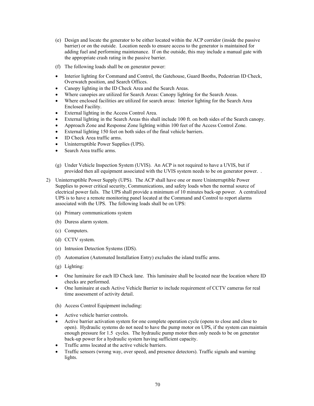- (e) Design and locate the generator to be either located within the ACP corridor (inside the passive barrier) or on the outside. Location needs to ensure access to the generator is maintained for adding fuel and performing maintenance. If on the outside, this may include a manual gate with the appropriate crash rating in the passive barrier.
- (f) The following loads shall be on generator power:
- Interior lighting for Command and Control, the Gatehouse, Guard Booths, Pedestrian ID Check, Overwatch position, and Search Offices.
- Canopy lighting in the ID Check Area and the Search Areas.
- Where canopies are utilized for Search Areas: Canopy lighting for the Search Areas.
- Where enclosed facilities are utilized for search areas: Interior lighting for the Search Area Enclosed Facility.
- External lighting in the Access Control Area.
- External lighting in the Search Areas this shall include 100 ft. on both sides of the Search canopy.
- Approach Zone and Response Zone lighting within 100 feet of the Access Control Zone.
- External lighting 150 feet on both sides of the final vehicle barriers.
- ID Check Area traffic arms.
- Uninterruptible Power Supplies (UPS).
- Search Area traffic arms.
- (g) Under Vehicle Inspection System (UVIS). An ACP is not required to have a UVIS, but if provided then all equipment associated with the UVIS system needs to be on generator power. .
- 2) Uninterruptible Power Supply (UPS). The ACP shall have one or more Uninterruptible Power Supplies to power critical security, Communications, and safety loads when the normal source of electrical power fails. The UPS shall provide a minimum of 10 minutes back-up power. A centralized UPS is to have a remote monitoring panel located at the Command and Control to report alarms associated with the UPS. The following loads shall be on UPS:
	- (a) Primary communications system
	- (b) Duress alarm system.
	- (c) Computers.
	- (d) CCTV system.
	- (e) Intrusion Detection Systems (IDS).
	- (f) Automation (Automated Installation Entry) excludes the island traffic arms.
	- (g) Lighting:
	- One luminaire for each ID Check lane. This luminaire shall be located near the location where ID checks are performed.
	- One luminaire at each Active Vehicle Barrier to include requirement of CCTV cameras for real time assessment of activity detail.
	- (h) Access Control Equipment including:
	- Active vehicle barrier controls.
	- Active barrier activation system for one complete operation cycle (opens to close and close to open). Hydraulic systems do not need to have the pump motor on UPS, if the system can maintain enough pressure for 1.5 cycles. The hydraulic pump motor then only needs to be on generator back-up power for a hydraulic system having sufficient capacity.
	- Traffic arms located at the active vehicle barriers.
	- Traffic sensors (wrong way, over speed, and presence detectors). Traffic signals and warning lights.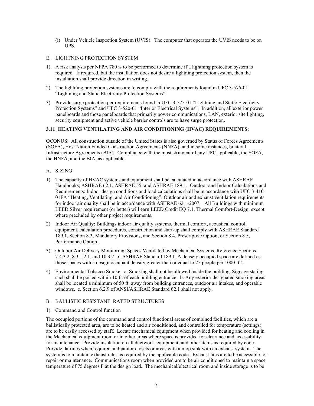(i) Under Vehicle Inspection System (UVIS). The computer that operates the UVIS needs to be on UPS.

# E. LIGHTNING PROTECTION SYSTEM

- 1) A risk analysis per NFPA 780 is to be performed to determine if a lightning protection system is required. If required, but the installation does not desire a lightning protection system, then the installation shall provide direction in writing.
- 2) The lightning protection systems are to comply with the requirements found in UFC 3-575-01 "Lightning and Static Electricity Protection Systems".
- 3) Provide surge protection per requirements found in UFC 3-575-01 "Lightning and Static Electricity Protection Systems" and UFC 3-520-01 "Interior Electrical Systems". In addition, all exterior power panelboards and those panelboards that primarily power communications, LAN, exterior site lighting, security equipment and active vehicle barrier controls are to have surge protection.

# **3.11 HEATING VENTILATING AND AIR CONDITIONING (HVAC) REQUIREMENTS:**

OCONUS: All construction outside of the United States is also governed by Status of Forces Agreements (SOFA), Host Nation Funded Construction Agreements (NNFA), and in some instances, bilateral Infrastructure Agreements (BIA). Compliance with the most stringent of any UFC applicable, the SOFA, the HNFA, and the BIA, as applicable.

#### A. SIZING

- 1) The capacity of HVAC systems and equipment shall be calculated in accordance with ASHRAE Handbooks, ASHRAE 62.1, ASHRAE 55, and ASHRAE 189.1. Outdoor and Indoor Calculations and Requirements: Indoor design conditions and load calculations shall be in accordance with UFC 3-410- 01FA "Heating, Ventilating, and Air Conditioning". Outdoor air and exhaust ventilation requirements for indoor air quality shall be in accordance with ASHRAE 62.1-2007. All Buildings with minimum LEED Silver requirement (or better) will earn LEED Credit EQ 7.1, Thermal Comfort-Design, except where precluded by other project requirements.
- 2) Indoor Air Quality: Buildings indoor air quality systems, thermal comfort, acoustical control, equipment, calculation procedures, construction and start-up shall comply with ASHRAE Standard 189.1, Section 8.3, Mandatory Provisions, and Section 8.4, Prescriptive Option, or Section 8.5, Performance Option.
- 3) Outdoor Air Delivery Monitoring: Spaces Ventilated by Mechanical Systems. Reference Sections 7.4.3.2, 8.3.1.2.1, and 10.3.2, of ASHRAE Standard 189.1. A densely occupied space are defined as those spaces with a design occupant density greater than or equal to 25 people per 1000 ft2.
- 4) Environmental Tobacco Smoke: a. Smoking shall not be allowed inside the building. Signage stating such shall be posted within 10 ft. of each building entrance. b. Any exterior designated smoking areas shall be located a minimum of 50 ft. away from building entrances, outdoor air intakes, and operable windows. c. Section 6.2.9 of ANSI/ASHRAE Standard 62.1 shall not apply.

#### B. BALLISTIC RESISTANT RATED STRUCTURES

1) Command and Control function

The occupied portions of the command and control functional areas of combined facilities, which are a ballistically protected area, are to be heated and air conditioned, and controlled for temperature (settings) are to be easily accessed by staff. Locate mechanical equipment when provided for heating and cooling in the Mechanical equipment room or in other areas where space is provided for clearance and accessibility for maintenance. Provide insulation on all ductwork, equipment, and other items as required by code. Provide latrines when required and janitor closets or areas with a mop sink with an exhaust system. The system is to maintain exhaust rates as required by the applicable code. Exhaust fans are to be accessible for repair or maintenance. Communications room when provided are to be air conditioned to maintain a space temperature of 75 degrees F at the design load. The mechanical/electrical room and inside storage is to be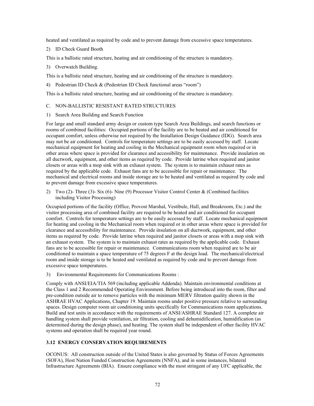heated and ventilated as required by code and to prevent damage from excessive space temperatures.

2) ID Check Guard Booth

This is a ballistic rated structure, heating and air conditioning of the structure is mandatory.

3) Overwatch Building.

This is a ballistic rated structure, heating and air conditioning of the structure is mandatory.

4) Pedestrian ID Check & (Pedestrian ID Check functional areas "room")

This is a ballistic rated structure, heating and air conditioning of the structure is mandatory.

# C. NON-BALLISTIC RESISTANT RATED STRUCTURES

1) Search Area Building and Search Function

For large and small standard army design or custom type Search Area Buildings, and search functions or rooms of combined facilities: Occupied portions of the facility are to be heated and air conditioned for occupant comfort, unless otherwise not required by the Installation Design Guidance (IDG). Search area may not be air conditioned. Controls for temperature settings are to be easily accessed by staff. Locate mechanical equipment for heating and cooling in the Mechanical equipment room when required or in other areas where space is provided for clearance and accessibility for maintenance. Provide insulation on all ductwork, equipment, and other items as required by code. Provide latrine when required and janitor closets or areas with a mop sink with an exhaust system. The system is to maintain exhaust rates as required by the applicable code. Exhaust fans are to be accessible for repair or maintenance. The mechanical and electrical rooms and inside storage are to be heated and ventilated as required by code and to prevent damage from excessive space temperatures.

2) Two (2)- Three (3)- Six (6)- Nine (9) Processor Visitor Control Center & (Combined facilities including Visitor Processing)

Occupied portions of the facility (Office, Provost Marshal, Vestibule, Hall, and Breakroom, Etc.) and the visitor processing area of combined facility are required to be heated and air conditioned for occupant comfort. Controls for temperature settings are to be easily accessed by staff. Locate mechanical equipment for heating and cooling in the Mechanical room when required or in other areas where space is provided for clearance and accessibility for maintenance. Provide insulation on all ductwork, equipment, and other items as required by code. Provide latrine when required and janitor closets or areas with a mop sink with an exhaust system. The system is to maintain exhaust rates as required by the applicable code. Exhaust fans are to be accessible for repair or maintenance. Communications room when required are to be air conditioned to maintain a space temperature of 75 degrees F at the design load. The mechanical/electrical room and inside storage is to be heated and ventilated as required by code and to prevent damage from excessive space temperatures.

3) Environmental Requirements for Communications Rooms :

Comply with ANSI/EIA/TIA 569 (including applicable Addenda). Maintain environmental conditions at the Class 1 and 2 Recommended Operating Environment. Before being introduced into the room, filter and pre-condition outside air to remove particles with the minimum MERV filtration quality shown in the ASHRAE HVAC Applications, Chapter 19. Maintain rooms under positive pressure relative to surrounding spaces. Design computer room air conditioning units specifically for Communications room applications. Build and test units in accordance with the requirements of ANSI/ASHRAE Standard 127. A complete air handling system shall provide ventilation, air filtration, cooling and dehumidification, humidification (as determined during the design phase), and heating. The system shall be independent of other facility HVAC systems and operation shall be required year round.

# **3.12 ENERGY CONSERVATION REQUIREMENTS**

OCONUS: All construction outside of the United States is also governed by Status of Forces Agreements (SOFA), Host Nation Funded Construction Agreements (NNFA), and in some instances, bilateral Infrastructure Agreements (BIA). Ensure compliance with the most stringent of any UFC applicable, the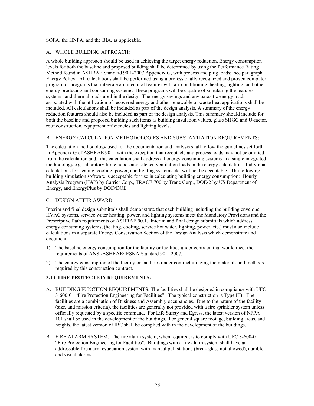#### SOFA, the HNFA, and the BIA, as applicable.

# A. WHOLE BUILDING APPROACH:

A whole building approach should be used in achieving the target energy reduction. Energy consumption levels for both the baseline and proposed building shall be determined by using the Performance Rating Method found in ASHRAE Standard 90.1-2007 Appendix G, with process and plug loads; see paragraph Energy Policy. All calculations shall be performed using a professionally recognized and proven computer program or programs that integrate architectural features with air-conditioning, heating, lighting, and other energy producing and consuming systems. These programs will be capable of simulating the features, systems, and thermal loads used in the design. The energy savings and any parasitic energy loads associated with the utilization of recovered energy and other renewable or waste heat applications shall be included. All calculations shall be included as part of the design analysis. A summary of the energy reduction features should also be included as part of the design analysis. This summary should include for both the baseline and proposed building such items as building insulation values, glass SHGC and U-factor, roof construction, equipment efficiencies and lighting levels.

#### B. ENERGY CALCULATION METHODOLOGIES AND SUBSTANTIATION REQUIREMENTS:

The calculation methodology used for the documentation and analysis shall follow the guidelines set forth in Appendix G of ASHRAE 90.1, with the exception that receptacle and process loads may not be omitted from the calculation and; this calculation shall address all energy consuming systems in a single integrated methodology e.g. laboratory fume hoods and kitchen ventilation loads in the energy calculation. Individual calculations for heating, cooling, power, and lighting systems etc. will not be acceptable. The following building simulation software is acceptable for use in calculating building energy consumption: Hourly Analysis Program (HAP) by Carrier Corp., TRACE 700 by Trane Corp., DOE-2 by US Department of Energy, and EnergyPlus by DOD/DOE.

#### C. DESIGN AFTER AWARD:

Interim and final design submittals shall demonstrate that each building including the building envelope, HVAC systems, service water heating, power, and lighting systems meet the Mandatory Provisions and the Prescriptive Path requirements of ASHRAE 90.1. Interim and final design submittals which address energy consuming systems, (heating, cooling, service hot water, lighting, power, etc.) must also include calculations in a separate Energy Conservation Section of the Design Analysis which demonstrate and document:

- 1) The baseline energy consumption for the facility or facilities under contract, that would meet the requirements of ANSI/ASHRAE/IESNA Standard 90.1-2007,
- 2) The energy consumption of the facility or facilities under contract utilizing the materials and methods required by this construction contract.

# **3.13 FIRE PROTECTION REQUIREMENTS:**

- A. BUILDING FUNCTION REQUIREMENTS: The facilities shall be designed in compliance with UFC 3-600-01 "Fire Protection Engineering for Facilities". The typical construction is Type IIB. The facilities are a combination of Business and Assembly occupancies. Due to the nature of the facility (size, and mission criteria), the facilities are generally not provided with a fire sprinkler system unless officially requested by a specific command. For Life Safety and Egress, the latest version of NFPA 101 shall be used in the development of the buildings. For general square footage, building areas, and heights, the latest version of IBC shall be complied with in the development of the buildings.
- B. FIRE ALARM SYSTEM. The fire alarm system, when required, is to comply with UFC 3-600-01 "Fire Protection Engineering for Facilities". Buildings with a fire alarm system shall have an addressable fire alarm evacuation system with manual pull stations (break glass not allowed), audible and visual alarms.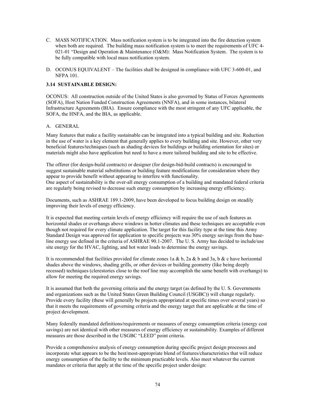- C. MASS NOTIFICATION. Mass notification system is to be integrated into the fire detection system when both are required. The building mass notification system is to meet the requirements of UFC 4-021-01 "Design and Operation & Maintenance ( $O&M$ ): Mass Notification System. The system is to be fully compatible with local mass notification system.
- D. OCONUS EQUIVALENT The facilities shall be designed in compliance with UFC 3-600-01, and NFPA 101.

### **3.14 SUSTAINABLE DESIGN:**

OCONUS: All construction outside of the United States is also governed by Status of Forces Agreements (SOFA), Host Nation Funded Construction Agreements (NNFA), and in some instances, bilateral Infrastructure Agreements (BIA). Ensure compliance with the most stringent of any UFC applicable, the SOFA, the HNFA, and the BIA, as applicable.

#### A. GENERAL

Many features that make a facility sustainable can be integrated into a typical building and site. Reduction in the use of water is a key element that generally applies to every building and site. However, other very beneficial features/techniques (such as shading devices for buildings or building orientation for sites) or materials might also have application but need to have a more tailored building and site to be effective.

The offerer (for design-build contracts) or designer (for design-bid-build contracts) is encouraged to suggest sustainable material substitutions or building feature modifications for consideration where they appear to provide benefit without appearing to interfere with functionality. One aspect of sustainability is the over-all energy consumption of a building and mandated federal criteria are regularly being revised to decrease such energy consumption by increasing energy efficiency.

Documents, such as ASHRAE 189.1-2009, have been developed to focus building design on steadily improving their levels of energy efficiency.

It is expected that meeting certain levels of energy efficiency will require the use of such features as horizontal shades or overhangs above windows in hotter climates and these techniques are acceptable even though not required for every climate application. The target for this facility type at the time this Army Standard Design was approved for application to specific projects was 30% energy savings from the baseline energy use defined in the criteria of ASHRAE 90.1-2007. The U. S. Army has decided to include/use site energy for the HVAC, lighting, and hot water loads to determine the energy savings.

It is recommended that facilities provided for climate zones 1a & b, 2a & b and 3a, b & c have horizontal shades above the windows, shading grills, or other devices or building geometry (like being deeply recessed) techniques (clerestories close to the roof line may accomplish the same benefit with overhangs) to allow for meeting the required energy savings.

It is assumed that both the governing criteria and the energy target (as defined by the U. S. Governments and organizations such as the United States Green Building Council (USGBC)) will change regularly. Provide every facility (these will generally be projects appropriated at specific times over several years) so that it meets the requirements of governing criteria and the energy target that are applicable at the time of project development.

Many federally mandated definitions/requirements or measures of energy consumption criteria (energy cost savings) are not identical with other measures of energy efficiency or sustainability. Examples of different measures are those described in the USGBC "LEED" point criteria.

Provide a comprehensive analysis of energy consumption during specific project design processes and incorporate what appears to be the best/most-appropriate blend of features/characteristics that will reduce energy consumption of the facility to the minimum practicable levels. Also meet whatever the current mandates or criteria that apply at the time of the specific project under design: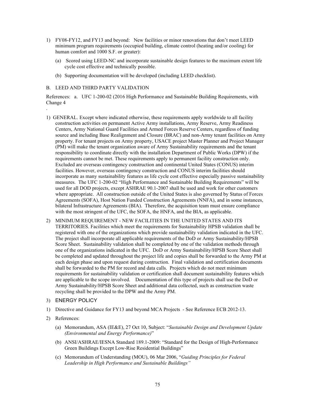- 1) FY08-FY12, and FY13 and beyond: New facilities or minor renovations that don't meet LEED minimum program requirements (occupied building, climate control (heating and/or cooling) for human comfort and 1000 S.F. or greater):
	- (a) Scored using LEED-NC and incorporate sustainable design features to the maximum extent life cycle cost effective and technically possible.
	- (b) Supporting documentation will be developed (including LEED checklist).

### B. LEED AND THIRD PARTY VALIDATION

.

References: a. UFC 1-200-02 (2016 High Performance and Sustainable Building Requirements, with Change 4

- 1) GENERAL. Except where indicated otherwise, these requirements apply worldwide to all facility construction activities on permanent Active Army installations, Army Reserve, Army Readiness Centers, Army National Guard Facilities and Armed Forces Reserve Centers, regardless of funding source and including Base Realignment and Closure (BRAC) and non-Army tenant facilities on Army property. For tenant projects on Army property, USACE project Master Planner and Project Manager (PM) will make the tenant organization aware of Army Sustainability requirements and the tenant responsibility to coordinate directly with the installation Department of Public Works (DPW) if the requirements cannot be met. These requirements apply to permanent facility construction only. Excluded are overseas contingency construction and continental United States (CONUS) interim facilities. However, overseas contingency construction and CONUS interim facilities should incorporate as many sustainability features as life cycle cost effective especially passive sustainability measures. The UFC 1-200-02 "High Performance and Sustainable Building Requirements" will be used for all DOD projects, except ASHRAE 90.1-2007 shall be used and work for other customers where appropriate. All construction outside of the United States is also governed by Status of Forces Agreements (SOFA), Host Nation Funded Construction Agreements (NNFA), and in some instances, bilateral Infrastructure Agreements (BIA). Therefore, the acquisition team must ensure compliance with the most stringent of the UFC, the SOFA, the HNFA, and the BIA, as applicable.
- 2) MINIMUM REQUIREMENT NEW FACILITIES IN THE UNITED STATES AND ITS TERRITORIES. Facilities which meet the requirements for Sustainability HPSB validation shall be registered with one of the organizations which provide sustainability validation indicated in the UFC. The project shall incorporate all applicable requirements of the DoD or Army Sustainability/HPSB Score Sheet. Sustainability validation shall be completed by one of the validation methods through one of the organizations indicated in the UFC. DoD or Army Sustainability/HPSB Score Sheet shall be completed and updated throughout the project life and copies shall be forwarded to the Army PM at each design phase and upon request during contruction. Final validation and certification documents shall be forwarded to the PM for record and data calls. Projects which do not meet minimum requirements for sustainability validation or certification shall document sustainability features which are applicable to the scope involved. Documentation of this type of projects shall use the DoD or Army Sustainability/HPSB Score Sheet and additional data collected, such as construction waste recycling shall be provided to the DPW and the Army PM.

# 3) ENERGY POLICY

- 1) Directive and Guidance for FY13 and beyond MCA Projects See Reference ECB 2012-13.
- 2) References:
	- (a) Memorandum, ASA (IE&E), 27 Oct 10, Subject: "*Sustainable Design and Development Update (Environmental and Energy Performance)*"
	- (b) ANSI/ASHRAE/IESNA Standard 189.1-2009: "Standard for the Design of High-Performance Green Buildings Except Low-Rise Residential Buildings"
	- (c) Memorandum of Understanding (MOU), 06 Mar 2006, "*Guiding Principles for Federal Leadership in High Performance and Sustainable Buildings"*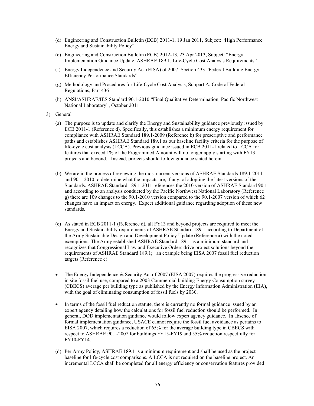- (d) Engineering and Construction Bulletin (ECB) 2011-1, 19 Jan 2011, Subject: "High Performance Energy and Sustainability Policy"
- (e) Engineering and Construction Bulletin (ECB) 2012-13, 23 Apr 2013, Subject: "Energy Implementation Guidance Update, ASHRAE 189.1, Life-Cycle Cost Analysis Requirements"
- (f) Energy Independence and Security Act (EISA) of 2007, Section 433 "Federal Building Energy Efficiency Performance Standards"
- (g) Methodology and Procedures for Life-Cycle Cost Analysis, Subpart A, Code of Federal Regulations, Part 436
- (h) ANSI/ASHRAE/IES Standard 90.1-2010 "Final Qualitative Determination, Pacific Northwest National Laboratory", October 2011
- 3) General
	- (a) The purpose is to update and clarify the Energy and Sustainability guidance previously issued by ECB 2011-1 (Reference d). Specifically, this establishes a minimum energy requirement for compliance with ASHRAE Standard 189.1-2009 (Reference b) for prescriptive and performance paths and establishes ASHRAE Standard 189.1 as our baseline facility criteria for the purpose of life-cycle cost analysis (LCCA). Previous guidance issued in ECB 2011-1 related to LCCA for features that exceed 1% of the Programmed Amount will no longer apply starting with FY13 projects and beyond. Instead, projects should follow guidance stated herein.
	- (b) We are in the process of reviewing the most current versions of ASHRAE Standards 189.1-2011 and 90.1-2010 to determine what the impacts are, if any, of adopting the latest versions of the Standards. ASHRAE Standard 189.1-2011 references the 2010 version of ASHRAE Standard 90.1 and according to an analysis conducted by the Pacific Northwest National Laboratory (Reference g) there are 109 changes to the 90.1-2010 version compared to the 90.1-2007 version of which 62 changes have an impact on energy. Expect additional guidance regarding adoption of these new standards.
	- (c) As stated in ECB 2011-1 (Reference d), all FY13 and beyond projects are required to meet the Energy and Sustainability requirements of ASHRAE Standard 189.1 according to Department of the Army Sustainable Design and Development Policy Update (Reference a) with the noted exemptions. The Army established ASHRAE Standard 189.1 as a minimum standard and recognizes that Congressional Law and Executive Orders drive project solutions beyond the requirements of ASHRAE Standard 189.1; an example being EISA 2007 fossil fuel reduction targets (Reference e).
	- The Energy Independence & Security Act of 2007 (EISA 2007) requires the progressive reduction in site fossil fuel use, compared to a 2003 Commercial building Energy Consumption survey (CBECS) average per building type as published by the Energy Information Administration (EIA), with the goal of eliminating consumption of fossil fuels by 2030.
	- In terms of the fossil fuel reduction statute, there is currently no formal guidance issued by an expert agency detailing how the calculations for fossil fuel reduction should be performed. In general, DOD implementation guidance would follow expert agency guidance. In absence of formal implementation guidance, USACE cannot require the fossil fuel avoidance as pertains to EISA 2007, which requires a reduction of 65% for the average building type in CBECS with respect to ASHRAE 90.1-2007 for buildings FY15-FY19 and 55% reduction respectfully for FY10-FY14.
	- (d) Per Army Policy, ASHRAE 189.1 is a minimum requirement and shall be used as the project baseline for life-cycle cost comparisons. A LCCA is not required on the baseline project. An incremental LCCA shall be completed for all energy efficiency or conservation features provided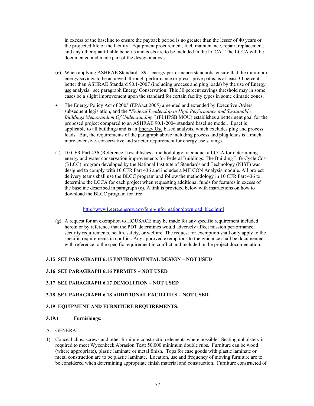in excess of the baseline to ensure the payback period is no greater than the lesser of 40 years or the projected life of the facility. Equipment procurement, fuel, maintenance, repair, replacement, and any other quantifiable benefits and costs are to be included in the LCCA. The LCCA will be documented and made part of the design analysis.

- (e) When applying ASHRAE Standard 189.1 energy performance standards, ensure that the minimum energy savings to be achieved, through performance or prescriptive paths, is at least 30 percent better than ASHRAE Standard 90.1-2007 (including process and plug loads) by the use of Energy use analysis: see paragraph Energy Conservation. This 30 percent savings threshold may in some cases be a slight improvement upon the standard for certain facility types in some climatic zones.
- The Energy Policy Act of 2005 (EPAact 2005) amended and extended by Executive Orders, subsequent legislation, and the "*Federal Leadership in High Performance and Sustainable Buildings Memorandum Of Understanding"* (FLHPSB MOU) establishes a betterment goal for the proposed project compared to an ASHRAE 90.1-2004 standard baseline model. Epact is applicable to all buildings and is an **Energy Use** based analysis, which excludes plug and process loads. But, the requirements of the paragraph above including process and plug loads is a much more extensive, conservative and stricter requirement for energy use savings.
- (f) 10 CFR Part 436 (Reference f) establishes a methodology to conduct a LCCA for determining energy and water conservation improvements for Federal Buildings. The Building Life-Cycle Cost (BLCC) program developed by the National Institute of Standards and Technology (NIST) was designed to comply with 10 CFR Part 436 and includes a MILCON Analysis module. All project delivery teams shall use the BLCC program and follow the methodology in 10 CFR Part 436 to determine the LCCA for each project when requesting additional funds for features in excess of the baseline described in paragraph (c). A link is provided below with instructions on how to download the BLCC program for free:

#### [http://www1.eere.energy.gov/femp/information/download\\_blcc.html](http://www1.eere.energy.gov/femp/information/download_blcc.html)

(g) A request for an exemption to HQUSACE may be made for any specific requirement included herein or by reference that the PDT determines would adversely affect mission performance, security requirements, health, safety, or welfare. The request for exemption shall only apply to the specific requirements in conflict. Any approved exemptions to the guidance shall be documented with reference to the specific requirement in conflict and included in the project documentation.

# **3.15 SEE PARAGRAPH 6.15 ENVIRONMENTAL DESIGN – NOT USED**

#### **3.16 SEE PARAGRAPH 6.16 PERMITS – NOT USED**

# **3.17 SEE PARAGRAPH 6.17 DEMOLITION – NOT USED**

#### **3.18 SEE PARAGRAPH 6.18 ADDITIONAL FACILITIES – NOT USED**

#### **3.19 EQUIPMENT AND FURNITURE REQUIREMENTS:**

#### **3.19.1 Furnishings:**

#### A. GENERAL:

1) Conceal clips, screws and other furniture construction elements where possible. Seating upholstery is required to meet Wyzenbeek Abrasion Test; 50,000 minimum double rubs. Furniture can be wood (where appropriate), plastic laminate or metal finish. Tops for case goods with plastic laminate or metal construction are to be plastic laminate. Location, use and frequency of moving furniture are to be considered when determining appropriate finish material and construction. Furniture constructed of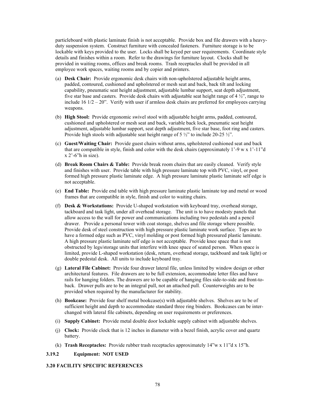particleboard with plastic laminate finish is not acceptable. Provide box and file drawers with a heavyduty suspension system. Construct furniture with concealed fasteners. Furniture storage is to be lockable with keys provided to the user. Locks shall be keyed per user requirements. Coordinate style details and finishes within a room. Refer to the drawings for furniture layout. Clocks shall be provided in waiting rooms, offices and break rooms. Trash receptacles shall be provided in all employee work spaces, waiting rooms and by copier and printers.

- (a) **Desk Chair:** Provide ergonomic desk chairs with non-upholstered adjustable height arms, padded, contoured, cushioned and upholstered or mesh seat and back, back tilt and locking capability, pneumatic seat height adjustment, adjustable lumbar support, seat depth adjustment, five star base and casters. Provide desk chairs with adjustable seat height range of 4 ½", range to include 16  $1/2 - 20$ ". Verify with user if armless desk chairs are preferred for employees carrying weapons.
- (b) **High Stool:** Provide ergonomic swivel stool with adjustable height arms, padded, contoured, cushioned and upholstered or mesh seat and back, variable back lock, pneumatic seat height adjustment, adjustable lumbar support, seat depth adjustment, five star base, foot ring and casters. Provide high stools with adjustable seat height range of  $5\frac{1}{2}$ " to include 20-25  $\frac{1}{2}$ ".
- (c) **Guest/Waiting Chair:** Provide guest chairs without arms, upholstered cushioned seat and back that are compatible in style, finish and color with the desk chairs (approximately  $1'-9 \le x \le 1'-1$ "d  $x$  2'-6"h in size).
- (d) **Break Room Chairs & Table:** Provide break room chairs that are easily cleaned. Verify style and finishes with user. Provide table with high pressure laminate top with PVC, vinyl, or post formed high pressure plastic laminate edge. A high pressure laminate plastic laminate self edge is not acceptable.
- (e) **End Table:** Provide end table with high pressure laminate plastic laminate top and metal or wood frames that are compatible in style, finish and color to waiting chairs.
- (f) **Desk & Workstations:** Provide U-shaped workstation with keyboard tray, overhead storage, tackboard and task light, under all overhead storage. The unit is to have modesty panels that allow access to the wall for power and communications including two pedestals and a pencil drawer. Provide a personal tower with coat storage, shelves and file storage where possible. Provide desk of steel construction with high pressure plastic laminate work surface. Tops are to have a formed edge such as PVC, vinyl molding or post formed high pressured plastic laminate. A high pressure plastic laminate self edge is not acceptable. Provide knee space that is not obstructed by legs/storage units that interfere with knee space of seated person. When space is limited, provide L-shaped workstation (desk, return, overhead storage, tackboard and task light) or double pedestal desk. All units to include keyboard tray.
- (g) **Lateral File Cabinet:** Provide four drawer lateral file, unless limited by window design or other architectural features. File drawers are to be full extension, accommodate letter files and have rails for hanging folders. The drawers are to be capable of hanging files side-to-side and front-toback. Drawer pulls are to be an integral pull, not an attached pull. Counterweights are to be provided when required by the manufacturer for stability.
- (h) **Bookcase:** Provide four shelf metal bookcase(s) with adjustable shelves. Shelves are to be of sufficient height and depth to accommodate standard three ring binders. Bookcases can be interchanged with lateral file cabinets, depending on user requirements or preferences.
- (i) **Supply Cabinet:** Provide metal double door lockable supply cabinet with adjustable shelves.
- (j) **Clock:** Provide clock that is 12 inches in diameter with a bezel finish, acrylic cover and quartz battery.
- (k) **Trash Receptacles:** Provide rubber trash receptacles approximately 14"w x 11"d x 15"h.

#### **3.19.2 Equipment: NOT USED**

#### **3.20 FACILITY SPECIFIC REFERENCES**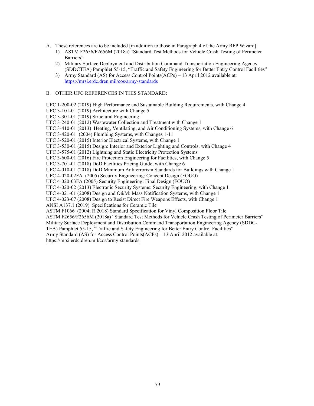- A. These references are to be included [in addition to those in Paragraph 4 of the Army RFP Wizard].
	- 1) ASTM F2656/F2656M (2018a) "Standard Test Methods for Vehicle Crash Testing of Perimeter Barriers"
	- 2) Military Surface Deployment and Distribution Command Transportation Engineering Agency (SDDCTEA) Pamphlet 55-15, "Traffic and Safety Engineering for Better Entry Control Facilities"
	- 3) Army Standard (AS) for Access Control Points(ACPs) 13 April 2012 available at: https://mrsi.erdc.dren.mil/cos/army-standards

#### B. OTHER UFC REFERENCES IN THIS STANDARD:

UFC 1-200-02 (2019) High Performance and Sustainable Building Requirements, with Change 4

UFC 3-101-01 (2019) Architecture with Change 5

UFC 3-301-01 (2019) Structural Engineering

UFC 3-240-01 (2012) Wastewater Collection and Treatment with Change 1

UFC 3-410-01 (2013) Heating, Ventilating, and Air Conditioning Systems, with Change 6

UFC 3-420-01 (2004) Plumbing Systems, with Changes 1-11

UFC 3-520-01 (2015) Interior Electrical Systems, with Change 1

UFC 3-530-01 (2015) Design: Interior and Exterior Lighting and Controls, with Change 4

UFC 3-575-01 (2012) Lightning and Static Electricity Protection Systems

UFC 3-600-01 (2016) Fire Protection Engineering for Facilities, with Change 5

UFC 3-701-01 (2018) DoD Facilities Pricing Guide, with Change 6

UFC 4-010-01 (2018) DoD Minimum Antiterrorism Standards for Buildings with Change 1

UFC 4-020-02FA (2005) Security Engineering: Concept Design (FOUO)

UFC 4-020-03FA (2005) Security Engineering: Final Design (FOUO)

UFC 4-020-02 (2013) Electronic Security Systems: Security Engineering, with Change 1

UFC 4-021-01 (2008) Design and O&M: Mass Notification Systems, with Change 1

UFC 4-023-07 (2008) Design to Resist Direct Fire Weapons Effects, with Change 1

ANSI A137.1 (2019) Specifications for Ceramic Tile

ASTM F1066 (2004; R 2018) Standard Specification for Vinyl Composition Floor Tile

ASTM F2656/F2656M (2018a) "Standard Test Methods for Vehicle Crash Testing of Perimeter Barriers"

Military Surface Deployment and Distribution Command Transportation Engineering Agency (SDDC-

TEA) Pamphlet 55-15, "Traffic and Safety Engineering for Better Entry Control Facilities"

Army Standard (AS) for Access Control Points(ACPs) – 13 April 2012 available at:

https://mrsi.erdc.dren.mil/cos/army-standards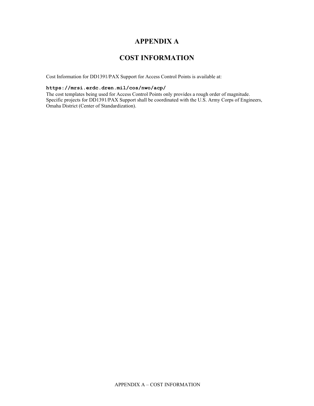# **APPENDIX A**

# **COST INFORMATION**

Cost Information for DD1391/PAX Support for Access Control Points is available at:

# **https://mrsi.erdc.dren.mil/cos/nwo/acp/**

The cost templates being used for Access Control Points only provides a rough order of magnitude. Specific projects for DD1391/PAX Support shall be coordinated with the U.S. Army Corps of Engineers, Omaha District (Center of Standardization).